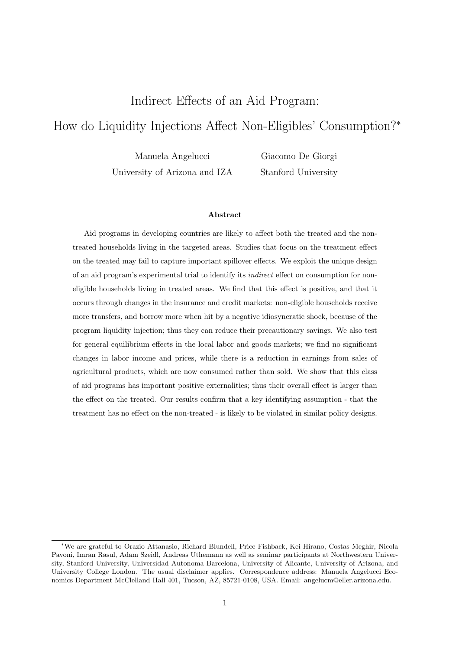## Indirect Effects of an Aid Program:

# How do Liquidity Injections Affect Non-Eligibles' Consumption?<sup>∗</sup>

Manuela Angelucci University of Arizona and IZA

Giacomo De Giorgi Stanford University

### Abstract

Aid programs in developing countries are likely to affect both the treated and the nontreated households living in the targeted areas. Studies that focus on the treatment effect on the treated may fail to capture important spillover effects. We exploit the unique design of an aid program's experimental trial to identify its indirect effect on consumption for noneligible households living in treated areas. We find that this effect is positive, and that it occurs through changes in the insurance and credit markets: non-eligible households receive more transfers, and borrow more when hit by a negative idiosyncratic shock, because of the program liquidity injection; thus they can reduce their precautionary savings. We also test for general equilibrium effects in the local labor and goods markets; we find no significant changes in labor income and prices, while there is a reduction in earnings from sales of agricultural products, which are now consumed rather than sold. We show that this class of aid programs has important positive externalities; thus their overall effect is larger than the effect on the treated. Our results confirm that a key identifying assumption - that the treatment has no effect on the non-treated - is likely to be violated in similar policy designs.

<sup>∗</sup>We are grateful to Orazio Attanasio, Richard Blundell, Price Fishback, Kei Hirano, Costas Meghir, Nicola Pavoni, Imran Rasul, Adam Szeidl, Andreas Uthemann as well as seminar participants at Northwestern University, Stanford University, Universidad Autonoma Barcelona, University of Alicante, University of Arizona, and University College London. The usual disclaimer applies. Correspondence address: Manuela Angelucci Economics Department McClelland Hall 401, Tucson, AZ, 85721-0108, USA. Email: angelucm@eller.arizona.edu.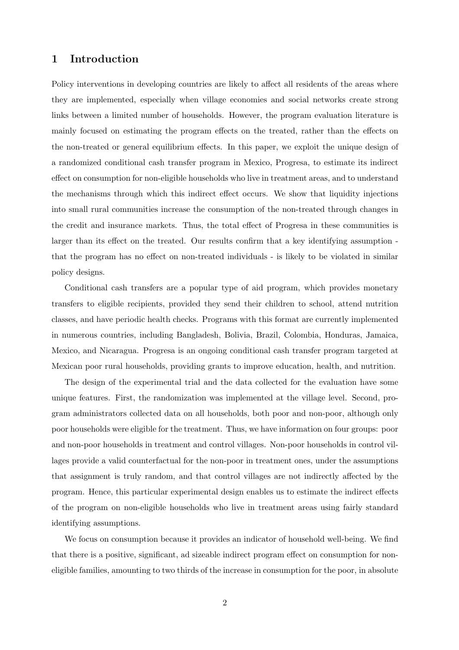## 1 Introduction

Policy interventions in developing countries are likely to affect all residents of the areas where they are implemented, especially when village economies and social networks create strong links between a limited number of households. However, the program evaluation literature is mainly focused on estimating the program effects on the treated, rather than the effects on the non-treated or general equilibrium effects. In this paper, we exploit the unique design of a randomized conditional cash transfer program in Mexico, Progresa, to estimate its indirect effect on consumption for non-eligible households who live in treatment areas, and to understand the mechanisms through which this indirect effect occurs. We show that liquidity injections into small rural communities increase the consumption of the non-treated through changes in the credit and insurance markets. Thus, the total effect of Progresa in these communities is larger than its effect on the treated. Our results confirm that a key identifying assumption that the program has no effect on non-treated individuals - is likely to be violated in similar policy designs.

Conditional cash transfers are a popular type of aid program, which provides monetary transfers to eligible recipients, provided they send their children to school, attend nutrition classes, and have periodic health checks. Programs with this format are currently implemented in numerous countries, including Bangladesh, Bolivia, Brazil, Colombia, Honduras, Jamaica, Mexico, and Nicaragua. Progresa is an ongoing conditional cash transfer program targeted at Mexican poor rural households, providing grants to improve education, health, and nutrition.

The design of the experimental trial and the data collected for the evaluation have some unique features. First, the randomization was implemented at the village level. Second, program administrators collected data on all households, both poor and non-poor, although only poor households were eligible for the treatment. Thus, we have information on four groups: poor and non-poor households in treatment and control villages. Non-poor households in control villages provide a valid counterfactual for the non-poor in treatment ones, under the assumptions that assignment is truly random, and that control villages are not indirectly affected by the program. Hence, this particular experimental design enables us to estimate the indirect effects of the program on non-eligible households who live in treatment areas using fairly standard identifying assumptions.

We focus on consumption because it provides an indicator of household well-being. We find that there is a positive, significant, ad sizeable indirect program effect on consumption for noneligible families, amounting to two thirds of the increase in consumption for the poor, in absolute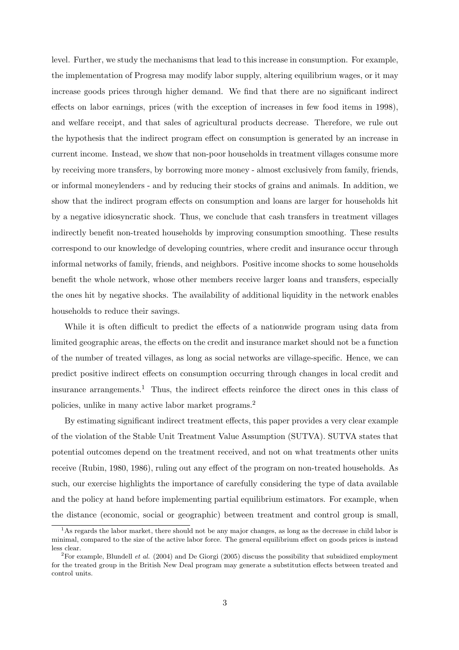level. Further, we study the mechanisms that lead to this increase in consumption. For example, the implementation of Progresa may modify labor supply, altering equilibrium wages, or it may increase goods prices through higher demand. We find that there are no significant indirect effects on labor earnings, prices (with the exception of increases in few food items in 1998), and welfare receipt, and that sales of agricultural products decrease. Therefore, we rule out the hypothesis that the indirect program effect on consumption is generated by an increase in current income. Instead, we show that non-poor households in treatment villages consume more by receiving more transfers, by borrowing more money - almost exclusively from family, friends, or informal moneylenders - and by reducing their stocks of grains and animals. In addition, we show that the indirect program effects on consumption and loans are larger for households hit by a negative idiosyncratic shock. Thus, we conclude that cash transfers in treatment villages indirectly benefit non-treated households by improving consumption smoothing. These results correspond to our knowledge of developing countries, where credit and insurance occur through informal networks of family, friends, and neighbors. Positive income shocks to some households benefit the whole network, whose other members receive larger loans and transfers, especially the ones hit by negative shocks. The availability of additional liquidity in the network enables households to reduce their savings.

While it is often difficult to predict the effects of a nationwide program using data from limited geographic areas, the effects on the credit and insurance market should not be a function of the number of treated villages, as long as social networks are village-specific. Hence, we can predict positive indirect effects on consumption occurring through changes in local credit and insurance arrangements.<sup>1</sup> Thus, the indirect effects reinforce the direct ones in this class of policies, unlike in many active labor market programs.<sup>2</sup>

By estimating significant indirect treatment effects, this paper provides a very clear example of the violation of the Stable Unit Treatment Value Assumption (SUTVA). SUTVA states that potential outcomes depend on the treatment received, and not on what treatments other units receive (Rubin, 1980, 1986), ruling out any effect of the program on non-treated households. As such, our exercise highlights the importance of carefully considering the type of data available and the policy at hand before implementing partial equilibrium estimators. For example, when the distance (economic, social or geographic) between treatment and control group is small,

<sup>&</sup>lt;sup>1</sup>As regards the labor market, there should not be any major changes, as long as the decrease in child labor is minimal, compared to the size of the active labor force. The general equilibrium effect on goods prices is instead less clear.

<sup>&</sup>lt;sup>2</sup>For example, Blundell *et al.* (2004) and De Giorgi (2005) discuss the possibility that subsidized employment for the treated group in the British New Deal program may generate a substitution effects between treated and control units.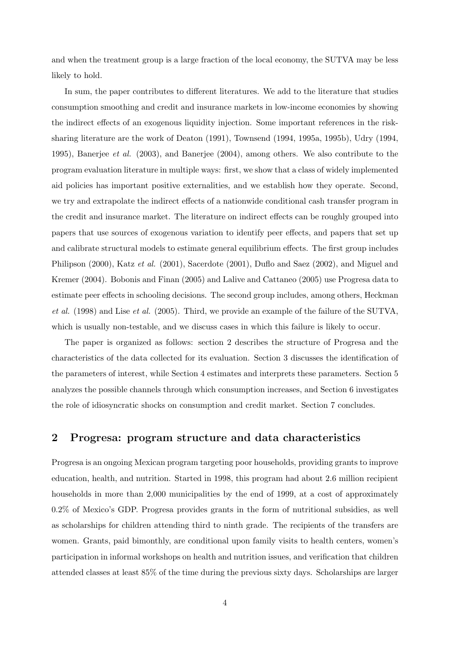and when the treatment group is a large fraction of the local economy, the SUTVA may be less likely to hold.

In sum, the paper contributes to different literatures. We add to the literature that studies consumption smoothing and credit and insurance markets in low-income economies by showing the indirect effects of an exogenous liquidity injection. Some important references in the risksharing literature are the work of Deaton (1991), Townsend (1994, 1995a, 1995b), Udry (1994, 1995), Banerjee *et al.* (2003), and Banerjee (2004), among others. We also contribute to the program evaluation literature in multiple ways: first, we show that a class of widely implemented aid policies has important positive externalities, and we establish how they operate. Second, we try and extrapolate the indirect effects of a nationwide conditional cash transfer program in the credit and insurance market. The literature on indirect effects can be roughly grouped into papers that use sources of exogenous variation to identify peer effects, and papers that set up and calibrate structural models to estimate general equilibrium effects. The first group includes Philipson (2000), Katz et al. (2001), Sacerdote (2001), Duflo and Saez (2002), and Miguel and Kremer (2004). Bobonis and Finan (2005) and Lalive and Cattaneo (2005) use Progresa data to estimate peer effects in schooling decisions. The second group includes, among others, Heckman et al.  $(1998)$  and Lise et al.  $(2005)$ . Third, we provide an example of the failure of the SUTVA, which is usually non-testable, and we discuss cases in which this failure is likely to occur.

The paper is organized as follows: section 2 describes the structure of Progresa and the characteristics of the data collected for its evaluation. Section 3 discusses the identification of the parameters of interest, while Section 4 estimates and interprets these parameters. Section 5 analyzes the possible channels through which consumption increases, and Section 6 investigates the role of idiosyncratic shocks on consumption and credit market. Section 7 concludes.

## 2 Progresa: program structure and data characteristics

Progresa is an ongoing Mexican program targeting poor households, providing grants to improve education, health, and nutrition. Started in 1998, this program had about 2.6 million recipient households in more than 2,000 municipalities by the end of 1999, at a cost of approximately 0.2% of Mexico's GDP. Progresa provides grants in the form of nutritional subsidies, as well as scholarships for children attending third to ninth grade. The recipients of the transfers are women. Grants, paid bimonthly, are conditional upon family visits to health centers, women's participation in informal workshops on health and nutrition issues, and verification that children attended classes at least 85% of the time during the previous sixty days. Scholarships are larger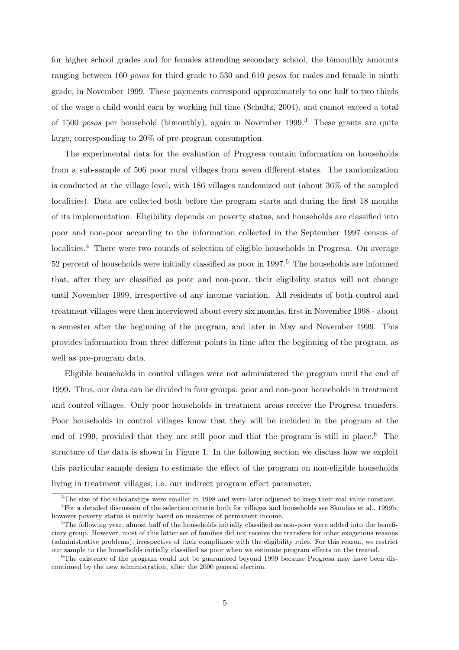for higher school grades and for females attending secondary school, the bimonthly amounts ranging between 160 *pesos* for third grade to 530 and 610 *pesos* for males and female in ninth grade, in November 1999. These payments correspond approximately to one half to two thirds of the wage a child would earn by working full time (Schultz, 2004), and cannot exceed a total of 1500 *pesos* per household (bimonthly), again in November 1999.<sup>3</sup> These grants are quite large, corresponding to 20% of pre-program consumption.

The experimental data for the evaluation of Progresa contain information on households from a sub-sample of 506 poor rural villages from seven different states. The randomization is conducted at the village level, with 186 villages randomized out (about 36% of the sampled localities). Data are collected both before the program starts and during the first 18 months of its implementation. Eligibility depends on poverty status, and households are classified into poor and non-poor according to the information collected in the September 1997 census of localities.<sup>4</sup> There were two rounds of selection of eligible households in Progresa. On average  $52$  percent of households were initially classified as poor in  $1997<sup>5</sup>$ . The households are informed that, after they are classified as poor and non-poor, their eligibility status will not change until November 1999, irrespective of any income variation. All residents of both control and treatment villages were then interviewed about every six months, first in November 1998 - about a semester after the beginning of the program, and later in May and November 1999. This provides information from three different points in time after the beginning of the program, as well as pre-program data.

Eligible households in control villages were not administered the program until the end of 1999. Thus, our data can be divided in four groups: poor and non-poor households in treatment and control villages. Only poor households in treatment areas receive the Progresa transfers. Poor households in control villages know that they will be included in the program at the end of 1999, provided that they are still poor and that the program is still in place.<sup>6</sup> The structure of the data is shown in Figure 1. In the following section we discuss how we exploit this particular sample design to estimate the effect of the program on non-eligible households living in treatment villages, i.e. our indirect program effect parameter.

<sup>&</sup>lt;sup>3</sup>The size of the scholarships were smaller in 1998 and were later adjusted to keep their real value constant.

<sup>4</sup>For a detailed discussion of the selection criteria both for villages and households see Skoufias et al., 1999b; however poverty status is mainly based on measures of permanent income.

 $5$ The following year, almost half of the households initially classified as non-poor were added into the beneficiary group. However, most of this latter set of families did not receive the transfers for other exogenous reasons (administrative problems), irrespective of their compliance with the eligibility rules. For this reason, we restrict our sample to the households initially classified as poor when we estimate program effects on the treated.

<sup>&</sup>lt;sup>6</sup>The existence of the program could not be guaranteed beyond 1999 because Progresa may have been discontinued by the new administration, after the 2000 general election.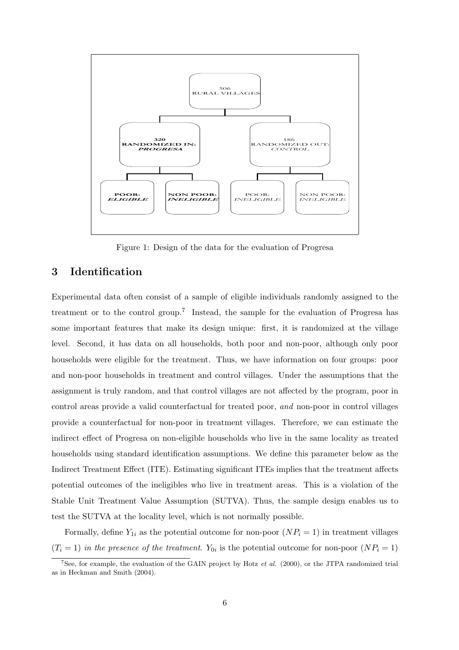

Figure 1: Design of the data for the evaluation of Progresa

## 3 Identification

Experimental data often consist of a sample of eligible individuals randomly assigned to the treatment or to the control group.<sup>7</sup> Instead, the sample for the evaluation of Progresa has some important features that make its design unique: first, it is randomized at the village level. Second, it has data on all households, both poor and non-poor, although only poor households were eligible for the treatment. Thus, we have information on four groups: poor and non-poor households in treatment and control villages. Under the assumptions that the assignment is truly random, and that control villages are not affected by the program, poor in control areas provide a valid counterfactual for treated poor, and non-poor in control villages provide a counterfactual for non-poor in treatment villages. Therefore, we can estimate the indirect effect of Progresa on non-eligible households who live in the same locality as treated households using standard identification assumptions. We define this parameter below as the Indirect Treatment Effect (ITE). Estimating significant ITEs implies that the treatment affects potential outcomes of the ineligibles who live in treatment areas. This is a violation of the Stable Unit Treatment Value Assumption (SUTVA). Thus, the sample design enables us to test the SUTVA at the locality level, which is not normally possible.

Formally, define  $Y_{1i}$  as the potential outcome for non-poor  $(NP_i = 1)$  in treatment villages  $(T_i = 1)$  in the presence of the treatment. Y<sub>0i</sub> is the potential outcome for non-poor  $(NP_i = 1)$ 

<sup>&</sup>lt;sup>7</sup>See, for example, the evaluation of the GAIN project by Hotz *et al.* (2000), or the JTPA randomized trial as in Heckman and Smith (2004).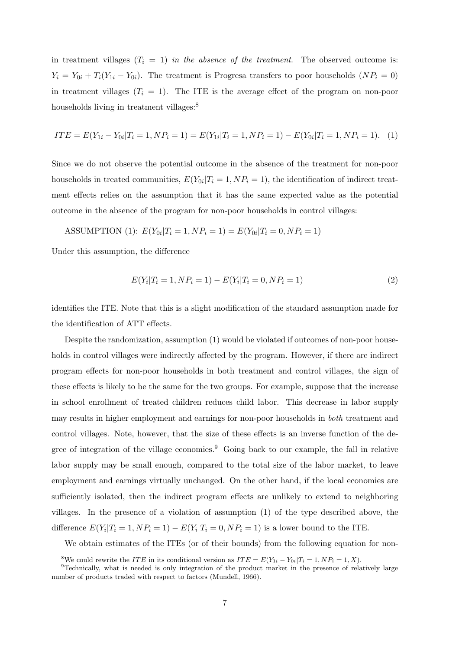in treatment villages  $(T_i = 1)$  in the absence of the treatment. The observed outcome is:  $Y_i = Y_{0i} + T_i(Y_{1i} - Y_{0i})$ . The treatment is Progresa transfers to poor households  $(NP_i = 0)$ in treatment villages  $(T_i = 1)$ . The ITE is the average effect of the program on non-poor households living in treatment villages:<sup>8</sup>

$$
ITE = E(Y_{1i} - Y_{0i} | T_i = 1, NP_i = 1) = E(Y_{1i} | T_i = 1, NP_i = 1) - E(Y_{0i} | T_i = 1, NP_i = 1).
$$
 (1)

Since we do not observe the potential outcome in the absence of the treatment for non-poor households in treated communities,  $E(Y_{0i}|T_i=1, NP_i=1)$ , the identification of indirect treatment effects relies on the assumption that it has the same expected value as the potential outcome in the absence of the program for non-poor households in control villages:

ASSUMPTION (1): 
$$
E(Y_{0i}|T_i = 1, NP_i = 1) = E(Y_{0i}|T_i = 0, NP_i = 1)
$$

Under this assumption, the difference

$$
E(Y_i|T_i = 1, NP_i = 1) - E(Y_i|T_i = 0, NP_i = 1)
$$
\n(2)

identifies the ITE. Note that this is a slight modification of the standard assumption made for the identification of ATT effects.

Despite the randomization, assumption (1) would be violated if outcomes of non-poor households in control villages were indirectly affected by the program. However, if there are indirect program effects for non-poor households in both treatment and control villages, the sign of these effects is likely to be the same for the two groups. For example, suppose that the increase in school enrollment of treated children reduces child labor. This decrease in labor supply may results in higher employment and earnings for non-poor households in both treatment and control villages. Note, however, that the size of these effects is an inverse function of the degree of integration of the village economies.<sup>9</sup> Going back to our example, the fall in relative labor supply may be small enough, compared to the total size of the labor market, to leave employment and earnings virtually unchanged. On the other hand, if the local economies are sufficiently isolated, then the indirect program effects are unlikely to extend to neighboring villages. In the presence of a violation of assumption (1) of the type described above, the difference  $E(Y_i | T_i = 1, NP_i = 1) - E(Y_i | T_i = 0, NP_i = 1)$  is a lower bound to the ITE.

We obtain estimates of the ITEs (or of their bounds) from the following equation for non-

<sup>&</sup>lt;sup>8</sup>We could rewrite the *ITE* in its conditional version as  $ITE = E(Y_{1i} - Y_{0i} | T_i = 1, NP_i = 1, X)$ .

<sup>9</sup>Technically, what is needed is only integration of the product market in the presence of relatively large number of products traded with respect to factors (Mundell, 1966).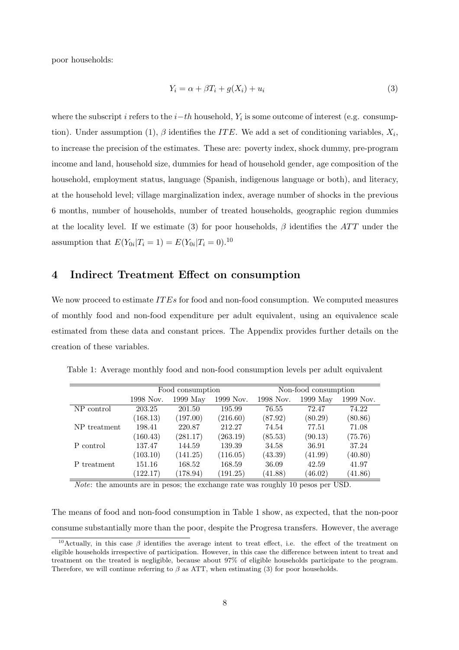poor households:

$$
Y_i = \alpha + \beta T_i + g(X_i) + u_i \tag{3}
$$

where the subscript i refers to the  $i-th$  household,  $Y_i$  is some outcome of interest (e.g. consumption). Under assumption (1),  $\beta$  identifies the ITE. We add a set of conditioning variables,  $X_i$ , to increase the precision of the estimates. These are: poverty index, shock dummy, pre-program income and land, household size, dummies for head of household gender, age composition of the household, employment status, language (Spanish, indigenous language or both), and literacy, at the household level; village marginalization index, average number of shocks in the previous 6 months, number of households, number of treated households, geographic region dummies at the locality level. If we estimate (3) for poor households,  $\beta$  identifies the ATT under the assumption that  $E(Y_{0i}|T_i = 1) = E(Y_{0i}|T_i = 0).^{10}$ 

## 4 Indirect Treatment Effect on consumption

We now proceed to estimate  $ITEs$  for food and non-food consumption. We computed measures of monthly food and non-food expenditure per adult equivalent, using an equivalence scale estimated from these data and constant prices. The Appendix provides further details on the creation of these variables.

|              |           | Food consumption |           |           | Non-food consumption |           |  |  |
|--------------|-----------|------------------|-----------|-----------|----------------------|-----------|--|--|
|              | 1998 Nov. | 1999 May         | 1999 Nov. | 1998 Nov. | 1999 May             | 1999 Nov. |  |  |
| NP control   | 203.25    | 201.50           | 195.99    | 76.55     | 72.47                | 74.22     |  |  |
|              | (168.13)  | (197.00)         | (216.60)  | (87.92)   | (80.29)              | (80.86)   |  |  |
| NP treatment | 198.41    | 220.87           | 212.27    | 74.54     | 77.51                | 71.08     |  |  |
|              | (160.43)  | (281.17)         | (263.19)  | (85.53)   | (90.13)              | (75.76)   |  |  |
| P control    | 137.47    | 144.59           | 139.39    | 34.58     | 36.91                | 37.24     |  |  |
|              | (103.10)  | (141.25)         | (116.05)  | (43.39)   | (41.99)              | (40.80)   |  |  |
| P treatment  | 151.16    | 168.52           | 168.59    | 36.09     | 42.59                | 41.97     |  |  |
|              | (122.17)  | (178.94)         | (191.25)  | (41.88)   | (46.02)              | (41.86)   |  |  |

Table 1: Average monthly food and non-food consumption levels per adult equivalent

Note: the amounts are in pesos; the exchange rate was roughly 10 pesos per USD.

The means of food and non-food consumption in Table 1 show, as expected, that the non-poor consume substantially more than the poor, despite the Progresa transfers. However, the average

<sup>&</sup>lt;sup>10</sup>Actually, in this case  $\beta$  identifies the average intent to treat effect, i.e. the effect of the treatment on eligible households irrespective of participation. However, in this case the difference between intent to treat and treatment on the treated is negligible, because about 97% of eligible households participate to the program. Therefore, we will continue referring to  $\beta$  as ATT, when estimating (3) for poor households.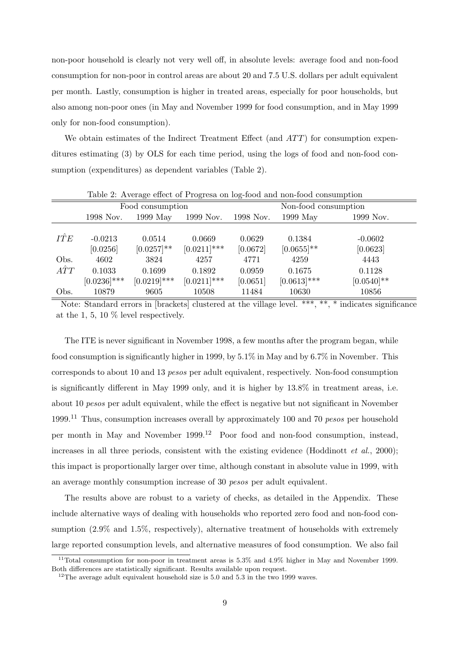non-poor household is clearly not very well off, in absolute levels: average food and non-food consumption for non-poor in control areas are about 20 and 7.5 U.S. dollars per adult equivalent per month. Lastly, consumption is higher in treated areas, especially for poor households, but also among non-poor ones (in May and November 1999 for food consumption, and in May 1999 only for non-food consumption).

We obtain estimates of the Indirect Treatment Effect (and  $ATT$ ) for consumption expenditures estimating (3) by OLS for each time period, using the logs of food and non-food consumption (expenditures) as dependent variables (Table 2).

|             | Table 2. Trycrage eneer of I rogress on log-lood and non-lood consumption |                  |                |           |                      |               |  |  |  |  |
|-------------|---------------------------------------------------------------------------|------------------|----------------|-----------|----------------------|---------------|--|--|--|--|
|             |                                                                           | Food consumption |                |           | Non-food consumption |               |  |  |  |  |
|             | 1998 Nov.                                                                 | $1999$ May       | 1999 Nov.      | 1998 Nov. | $1999$ May           | 1999 Nov.     |  |  |  |  |
|             |                                                                           |                  |                |           |                      |               |  |  |  |  |
| ITE         | $-0.0213$                                                                 | 0.0514           | 0.0669         | 0.0629    | 0.1384               | $-0.0602$     |  |  |  |  |
|             | [0.0256]                                                                  | $[0.0257]$ **    | $[0.0211]$ *** | [0.0672]  | $[0.0655]$ **        | [0.0623]      |  |  |  |  |
| Obs.        | 4602                                                                      | 3824             | 4257           | 4771      | 4259                 | 4443          |  |  |  |  |
| $\hat{ATT}$ | 0.1033                                                                    | 0.1699           | 0.1892         | 0.0959    | 0.1675               | 0.1128        |  |  |  |  |
|             | $[0.0236]$ ***                                                            | $[0.0219]$ ***   | $[0.0211]$ *** | [0.0651]  | $[0.0613]$ ***       | $[0.0540]$ ** |  |  |  |  |
| Obs.        | 10879                                                                     | 9605             | 10508          | 11484     | 10630                | 10856         |  |  |  |  |

Table 2: Average effect of Progresa on log-food and non-food consumption

Note: Standard errors in [brackets] clustered at the village level. \*\*\*, \*\*, \* indicates significance at the 1, 5, 10 % level respectively.

The ITE is never significant in November 1998, a few months after the program began, while food consumption is significantly higher in 1999, by 5.1% in May and by 6.7% in November. This corresponds to about 10 and 13 pesos per adult equivalent, respectively. Non-food consumption is significantly different in May 1999 only, and it is higher by 13.8% in treatment areas, i.e. about 10 pesos per adult equivalent, while the effect is negative but not significant in November 1999.<sup>11</sup> Thus, consumption increases overall by approximately 100 and 70 *pesos* per household per month in May and November 1999.<sup>12</sup> Poor food and non-food consumption, instead, increases in all three periods, consistent with the existing evidence (Hoddinott  $et al., 2000$ ); this impact is proportionally larger over time, although constant in absolute value in 1999, with an average monthly consumption increase of 30 pesos per adult equivalent.

The results above are robust to a variety of checks, as detailed in the Appendix. These include alternative ways of dealing with households who reported zero food and non-food consumption (2.9% and 1.5%, respectively), alternative treatment of households with extremely large reported consumption levels, and alternative measures of food consumption. We also fail

<sup>&</sup>lt;sup>11</sup>Total consumption for non-poor in treatment areas is  $5.3\%$  and  $4.9\%$  higher in May and November 1999. Both differences are statistically significant. Results available upon request.

 $12$ The average adult equivalent household size is 5.0 and 5.3 in the two 1999 waves.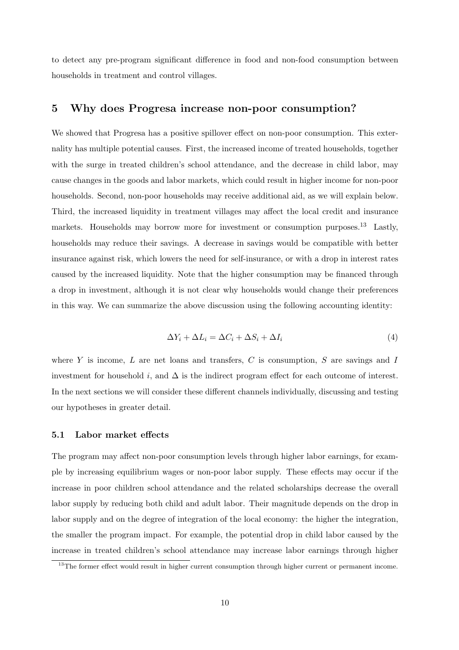to detect any pre-program significant difference in food and non-food consumption between households in treatment and control villages.

## 5 Why does Progresa increase non-poor consumption?

We showed that Progresa has a positive spillover effect on non-poor consumption. This externality has multiple potential causes. First, the increased income of treated households, together with the surge in treated children's school attendance, and the decrease in child labor, may cause changes in the goods and labor markets, which could result in higher income for non-poor households. Second, non-poor households may receive additional aid, as we will explain below. Third, the increased liquidity in treatment villages may affect the local credit and insurance markets. Households may borrow more for investment or consumption purposes.<sup>13</sup> Lastly, households may reduce their savings. A decrease in savings would be compatible with better insurance against risk, which lowers the need for self-insurance, or with a drop in interest rates caused by the increased liquidity. Note that the higher consumption may be financed through a drop in investment, although it is not clear why households would change their preferences in this way. We can summarize the above discussion using the following accounting identity:

$$
\Delta Y_i + \Delta L_i = \Delta C_i + \Delta S_i + \Delta I_i \tag{4}
$$

where  $Y$  is income,  $L$  are net loans and transfers,  $C$  is consumption,  $S$  are savings and  $I$ investment for household i, and  $\Delta$  is the indirect program effect for each outcome of interest. In the next sections we will consider these different channels individually, discussing and testing our hypotheses in greater detail.

### 5.1 Labor market effects

The program may affect non-poor consumption levels through higher labor earnings, for example by increasing equilibrium wages or non-poor labor supply. These effects may occur if the increase in poor children school attendance and the related scholarships decrease the overall labor supply by reducing both child and adult labor. Their magnitude depends on the drop in labor supply and on the degree of integration of the local economy: the higher the integration, the smaller the program impact. For example, the potential drop in child labor caused by the increase in treated children's school attendance may increase labor earnings through higher

<sup>&</sup>lt;sup>13</sup>The former effect would result in higher current consumption through higher current or permanent income.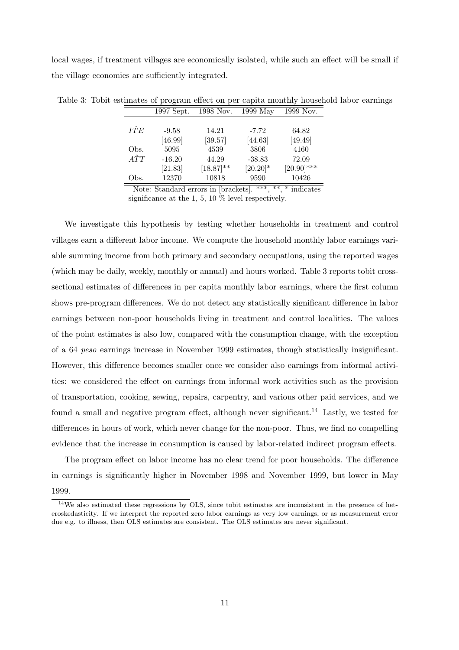local wages, if treatment villages are economically isolated, while such an effect will be small if the village economies are sufficiently integrated.

|             | 1997 Sept. | 1998 Nov.      | $1999$ May | 1999 Nov.     |
|-------------|------------|----------------|------------|---------------|
|             |            |                |            |               |
| ITE         | $-9.58$    | 14.21          | $-7.72$    | 64.82         |
|             | [46.99]    | [39.57]        | [44.63]    | [49.49]       |
| Obs.        | 5095       | 4539           | 3806       | 4160          |
| $\hat{ATT}$ | $-16.20$   | 44.29          | $-38.83$   | 72.09         |
|             | [21.83]    | $[18.87]^{**}$ | $[20.20]*$ | $[20.90]$ *** |
| Obs.        | 12370      | 10818          | 9590       | 10426         |

Table 3: Tobit estimates of program effect on per capita monthly household labor earnings

Note: Standard errors in [brackets]. \*\*\*, \*\*, \* indicates significance at the 1, 5, 10 % level respectively.

We investigate this hypothesis by testing whether households in treatment and control villages earn a different labor income. We compute the household monthly labor earnings variable summing income from both primary and secondary occupations, using the reported wages (which may be daily, weekly, monthly or annual) and hours worked. Table 3 reports tobit crosssectional estimates of differences in per capita monthly labor earnings, where the first column shows pre-program differences. We do not detect any statistically significant difference in labor earnings between non-poor households living in treatment and control localities. The values of the point estimates is also low, compared with the consumption change, with the exception of a 64 peso earnings increase in November 1999 estimates, though statistically insignificant. However, this difference becomes smaller once we consider also earnings from informal activities: we considered the effect on earnings from informal work activities such as the provision of transportation, cooking, sewing, repairs, carpentry, and various other paid services, and we found a small and negative program effect, although never significant.<sup>14</sup> Lastly, we tested for differences in hours of work, which never change for the non-poor. Thus, we find no compelling evidence that the increase in consumption is caused by labor-related indirect program effects.

The program effect on labor income has no clear trend for poor households. The difference in earnings is significantly higher in November 1998 and November 1999, but lower in May 1999.

<sup>&</sup>lt;sup>14</sup>We also estimated these regressions by OLS, since tobit estimates are inconsistent in the presence of heteroskedasticity. If we interpret the reported zero labor earnings as very low earnings, or as measurement error due e.g. to illness, then OLS estimates are consistent. The OLS estimates are never significant.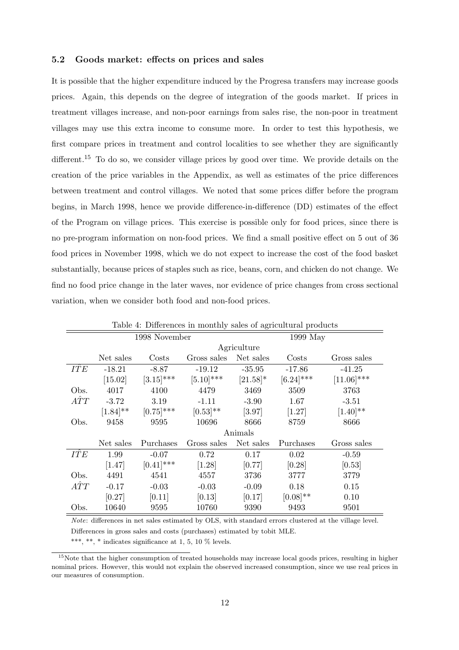### 5.2 Goods market: effects on prices and sales

It is possible that the higher expenditure induced by the Progresa transfers may increase goods prices. Again, this depends on the degree of integration of the goods market. If prices in treatment villages increase, and non-poor earnings from sales rise, the non-poor in treatment villages may use this extra income to consume more. In order to test this hypothesis, we first compare prices in treatment and control localities to see whether they are significantly different.<sup>15</sup> To do so, we consider village prices by good over time. We provide details on the creation of the price variables in the Appendix, as well as estimates of the price differences between treatment and control villages. We noted that some prices differ before the program begins, in March 1998, hence we provide difference-in-difference (DD) estimates of the effect of the Program on village prices. This exercise is possible only for food prices, since there is no pre-program information on non-food prices. We find a small positive effect on 5 out of 36 food prices in November 1998, which we do not expect to increase the cost of the food basket substantially, because prices of staples such as rice, beans, corn, and chicken do not change. We find no food price change in the later waves, nor evidence of price changes from cross sectional variation, when we consider both food and non-food prices.

|             | Table 4: Differences in monthly sales of agricultural products |               |               |             |               |               |  |  |  |  |
|-------------|----------------------------------------------------------------|---------------|---------------|-------------|---------------|---------------|--|--|--|--|
|             |                                                                | 1998 November |               |             | 1999 May      |               |  |  |  |  |
|             |                                                                |               |               | Agriculture |               |               |  |  |  |  |
|             | Net sales                                                      | Costs         | Gross sales   | Net sales   | Costs         | Gross sales   |  |  |  |  |
| <b>ITE</b>  | $-18.21$                                                       | $-8.87$       | $-19.12$      | $-35.95$    | $-17.86$      | $-41.25$      |  |  |  |  |
|             | [15.02]                                                        | $[3.15]$ ***  | $[5.10]$ ***  | $[21.58]$ * | $[6.24]$ ***  | $[11.06]$ *** |  |  |  |  |
| Obs.        | 4017                                                           | 4100          | 4479          | 3469        | 3509          | 3763          |  |  |  |  |
| $\hat{ATT}$ | $-3.72$                                                        | 3.19          | $-1.11$       | $-3.90$     | 1.67          | $-3.51$       |  |  |  |  |
|             | $[1.84]^{**}$                                                  | $[0.75]$ ***  | $[0.53]^{**}$ | [3.97]      | $[1.27]$      | $[1.40]^{**}$ |  |  |  |  |
| Obs.        | 9458                                                           | 9595          | 10696         | 8666        | 8759          | 8666          |  |  |  |  |
|             |                                                                |               |               | Animals     |               |               |  |  |  |  |
|             | Net sales                                                      | Purchases     | Gross sales   | Net sales   | Purchases     | Gross sales   |  |  |  |  |
| <b>ITE</b>  | 1.99                                                           | $-0.07$       | 0.72          | 0.17        | 0.02          | $-0.59$       |  |  |  |  |
|             | $[1.47]$                                                       | $[0.41]$ ***  | $[1.28]$      | [0.77]      | [0.28]        | [0.53]        |  |  |  |  |
| Obs.        | 4491                                                           | 4541          | 4557          | 3736        | 3777          | 3779          |  |  |  |  |
| $\hat{ATT}$ | $-0.17$                                                        | $-0.03$       | $-0.03$       | $-0.09$     | 0.18          | 0.15          |  |  |  |  |
|             | [0.27]                                                         | [0.11]        | [0.13]        | [0.17]      | $[0.08]^{**}$ | 0.10          |  |  |  |  |
| Obs.        | 10640                                                          | 9595          | 10760         | 9390        | 9493          | 9501          |  |  |  |  |

Table 4: Differences in monthly sales of agricultural products

Note: differences in net sales estimated by OLS, with standard errors clustered at the village level.

Differences in gross sales and costs (purchases) estimated by tobit MLE.

\*\*\*, \*\*, \* indicates significance at 1, 5, 10  $\%$  levels.

<sup>15</sup>Note that the higher consumption of treated households may increase local goods prices, resulting in higher nominal prices. However, this would not explain the observed increased consumption, since we use real prices in our measures of consumption.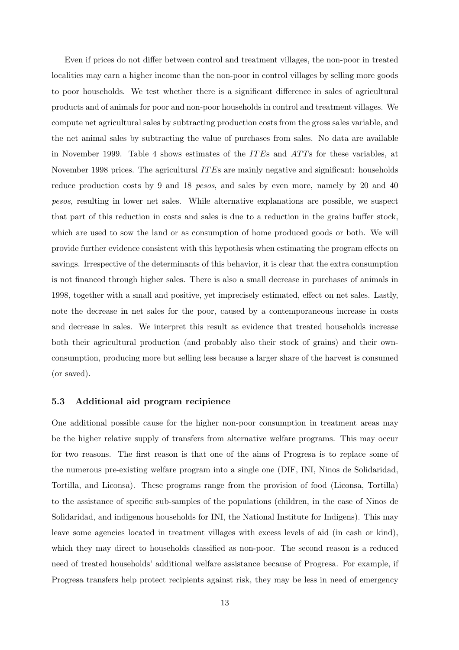Even if prices do not differ between control and treatment villages, the non-poor in treated localities may earn a higher income than the non-poor in control villages by selling more goods to poor households. We test whether there is a significant difference in sales of agricultural products and of animals for poor and non-poor households in control and treatment villages. We compute net agricultural sales by subtracting production costs from the gross sales variable, and the net animal sales by subtracting the value of purchases from sales. No data are available in November 1999. Table 4 shows estimates of the *ITE*s and *ATT*s for these variables, at November 1998 prices. The agricultural *ITEs* are mainly negative and significant: households reduce production costs by 9 and 18 *pesos*, and sales by even more, namely by 20 and 40 pesos, resulting in lower net sales. While alternative explanations are possible, we suspect that part of this reduction in costs and sales is due to a reduction in the grains buffer stock, which are used to sow the land or as consumption of home produced goods or both. We will provide further evidence consistent with this hypothesis when estimating the program effects on savings. Irrespective of the determinants of this behavior, it is clear that the extra consumption is not financed through higher sales. There is also a small decrease in purchases of animals in 1998, together with a small and positive, yet imprecisely estimated, effect on net sales. Lastly, note the decrease in net sales for the poor, caused by a contemporaneous increase in costs and decrease in sales. We interpret this result as evidence that treated households increase both their agricultural production (and probably also their stock of grains) and their ownconsumption, producing more but selling less because a larger share of the harvest is consumed (or saved).

### 5.3 Additional aid program recipience

One additional possible cause for the higher non-poor consumption in treatment areas may be the higher relative supply of transfers from alternative welfare programs. This may occur for two reasons. The first reason is that one of the aims of Progresa is to replace some of the numerous pre-existing welfare program into a single one (DIF, INI, Ninos de Solidaridad, Tortilla, and Liconsa). These programs range from the provision of food (Liconsa, Tortilla) to the assistance of specific sub-samples of the populations (children, in the case of Ninos de Solidaridad, and indigenous households for INI, the National Institute for Indigens). This may leave some agencies located in treatment villages with excess levels of aid (in cash or kind), which they may direct to households classified as non-poor. The second reason is a reduced need of treated households' additional welfare assistance because of Progresa. For example, if Progresa transfers help protect recipients against risk, they may be less in need of emergency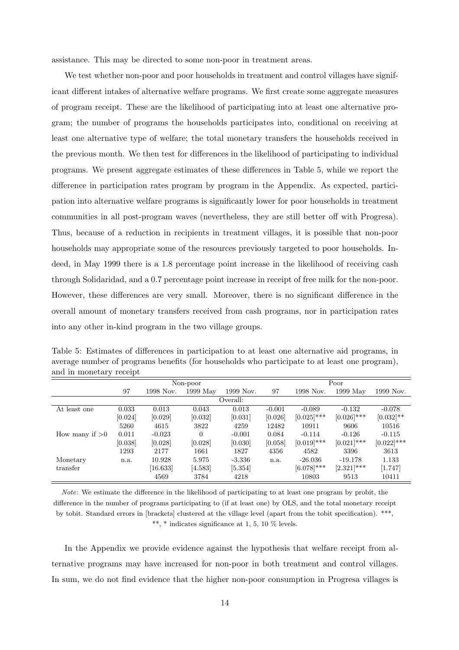assistance. This may be directed to some non-poor in treatment areas.

We test whether non-poor and poor households in treatment and control villages have significant different intakes of alternative welfare programs. We first create some aggregate measures of program receipt. These are the likelihood of participating into at least one alternative program; the number of programs the households participates into, conditional on receiving at least one alternative type of welfare; the total monetary transfers the households received in the previous month. We then test for differences in the likelihood of participating to individual programs. We present aggregate estimates of these differences in Table 5, while we report the difference in participation rates program by program in the Appendix. As expected, participation into alternative welfare programs is significantly lower for poor households in treatment communities in all post-program waves (nevertheless, they are still better off with Progresa). Thus, because of a reduction in recipients in treatment villages, it is possible that non-poor households may appropriate some of the resources previously targeted to poor households. Indeed, in May 1999 there is a 1.8 percentage point increase in the likelihood of receiving cash through Solidaridad, and a 0.7 percentage point increase in receipt of free milk for the non-poor. However, these differences are very small. Moreover, there is no significant difference in the overall amount of monetary transfers received from cash programs, nor in participation rates into any other in-kind program in the two village groups.

| and in monetary receipt. |         |           |            |           |          |               |               |               |
|--------------------------|---------|-----------|------------|-----------|----------|---------------|---------------|---------------|
|                          |         |           | Non-poor   |           |          |               | Poor          |               |
|                          | 97      | 1998 Nov. | $1999$ May | 1999 Nov. | 97       | 1998 Nov.     | $1999$ May    | 1999 Nov.     |
|                          |         |           |            | Overall:  |          |               |               |               |
| At least one             | 0.033   | 0.013     | 0.043      | 0.013     | $-0.001$ | $-0.089$      | $-0.132$      | $-0.078$      |
|                          | [0.024] | [0.029]   | [0.032]    | [0.031]   | [0.026]  | $[0.025]$ *** | $[0.026]$ *** | $[0.032]$ **  |
|                          | 5260    | 4615      | 3822       | 4259      | 12482    | 10911         | 9606          | 10516         |
| How many if $>0$         | 0.011   | $-0.023$  | $\Omega$   | $-0.001$  | 0.084    | $-0.114$      | $-0.126$      | $-0.115$      |
|                          | [0.038] | [0.028]   | [0.028]    | [0.030]   | [0.058]  | $[0.019]$ *** | $[0.021]$ *** | $[0.022]$ *** |
|                          | 1293    | 2177      | 1661       | 1827      | 4356     | 4582          | 3396          | 3613          |
| Monetary                 | n.a.    | 10.928    | 5.975      | $-3.336$  | n.a.     | $-26.036$     | $-19.178$     | 1.133         |
| transfer                 |         | [16.633]  | [4.583]    | [5.354]   |          | $[6.078]$ *** | $[2.321]$ *** | [1.747]       |
|                          |         | 4569      | 3784       | 4218      |          | 10803         | 9513          | 10411         |

Table 5: Estimates of differences in participation to at least one alternative aid programs, in average number of programs benefits (for households who participate to at least one program),

Note: We estimate the difference in the likelihood of participating to at least one program by probit, the difference in the number of programs participating to (if at least one) by OLS, and the total monetary receipt by tobit. Standard errors in [brackets] clustered at the village level (apart from the tobit specification). \*\*\*, \*\*, \* indicates significance at 1, 5, 10  $\%$  levels.

In the Appendix we provide evidence against the hypothesis that welfare receipt from alternative programs may have increased for non-poor in both treatment and control villages. In sum, we do not find evidence that the higher non-poor consumption in Progresa villages is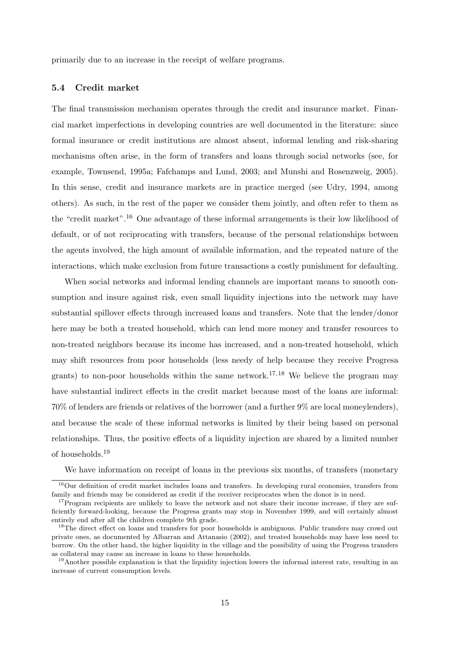primarily due to an increase in the receipt of welfare programs.

### 5.4 Credit market

The final transmission mechanism operates through the credit and insurance market. Financial market imperfections in developing countries are well documented in the literature: since formal insurance or credit institutions are almost absent, informal lending and risk-sharing mechanisms often arise, in the form of transfers and loans through social networks (see, for example, Townsend, 1995a; Fafchamps and Lund, 2003; and Munshi and Rosenzweig, 2005). In this sense, credit and insurance markets are in practice merged (see Udry, 1994, among others). As such, in the rest of the paper we consider them jointly, and often refer to them as the "credit market".<sup>16</sup> One advantage of these informal arrangements is their low likelihood of default, or of not reciprocating with transfers, because of the personal relationships between the agents involved, the high amount of available information, and the repeated nature of the interactions, which make exclusion from future transactions a costly punishment for defaulting.

When social networks and informal lending channels are important means to smooth consumption and insure against risk, even small liquidity injections into the network may have substantial spillover effects through increased loans and transfers. Note that the lender/donor here may be both a treated household, which can lend more money and transfer resources to non-treated neighbors because its income has increased, and a non-treated household, which may shift resources from poor households (less needy of help because they receive Progresa grants) to non-poor households within the same network.<sup>17,18</sup> We believe the program may have substantial indirect effects in the credit market because most of the loans are informal: 70% of lenders are friends or relatives of the borrower (and a further 9% are local moneylenders), and because the scale of these informal networks is limited by their being based on personal relationships. Thus, the positive effects of a liquidity injection are shared by a limited number of households.<sup>19</sup>

We have information on receipt of loans in the previous six months, of transfers (monetary

<sup>&</sup>lt;sup>16</sup>Our definition of credit market includes loans and transfers. In developing rural economies, transfers from family and friends may be considered as credit if the receiver reciprocates when the donor is in need.

<sup>&</sup>lt;sup>17</sup>Program recipients are unlikely to leave the network and not share their income increase, if they are sufficiently forward-looking, because the Progresa grants may stop in November 1999, and will certainly almost entirely end after all the children complete 9th grade.

<sup>&</sup>lt;sup>18</sup>The direct effect on loans and transfers for poor households is ambiguous. Public transfers may crowd out private ones, as documented by Albarran and Attanasio (2002), and treated households may have less need to borrow. On the other hand, the higher liquidity in the village and the possibility of using the Progresa transfers as collateral may cause an increase in loans to these households.

<sup>&</sup>lt;sup>19</sup>Another possible explanation is that the liquidity injection lowers the informal interest rate, resulting in an increase of current consumption levels.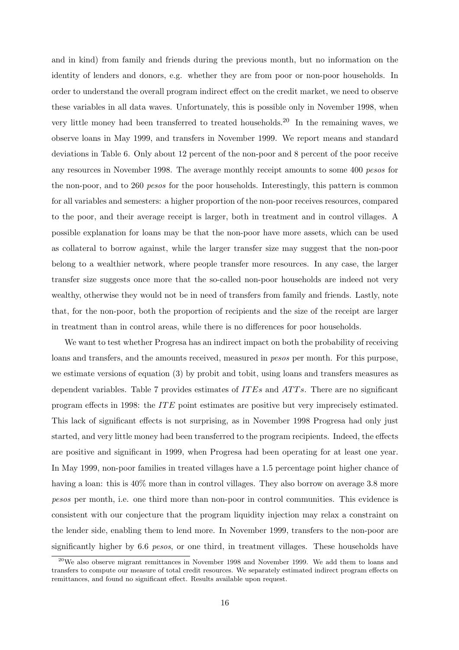and in kind) from family and friends during the previous month, but no information on the identity of lenders and donors, e.g. whether they are from poor or non-poor households. In order to understand the overall program indirect effect on the credit market, we need to observe these variables in all data waves. Unfortunately, this is possible only in November 1998, when very little money had been transferred to treated households.<sup>20</sup> In the remaining waves, we observe loans in May 1999, and transfers in November 1999. We report means and standard deviations in Table 6. Only about 12 percent of the non-poor and 8 percent of the poor receive any resources in November 1998. The average monthly receipt amounts to some 400 pesos for the non-poor, and to 260 pesos for the poor households. Interestingly, this pattern is common for all variables and semesters: a higher proportion of the non-poor receives resources, compared to the poor, and their average receipt is larger, both in treatment and in control villages. A possible explanation for loans may be that the non-poor have more assets, which can be used as collateral to borrow against, while the larger transfer size may suggest that the non-poor belong to a wealthier network, where people transfer more resources. In any case, the larger transfer size suggests once more that the so-called non-poor households are indeed not very wealthy, otherwise they would not be in need of transfers from family and friends. Lastly, note that, for the non-poor, both the proportion of recipients and the size of the receipt are larger in treatment than in control areas, while there is no differences for poor households.

We want to test whether Progresa has an indirect impact on both the probability of receiving loans and transfers, and the amounts received, measured in *pesos* per month. For this purpose, we estimate versions of equation (3) by probit and tobit, using loans and transfers measures as dependent variables. Table 7 provides estimates of  $ITEs$  and  $ATTs$ . There are no significant program effects in 1998: the IT E point estimates are positive but very imprecisely estimated. This lack of significant effects is not surprising, as in November 1998 Progresa had only just started, and very little money had been transferred to the program recipients. Indeed, the effects are positive and significant in 1999, when Progresa had been operating for at least one year. In May 1999, non-poor families in treated villages have a 1.5 percentage point higher chance of having a loan: this is  $40\%$  more than in control villages. They also borrow on average 3.8 more pesos per month, i.e. one third more than non-poor in control communities. This evidence is consistent with our conjecture that the program liquidity injection may relax a constraint on the lender side, enabling them to lend more. In November 1999, transfers to the non-poor are significantly higher by 6.6 *pesos*, or one third, in treatment villages. These households have

<sup>&</sup>lt;sup>20</sup>We also observe migrant remittances in November 1998 and November 1999. We add them to loans and transfers to compute our measure of total credit resources. We separately estimated indirect program effects on remittances, and found no significant effect. Results available upon request.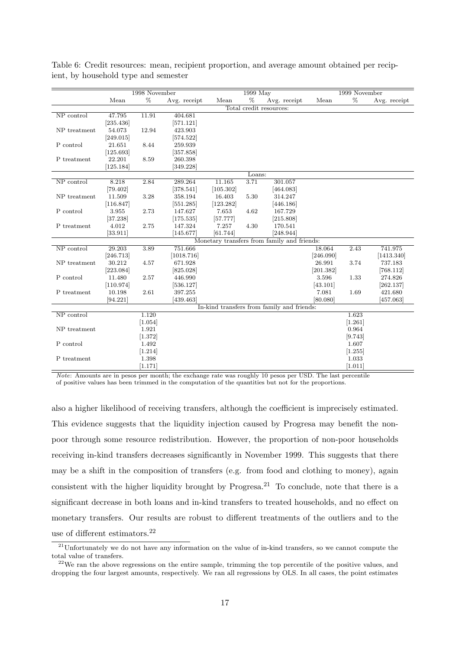|              |           | 1998 November |              |           | 1999 May |                                             |           | 1999 November |              |
|--------------|-----------|---------------|--------------|-----------|----------|---------------------------------------------|-----------|---------------|--------------|
|              | Mean      | %             | Avg. receipt | Mean      | %        | Avg. receipt                                | Mean      | %             | Avg. receipt |
|              |           |               |              |           |          | Total credit resources:                     |           |               |              |
| NP control   | 47.795    | 11.91         | 404.681      |           |          |                                             |           |               |              |
|              | [235.436] |               | [571.121]    |           |          |                                             |           |               |              |
| NP treatment | 54.073    | 12.94         | 423.903      |           |          |                                             |           |               |              |
|              | [249.015] |               | [574.522]    |           |          |                                             |           |               |              |
| P control    | 21.651    | 8.44          | 259.939      |           |          |                                             |           |               |              |
|              | [125.693] |               | [357.858]    |           |          |                                             |           |               |              |
| P treatment  | 22.201    | 8.59          | 260.398      |           |          |                                             |           |               |              |
|              | 125.184   |               | 349.228      |           |          |                                             |           |               |              |
|              |           |               |              |           | Loans:   |                                             |           |               |              |
| NP control   | 8.218     | 2.84          | 289.264      | 11.165    | 3.71     | 301.057                                     |           |               |              |
|              | [79.402]  |               | [378.541]    | [105.302] |          | [464.083]                                   |           |               |              |
| NP treatment | 11.509    | 3.28          | 358.194      | 16.403    | 5.30     | 314.247                                     |           |               |              |
|              | [116.847] |               | [551.285]    | [123.282] |          | [446.186]                                   |           |               |              |
| P control    | 3.955     | 2.73          | 147.627      | 7.653     | 4.62     | 167.729                                     |           |               |              |
|              | [37.238]  |               | [175.535]    | [57.777]  |          | [215.808]                                   |           |               |              |
| P treatment  | 4.012     | 2.75          | 147.324      | 7.257     | 4.30     | 170.541                                     |           |               |              |
|              | [33.911]  |               | [145.677]    | [61.744]  |          | [248.944]                                   |           |               |              |
|              |           |               |              |           |          | Monetary transfers from family and friends: |           |               |              |
| NP control   | 29.203    | 3.89          | 751.666      |           |          |                                             | 18.064    | 2.43          | 741.975      |
|              | [246.713] |               | [1018.716]   |           |          |                                             | [246.090] |               | [1413.340]   |
| NP treatment | 30.212    | 4.57          | 671.928      |           |          |                                             | 26.991    | 3.74          | 737.183      |
|              | [223.084] |               | [825.028]    |           |          |                                             | [201.382] |               | [768.112]    |
| P control    | 11.480    | 2.57          | 446.990      |           |          |                                             | 3.596     | 1.33          | 274.826      |
|              | [110.974] |               | [536.127]    |           |          |                                             | [43.101]  |               | [262.137]    |
| P treatment  | 10.198    | 2.61          | 397.255      |           |          |                                             | 7.081     | 1.69          | 421.680      |
|              | [94.221]  |               | [439.463]    |           |          |                                             | [80.080]  |               | [457.063]    |
|              |           |               |              |           |          | In-kind transfers from family and friends:  |           |               |              |
| NP control   |           | 1.120         |              |           |          |                                             |           | 1.623         |              |
|              |           | [1.054]       |              |           |          |                                             |           | [1.261]       |              |
| NP treatment |           | 1.921         |              |           |          |                                             |           | 0.964         |              |
|              |           | [1.372]       |              |           |          |                                             |           | [9.743]       |              |
| P control    |           | 1.492         |              |           |          |                                             |           | 1.607         |              |
|              |           | [1.214]       |              |           |          |                                             |           | [1.255]       |              |
| P treatment  |           | 1.398         |              |           |          |                                             |           | 1.033         |              |
|              |           | [1.171]       |              |           |          |                                             |           | [1.011]       |              |

Table 6: Credit resources: mean, recipient proportion, and average amount obtained per recipient, by household type and semester

Note: Amounts are in pesos per month; the exchange rate was roughly 10 pesos per USD. The last percentile of positive values has been trimmed in the computation of the quantities but not for the proportions.

also a higher likelihood of receiving transfers, although the coefficient is imprecisely estimated. This evidence suggests that the liquidity injection caused by Progresa may benefit the nonpoor through some resource redistribution. However, the proportion of non-poor households receiving in-kind transfers decreases significantly in November 1999. This suggests that there may be a shift in the composition of transfers (e.g. from food and clothing to money), again consistent with the higher liquidity brought by Progresa.<sup>21</sup> To conclude, note that there is a significant decrease in both loans and in-kind transfers to treated households, and no effect on monetary transfers. Our results are robust to different treatments of the outliers and to the use of different estimators.<sup>22</sup>

 $21$ Unfortunately we do not have any information on the value of in-kind transfers, so we cannot compute the total value of transfers.

 $^{22}$ We ran the above regressions on the entire sample, trimming the top percentile of the positive values, and dropping the four largest amounts, respectively. We ran all regressions by OLS. In all cases, the point estimates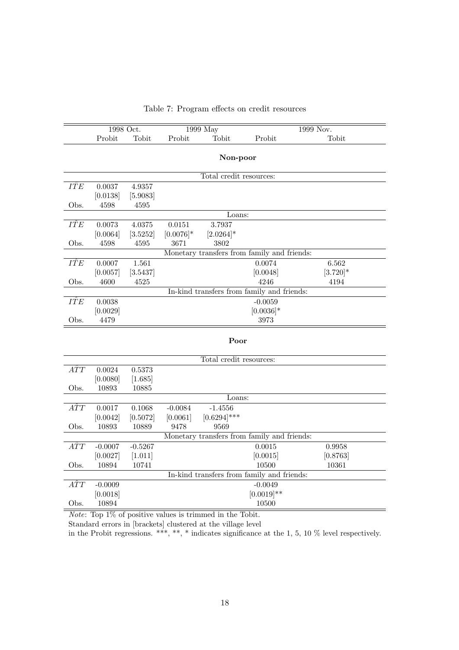|                                             |                                            | 1998 Oct.            |                        | $1999$ May                                          |               | 1999 Nov.          |  |  |  |  |  |
|---------------------------------------------|--------------------------------------------|----------------------|------------------------|-----------------------------------------------------|---------------|--------------------|--|--|--|--|--|
|                                             | Probit                                     | Tobit                | Probit                 | Tobit                                               | Probit        | Tobit              |  |  |  |  |  |
|                                             |                                            |                      |                        |                                                     |               |                    |  |  |  |  |  |
|                                             |                                            |                      |                        | Non-poor                                            |               |                    |  |  |  |  |  |
|                                             |                                            |                      |                        | Total credit resources:                             |               |                    |  |  |  |  |  |
| IÎE                                         | 0.0037                                     | 4.9357               |                        |                                                     |               |                    |  |  |  |  |  |
|                                             | [0.0138]                                   | [5.9083]             |                        |                                                     |               |                    |  |  |  |  |  |
| Obs.                                        | 4598                                       | 4595                 |                        |                                                     |               |                    |  |  |  |  |  |
| IŶE                                         |                                            |                      |                        | Loans:<br>3.7937                                    |               |                    |  |  |  |  |  |
|                                             | 0.0073<br>[0.0064]                         | 4.0375<br>[3.5252]   | 0.0151<br>$[0.0076]$ * | $[2.0264]$ *                                        |               |                    |  |  |  |  |  |
| Obs.                                        | 4598                                       | 4595                 | 3671                   | 3802                                                |               |                    |  |  |  |  |  |
| Monetary transfers from family and friends: |                                            |                      |                        |                                                     |               |                    |  |  |  |  |  |
| IÎE                                         | 0.0007                                     | 1.561                |                        |                                                     | 0.0074        | 6.562              |  |  |  |  |  |
|                                             | [0.0057]                                   | [3.5437]             |                        |                                                     | [0.0048]      | $[3.720]$ *        |  |  |  |  |  |
| Obs.                                        | 4600                                       | 4525                 |                        |                                                     | 4246          | 4194               |  |  |  |  |  |
|                                             | In-kind transfers from family and friends: |                      |                        |                                                     |               |                    |  |  |  |  |  |
| IÎE                                         | 0.0038                                     |                      |                        |                                                     | $-0.0059$     |                    |  |  |  |  |  |
|                                             | [0.0029]                                   |                      |                        |                                                     | $[0.0036]$ *  |                    |  |  |  |  |  |
| Obs.                                        | 4479                                       |                      |                        |                                                     | 3973          |                    |  |  |  |  |  |
|                                             |                                            |                      |                        | Poor                                                |               |                    |  |  |  |  |  |
|                                             |                                            |                      |                        |                                                     |               |                    |  |  |  |  |  |
|                                             |                                            |                      |                        | Total credit resources:                             |               |                    |  |  |  |  |  |
| $\hat{ATT}$                                 | 0.0024                                     | 0.5373               |                        |                                                     |               |                    |  |  |  |  |  |
|                                             | [0.0080]                                   | [1.685]              |                        |                                                     |               |                    |  |  |  |  |  |
| Obs.                                        | 10893                                      | 10885                |                        |                                                     |               |                    |  |  |  |  |  |
|                                             |                                            |                      |                        | Loans:                                              |               |                    |  |  |  |  |  |
| $\hat{ATT}$                                 | 0.0017                                     | 0.1068               | $-0.0084$              | $-1.4556$                                           |               |                    |  |  |  |  |  |
|                                             | [0.0042]                                   | [0.5072]             | [0.0061]               | $[0.6294]$ ***                                      |               |                    |  |  |  |  |  |
| Obs.                                        | 10893                                      | 10889                | 9478                   | 9569<br>Monetary transfers from family and friends: |               |                    |  |  |  |  |  |
| $\hat{ATT}$                                 |                                            |                      |                        |                                                     | 0.0015        |                    |  |  |  |  |  |
|                                             | $-0.0007$<br>[0.0027]                      | $-0.5267$<br>[1.011] |                        |                                                     | [0.0015]      | 0.9958<br>[0.8763] |  |  |  |  |  |
| Obs.                                        | 10894                                      | 10741                |                        |                                                     | 10500         | 10361              |  |  |  |  |  |
|                                             |                                            |                      |                        | In-kind transfers from family and friends:          |               |                    |  |  |  |  |  |
| $\hat{ATT}$                                 | $-0.0009$                                  |                      |                        |                                                     | $-0.0049$     |                    |  |  |  |  |  |
|                                             | [0.0018]                                   |                      |                        |                                                     | $[0.0019]$ ** |                    |  |  |  |  |  |
| Obs.                                        | 10894                                      |                      |                        |                                                     | 10500         |                    |  |  |  |  |  |
|                                             |                                            |                      |                        |                                                     |               |                    |  |  |  |  |  |

### Table 7: Program effects on credit resources

Note: Top 1% of positive values is trimmed in the Tobit.

Standard errors in [brackets] clustered at the village level

in the Probit regressions. \*\*\*, \*\*, \* indicates significance at the 1, 5, 10  $\%$  level respectively.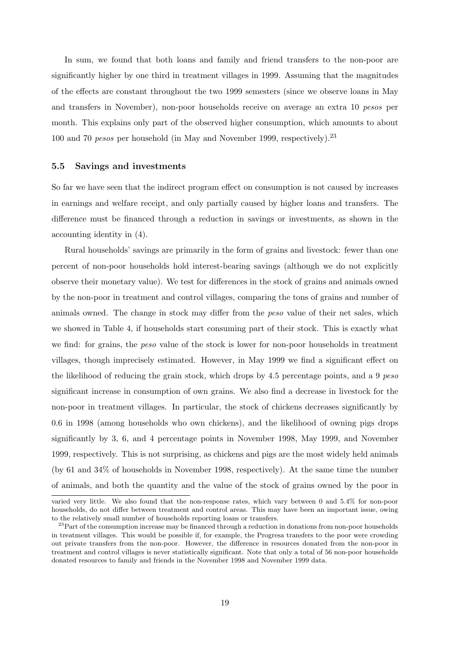In sum, we found that both loans and family and friend transfers to the non-poor are significantly higher by one third in treatment villages in 1999. Assuming that the magnitudes of the effects are constant throughout the two 1999 semesters (since we observe loans in May and transfers in November), non-poor households receive on average an extra 10 pesos per month. This explains only part of the observed higher consumption, which amounts to about 100 and 70 *pesos* per household (in May and November 1999, respectively).<sup>23</sup>

#### 5.5 Savings and investments

So far we have seen that the indirect program effect on consumption is not caused by increases in earnings and welfare receipt, and only partially caused by higher loans and transfers. The difference must be financed through a reduction in savings or investments, as shown in the accounting identity in (4).

Rural households' savings are primarily in the form of grains and livestock: fewer than one percent of non-poor households hold interest-bearing savings (although we do not explicitly observe their monetary value). We test for differences in the stock of grains and animals owned by the non-poor in treatment and control villages, comparing the tons of grains and number of animals owned. The change in stock may differ from the peso value of their net sales, which we showed in Table 4, if households start consuming part of their stock. This is exactly what we find: for grains, the *peso* value of the stock is lower for non-poor households in treatment villages, though imprecisely estimated. However, in May 1999 we find a significant effect on the likelihood of reducing the grain stock, which drops by 4.5 percentage points, and a 9 peso significant increase in consumption of own grains. We also find a decrease in livestock for the non-poor in treatment villages. In particular, the stock of chickens decreases significantly by 0.6 in 1998 (among households who own chickens), and the likelihood of owning pigs drops significantly by 3, 6, and 4 percentage points in November 1998, May 1999, and November 1999, respectively. This is not surprising, as chickens and pigs are the most widely held animals (by 61 and 34% of households in November 1998, respectively). At the same time the number of animals, and both the quantity and the value of the stock of grains owned by the poor in

varied very little. We also found that the non-response rates, which vary between 0 and 5.4% for non-poor households, do not differ between treatment and control areas. This may have been an important issue, owing to the relatively small number of households reporting loans or transfers.

<sup>&</sup>lt;sup>23</sup>Part of the consumption increase may be financed through a reduction in donations from non-poor households in treatment villages. This would be possible if, for example, the Progresa transfers to the poor were crowding out private transfers from the non-poor. However, the difference in resources donated from the non-poor in treatment and control villages is never statistically significant. Note that only a total of 56 non-poor households donated resources to family and friends in the November 1998 and November 1999 data.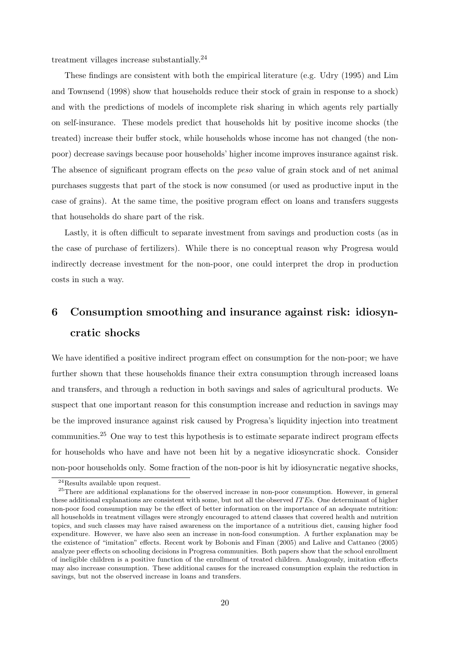treatment villages increase substantially.<sup>24</sup>

These findings are consistent with both the empirical literature (e.g. Udry (1995) and Lim and Townsend (1998) show that households reduce their stock of grain in response to a shock) and with the predictions of models of incomplete risk sharing in which agents rely partially on self-insurance. These models predict that households hit by positive income shocks (the treated) increase their buffer stock, while households whose income has not changed (the nonpoor) decrease savings because poor households' higher income improves insurance against risk. The absence of significant program effects on the peso value of grain stock and of net animal purchases suggests that part of the stock is now consumed (or used as productive input in the case of grains). At the same time, the positive program effect on loans and transfers suggests that households do share part of the risk.

Lastly, it is often difficult to separate investment from savings and production costs (as in the case of purchase of fertilizers). While there is no conceptual reason why Progresa would indirectly decrease investment for the non-poor, one could interpret the drop in production costs in such a way.

# 6 Consumption smoothing and insurance against risk: idiosyncratic shocks

We have identified a positive indirect program effect on consumption for the non-poor; we have further shown that these households finance their extra consumption through increased loans and transfers, and through a reduction in both savings and sales of agricultural products. We suspect that one important reason for this consumption increase and reduction in savings may be the improved insurance against risk caused by Progresa's liquidity injection into treatment communities.<sup>25</sup> One way to test this hypothesis is to estimate separate indirect program effects for households who have and have not been hit by a negative idiosyncratic shock. Consider non-poor households only. Some fraction of the non-poor is hit by idiosyncratic negative shocks,

<sup>24</sup>Results available upon request.

<sup>&</sup>lt;sup>25</sup>There are additional explanations for the observed increase in non-poor consumption. However, in general these additional explanations are consistent with some, but not all the observed IT Es. One determinant of higher non-poor food consumption may be the effect of better information on the importance of an adequate nutrition: all households in treatment villages were strongly encouraged to attend classes that covered health and nutrition topics, and such classes may have raised awareness on the importance of a nutritious diet, causing higher food expenditure. However, we have also seen an increase in non-food consumption. A further explanation may be the existence of "imitation" effects. Recent work by Bobonis and Finan (2005) and Lalive and Cattaneo (2005) analyze peer effects on schooling decisions in Progresa communities. Both papers show that the school enrollment of ineligible children is a positive function of the enrollment of treated children. Analogously, imitation effects may also increase consumption. These additional causes for the increased consumption explain the reduction in savings, but not the observed increase in loans and transfers.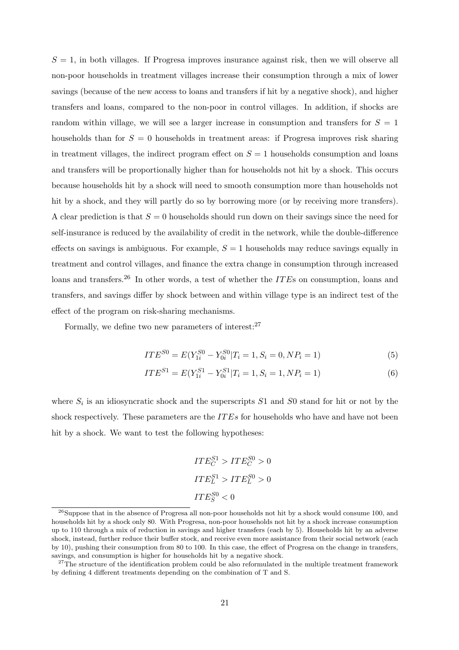$S = 1$ , in both villages. If Progresa improves insurance against risk, then we will observe all non-poor households in treatment villages increase their consumption through a mix of lower savings (because of the new access to loans and transfers if hit by a negative shock), and higher transfers and loans, compared to the non-poor in control villages. In addition, if shocks are random within village, we will see a larger increase in consumption and transfers for  $S = 1$ households than for  $S = 0$  households in treatment areas: if Progresa improves risk sharing in treatment villages, the indirect program effect on  $S = 1$  households consumption and loans and transfers will be proportionally higher than for households not hit by a shock. This occurs because households hit by a shock will need to smooth consumption more than households not hit by a shock, and they will partly do so by borrowing more (or by receiving more transfers). A clear prediction is that  $S = 0$  households should run down on their savings since the need for self-insurance is reduced by the availability of credit in the network, while the double-difference effects on savings is ambiguous. For example,  $S = 1$  households may reduce savings equally in treatment and control villages, and finance the extra change in consumption through increased loans and transfers.<sup>26</sup> In other words, a test of whether the *ITE*s on consumption, loans and transfers, and savings differ by shock between and within village type is an indirect test of the effect of the program on risk-sharing mechanisms.

Formally, we define two new parameters of interest: $27$ 

$$
ITE^{S0} = E(Y_{1i}^{S0} - Y_{0i}^{S0} | T_i = 1, S_i = 0, NP_i = 1)
$$
\n
$$
(5)
$$

$$
ITE^{S1} = E(Y_{1i}^{S1} - Y_{0i}^{S1} | T_i = 1, S_i = 1, NP_i = 1)
$$
\n
$$
(6)
$$

where  $S_i$  is an idiosyncratic shock and the superscripts  $S1$  and  $S0$  stand for hit or not by the shock respectively. These parameters are the  $ITEs$  for households who have and have not been hit by a shock. We want to test the following hypotheses:

$$
ITE_C^{S1} >ITE_C^{S0} > 0
$$
  

$$
ITE_L^{S1} >ITE_L^{S0} > 0
$$
  

$$
ITE_S^{S0} < 0
$$

<sup>&</sup>lt;sup>26</sup>Suppose that in the absence of Progresa all non-poor households not hit by a shock would consume 100, and households hit by a shock only 80. With Progresa, non-poor households not hit by a shock increase consumption up to 110 through a mix of reduction in savings and higher transfers (each by 5). Households hit by an adverse shock, instead, further reduce their buffer stock, and receive even more assistance from their social network (each by 10), pushing their consumption from 80 to 100. In this case, the effect of Progresa on the change in transfers, savings, and consumption is higher for households hit by a negative shock.

 $27$ The structure of the identification problem could be also reformulated in the multiple treatment framework by defining 4 different treatments depending on the combination of T and S.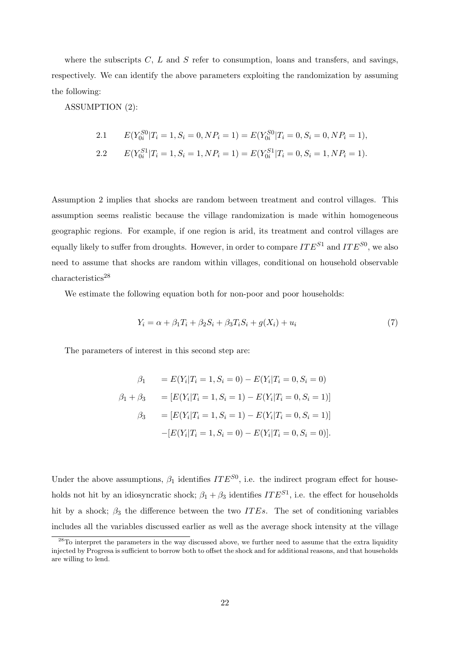where the subscripts  $C, L$  and  $S$  refer to consumption, loans and transfers, and savings, respectively. We can identify the above parameters exploiting the randomization by assuming the following:

ASSUMPTION (2):

2.1 
$$
E(Y_{0i}^{S0}|T_i = 1, S_i = 0, NP_i = 1) = E(Y_{0i}^{S0}|T_i = 0, S_i = 0, NP_i = 1),
$$
  
2.2 
$$
E(Y_{0i}^{S1}|T_i = 1, S_i = 1, NP_i = 1) = E(Y_{0i}^{S1}|T_i = 0, S_i = 1, NP_i = 1).
$$

Assumption 2 implies that shocks are random between treatment and control villages. This assumption seems realistic because the village randomization is made within homogeneous geographic regions. For example, if one region is arid, its treatment and control villages are equally likely to suffer from droughts. However, in order to compare  $ITE^{S1}$  and  $ITE^{S0}$ , we also need to assume that shocks are random within villages, conditional on household observable characteristics<sup>28</sup>

We estimate the following equation both for non-poor and poor households:

$$
Y_i = \alpha + \beta_1 T_i + \beta_2 S_i + \beta_3 T_i S_i + g(X_i) + u_i \tag{7}
$$

The parameters of interest in this second step are:

$$
\beta_1 = E(Y_i | T_i = 1, S_i = 0) - E(Y_i | T_i = 0, S_i = 0)
$$
  
\n
$$
\beta_1 + \beta_3 = [E(Y_i | T_i = 1, S_i = 1) - E(Y_i | T_i = 0, S_i = 1)]
$$
  
\n
$$
\beta_3 = [E(Y_i | T_i = 1, S_i = 1) - E(Y_i | T_i = 0, S_i = 1)]
$$
  
\n
$$
-[E(Y_i | T_i = 1, S_i = 0) - E(Y_i | T_i = 0, S_i = 0)].
$$

Under the above assumptions,  $\beta_1$  identifies  $ITE^{S0}$ , i.e. the indirect program effect for households not hit by an idiosyncratic shock;  $\beta_1 + \beta_3$  identifies  $ITE^{S1}$ , i.e. the effect for households hit by a shock;  $\beta_3$  the difference between the two *ITEs*. The set of conditioning variables includes all the variables discussed earlier as well as the average shock intensity at the village

<sup>&</sup>lt;sup>28</sup>To interpret the parameters in the way discussed above, we further need to assume that the extra liquidity injected by Progresa is sufficient to borrow both to offset the shock and for additional reasons, and that households are willing to lend.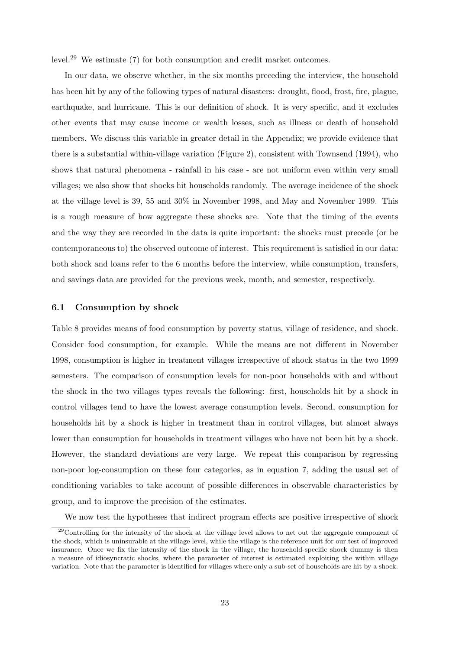level.<sup>29</sup> We estimate (7) for both consumption and credit market outcomes.

In our data, we observe whether, in the six months preceding the interview, the household has been hit by any of the following types of natural disasters: drought, flood, frost, fire, plague, earthquake, and hurricane. This is our definition of shock. It is very specific, and it excludes other events that may cause income or wealth losses, such as illness or death of household members. We discuss this variable in greater detail in the Appendix; we provide evidence that there is a substantial within-village variation (Figure 2), consistent with Townsend (1994), who shows that natural phenomena - rainfall in his case - are not uniform even within very small villages; we also show that shocks hit households randomly. The average incidence of the shock at the village level is 39, 55 and 30% in November 1998, and May and November 1999. This is a rough measure of how aggregate these shocks are. Note that the timing of the events and the way they are recorded in the data is quite important: the shocks must precede (or be contemporaneous to) the observed outcome of interest. This requirement is satisfied in our data: both shock and loans refer to the 6 months before the interview, while consumption, transfers, and savings data are provided for the previous week, month, and semester, respectively.

### 6.1 Consumption by shock

Table 8 provides means of food consumption by poverty status, village of residence, and shock. Consider food consumption, for example. While the means are not different in November 1998, consumption is higher in treatment villages irrespective of shock status in the two 1999 semesters. The comparison of consumption levels for non-poor households with and without the shock in the two villages types reveals the following: first, households hit by a shock in control villages tend to have the lowest average consumption levels. Second, consumption for households hit by a shock is higher in treatment than in control villages, but almost always lower than consumption for households in treatment villages who have not been hit by a shock. However, the standard deviations are very large. We repeat this comparison by regressing non-poor log-consumption on these four categories, as in equation 7, adding the usual set of conditioning variables to take account of possible differences in observable characteristics by group, and to improve the precision of the estimates.

We now test the hypotheses that indirect program effects are positive irrespective of shock

<sup>29</sup>Controlling for the intensity of the shock at the village level allows to net out the aggregate component of the shock, which is uninsurable at the village level, while the village is the reference unit for our test of improved insurance. Once we fix the intensity of the shock in the village, the household-specific shock dummy is then a measure of idiosyncratic shocks, where the parameter of interest is estimated exploiting the within village variation. Note that the parameter is identified for villages where only a sub-set of households are hit by a shock.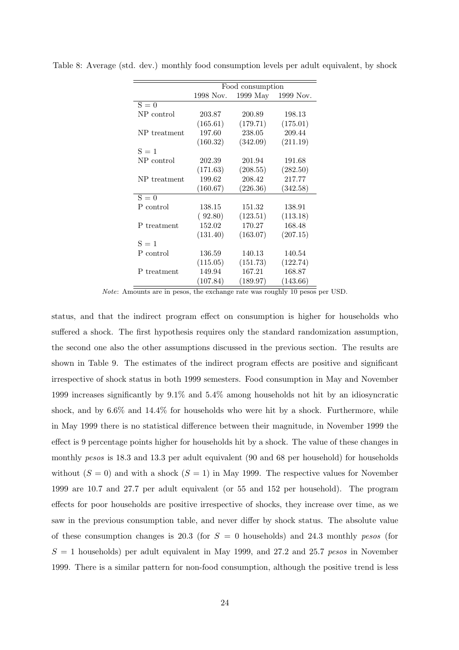|              | Food consumption |          |                    |  |  |  |  |  |
|--------------|------------------|----------|--------------------|--|--|--|--|--|
|              | 1998 Nov.        |          | 1999 May 1999 Nov. |  |  |  |  |  |
| $S = 0$      |                  |          |                    |  |  |  |  |  |
| NP control   | 203.87           | 200.89   | 198.13             |  |  |  |  |  |
|              | (165.61)         | (179.71) | (175.01)           |  |  |  |  |  |
| NP treatment | 197.60           | 238.05   | 209.44             |  |  |  |  |  |
|              | (160.32)         | (342.09) | (211.19)           |  |  |  |  |  |
| $S = 1$      |                  |          |                    |  |  |  |  |  |
| NP control   | 202.39           | 201.94   | 191.68             |  |  |  |  |  |
|              | (171.63)         | (208.55) | (282.50)           |  |  |  |  |  |
| NP treatment | 199.62           | 208.42   | 217.77             |  |  |  |  |  |
|              | (160.67)         | (226.36) | (342.58)           |  |  |  |  |  |
| $S = 0$      |                  |          |                    |  |  |  |  |  |
| P control    | 138.15           | 151.32   | 138.91             |  |  |  |  |  |
|              | (92.80)          | (123.51) | (113.18)           |  |  |  |  |  |
| P treatment  | 152.02           | 170.27   | 168.48             |  |  |  |  |  |
|              | (131.40)         | (163.07) | (207.15)           |  |  |  |  |  |
| $S = 1$      |                  |          |                    |  |  |  |  |  |
| P control    | 136.59           | 140.13   | 140.54             |  |  |  |  |  |
|              | (115.05)         | (151.73) | (122.74)           |  |  |  |  |  |
| P treatment  | 149.94           | 167.21   | 168.87             |  |  |  |  |  |
|              | (107.84)         | (189.97) | (143.66)           |  |  |  |  |  |

Table 8: Average (std. dev.) monthly food consumption levels per adult equivalent, by shock

Note: Amounts are in pesos, the exchange rate was roughly 10 pesos per USD.

status, and that the indirect program effect on consumption is higher for households who suffered a shock. The first hypothesis requires only the standard randomization assumption, the second one also the other assumptions discussed in the previous section. The results are shown in Table 9. The estimates of the indirect program effects are positive and significant irrespective of shock status in both 1999 semesters. Food consumption in May and November 1999 increases significantly by 9.1% and 5.4% among households not hit by an idiosyncratic shock, and by 6.6% and 14.4% for households who were hit by a shock. Furthermore, while in May 1999 there is no statistical difference between their magnitude, in November 1999 the effect is 9 percentage points higher for households hit by a shock. The value of these changes in monthly pesos is 18.3 and 13.3 per adult equivalent (90 and 68 per household) for households without  $(S = 0)$  and with a shock  $(S = 1)$  in May 1999. The respective values for November 1999 are 10.7 and 27.7 per adult equivalent (or 55 and 152 per household). The program effects for poor households are positive irrespective of shocks, they increase over time, as we saw in the previous consumption table, and never differ by shock status. The absolute value of these consumption changes is 20.3 (for  $S = 0$  households) and 24.3 monthly pesos (for  $S = 1$  households) per adult equivalent in May 1999, and 27.2 and 25.7 pesos in November 1999. There is a similar pattern for non-food consumption, although the positive trend is less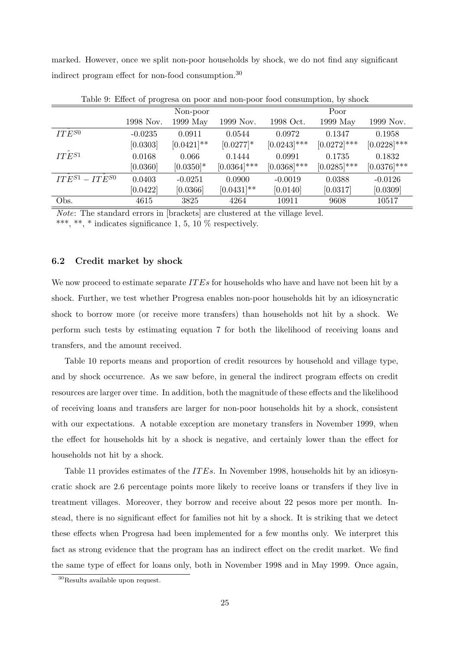marked. However, once we split non-poor households by shock, we do not find any significant indirect program effect for non-food consumption.<sup>30</sup>

|                       |           | Non-poor      |                |                | Poor           |                |
|-----------------------|-----------|---------------|----------------|----------------|----------------|----------------|
|                       | 1998 Nov. | 1999 May      | 1999 Nov.      | 1998 Oct.      | 1999 May       | 1999 Nov.      |
| $ITE^{S0}$            | $-0.0235$ | 0.0911        | 0.0544         | 0.0972         | 0.1347         | 0.1958         |
|                       | [0.0303]  | $[0.0421]$ ** | $[0.0277]$ *   | $[0.0243]$ *** | $[0.0272]$ *** | $[0.0228]$ *** |
| $IT\bar{E}^{S1}$      | 0.0168    | 0.066         | 0.1444         | 0.0991         | 0.1735         | 0.1832         |
|                       | [0.0360]  | $[0.0350]$ *  | $[0.0364]$ *** | $[0.0368]$ *** | $[0.0285]$ *** | $[0.0376]$ *** |
| $ITE^{S1} - ITE^{S0}$ | 0.0403    | $-0.0251$     | 0.0900         | $-0.0019$      | 0.0388         | $-0.0126$      |
|                       | [0.0422]  | [0.0366]      | $[0.0431]$ **  | [0.0140]       | [0.0317]       | [0.0309]       |
| Obs.                  | 4615      | 3825          | 4264           | 10911          | 9608           | 10517          |
|                       |           |               |                |                |                |                |

Table 9: Effect of progresa on poor and non-poor food consumption, by shock

Note: The standard errors in [brackets] are clustered at the village level.

\*\*\*, \*\*, \* indicates significance 1, 5, 10  $\%$  respectively.

### 6.2 Credit market by shock

We now proceed to estimate separate  $ITEs$  for households who have and have not been hit by a shock. Further, we test whether Progresa enables non-poor households hit by an idiosyncratic shock to borrow more (or receive more transfers) than households not hit by a shock. We perform such tests by estimating equation 7 for both the likelihood of receiving loans and transfers, and the amount received.

Table 10 reports means and proportion of credit resources by household and village type, and by shock occurrence. As we saw before, in general the indirect program effects on credit resources are larger over time. In addition, both the magnitude of these effects and the likelihood of receiving loans and transfers are larger for non-poor households hit by a shock, consistent with our expectations. A notable exception are monetary transfers in November 1999, when the effect for households hit by a shock is negative, and certainly lower than the effect for households not hit by a shock.

Table 11 provides estimates of the IT Es. In November 1998, households hit by an idiosyncratic shock are 2.6 percentage points more likely to receive loans or transfers if they live in treatment villages. Moreover, they borrow and receive about 22 pesos more per month. Instead, there is no significant effect for families not hit by a shock. It is striking that we detect these effects when Progresa had been implemented for a few months only. We interpret this fact as strong evidence that the program has an indirect effect on the credit market. We find the same type of effect for loans only, both in November 1998 and in May 1999. Once again,

<sup>&</sup>lt;sup>30</sup>Results available upon request.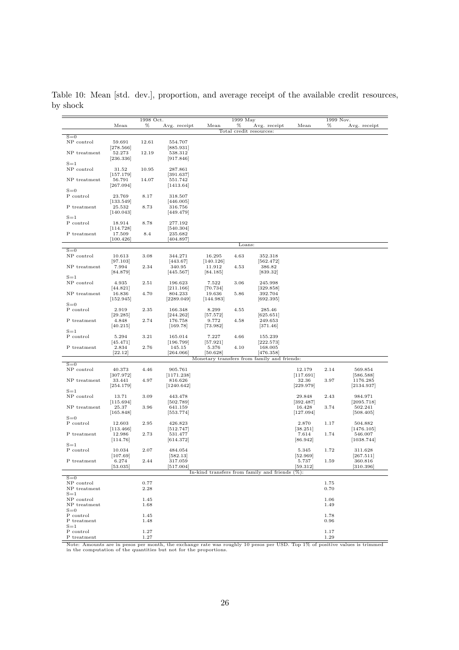Table 10: Mean [std. dev.], proportion, and average receipt of the available credit resources, by shock

| %<br>%<br>%<br>Mean<br>Mean<br>Avg. receipt<br>Avg. receipt<br>Mean<br>Avg. receipt<br>Total credit resources:<br>$S=0$<br>NP control<br>554.707<br>59.691<br>12.61<br>[278.566]<br>[885.931]<br>NP treatment<br>52.273<br>12.19<br>538.312<br>[917.846]<br>[236.336]<br>$S=1$<br>NP control<br>10.95<br>31.52<br>287.861<br>[391.637]<br>[157.179]<br>551.742<br>NP treatment<br>56.791<br>14.07<br>[1413.64]<br>[267.094]<br>$S=0$<br>P control<br>8.17<br>23.769<br>318.507<br>[133.549]<br>[446.005]<br>P treatment<br>25.532<br>8.73<br>316.756<br>[140.043]<br>[449.479]<br>$S=1$<br>P control<br>8.78<br>18.914<br>277.192<br>[114.728]<br>[540.304]<br>P treatment<br>17.509<br>8.4<br>235.682<br>[100.426]<br>[404.897]<br>Loans:<br>$S=0$<br>NP control<br>3.08<br>4.63<br>10.613<br>344.271<br>16.295<br>352.318<br>[97.103]<br>[443.67]<br>[140.126]<br>$[562.472]$<br>2.34<br>NP treatment<br>7.994<br>340.95<br>11.912<br>4.53<br>386.82<br>[84.879]<br>[445.567]<br>[84.185]<br>[839.32]<br>$S=1$<br>NP control<br>4.935<br>2.51<br>3.06<br>196.623<br>7.522<br>245.998<br>[44.821]<br>[211.166]<br>[70.734]<br>[329.858]<br>5.86<br>NP treatment<br>16.836<br>4.70<br>804.233<br>19.636<br>392.704<br>[152.945]<br>[2289.049]<br>[144.983]<br>[692.395]<br>$S=0$<br>P control<br>2.919<br>2.35<br>166.348<br>8.299<br>4.55<br>285.46<br>[29.285]<br>[244.262]<br>[57.572]<br>[625.651]<br>176.758<br>P treatment<br>4.848<br>2.74<br>9.772<br>4.58<br>249.653<br>[40.215]<br>[169.78]<br>[73.982]<br>[371.46]<br>$S=1$<br>P control<br>4.66<br>5.294<br>3.21<br>165.014<br>7.227<br>155.239<br>$[196.799]$<br>[57.921]<br>[222.573]<br> 45.471 <br>2.834<br>2.76<br>145.15<br>4.10<br>168.005<br>P treatment<br>5.376<br>[264.066]<br>[476.358]<br>[22.12]<br>[50.628]<br>Monetary transfers from family and friends:<br>$S=0$<br>NP control<br>905.761<br>40.373<br>4.46<br>12.179<br>2.14<br>569.854<br>[117.691]<br>[307.972]<br>[1171.238]<br>[586.588]<br>NP treatment<br>33.441<br>4.97<br>816.626<br>32.36<br>3.97<br>1176.285<br>[254.179]<br>[1240.642]<br>[229.979]<br>[2134.937]<br>$S=1$<br>3.09<br>2.43<br>NP control<br>13.71<br>443.478<br>29.848<br>984.971<br>[502.789]<br>[115.694]<br>[392.487]<br>[2095.718]<br>3.96<br>641.159<br>502.241<br>NP treatment<br>25.37<br>16.428<br>3.74<br>[165.848]<br>[553.774]<br>[127.094]<br>[508.405]<br>$S=0$<br>P control<br>12.603<br>2.95<br>426.823<br>2.870<br>504.882<br>1.17<br>[512.747]<br>[38.251]<br>[1476.105]<br> 113.466 <br>12.986<br>2.73<br>531.477<br>7.614<br>1.74<br>546.007<br>P treatment<br>[114.76]<br>[614.372]<br>[86.942]<br>[1038.744]<br>$S = 1$<br>P control<br>2.07<br>1.72<br>10.034<br>484.054<br>5.345<br>311.628<br>[107.69]<br>[582.13]<br>[52.969]<br>[267.511]<br>2.44<br>6.274<br>317.059<br>1.59<br>360.816<br>P treatment<br>5.737<br>[53.035]<br>[517.004]<br>[59.312]<br>[310.396]<br>In-kind transfers from family and friends<br>$($ %):<br>$S=0$<br>0.77<br>NP control<br>1.75<br>NP treatment<br>2.28<br>0.70<br>$S=1$<br>NP control<br>1.45<br>1.06<br>NP treatment<br>1.68<br>1.49<br>$S=0$<br>P control<br>1.45<br>1.78<br>P treatment<br>0.96<br>1.48<br>$S = 1$ |  | 1998 Oct. |  | 1999 May | 1999 Nov. |  |  |
|----------------------------------------------------------------------------------------------------------------------------------------------------------------------------------------------------------------------------------------------------------------------------------------------------------------------------------------------------------------------------------------------------------------------------------------------------------------------------------------------------------------------------------------------------------------------------------------------------------------------------------------------------------------------------------------------------------------------------------------------------------------------------------------------------------------------------------------------------------------------------------------------------------------------------------------------------------------------------------------------------------------------------------------------------------------------------------------------------------------------------------------------------------------------------------------------------------------------------------------------------------------------------------------------------------------------------------------------------------------------------------------------------------------------------------------------------------------------------------------------------------------------------------------------------------------------------------------------------------------------------------------------------------------------------------------------------------------------------------------------------------------------------------------------------------------------------------------------------------------------------------------------------------------------------------------------------------------------------------------------------------------------------------------------------------------------------------------------------------------------------------------------------------------------------------------------------------------------------------------------------------------------------------------------------------------------------------------------------------------------------------------------------------------------------------------------------------------------------------------------------------------------------------------------------------------------------------------------------------------------------------------------------------------------------------------------------------------------------------------------------------------------------------------------------------------------------------------------------------------------------------------------------------------------------------------------------------------------------------------------------------------------------------------------------------------------------------------------------------------------------------------------------------------------------------------------|--|-----------|--|----------|-----------|--|--|
|                                                                                                                                                                                                                                                                                                                                                                                                                                                                                                                                                                                                                                                                                                                                                                                                                                                                                                                                                                                                                                                                                                                                                                                                                                                                                                                                                                                                                                                                                                                                                                                                                                                                                                                                                                                                                                                                                                                                                                                                                                                                                                                                                                                                                                                                                                                                                                                                                                                                                                                                                                                                                                                                                                                                                                                                                                                                                                                                                                                                                                                                                                                                                                                              |  |           |  |          |           |  |  |
|                                                                                                                                                                                                                                                                                                                                                                                                                                                                                                                                                                                                                                                                                                                                                                                                                                                                                                                                                                                                                                                                                                                                                                                                                                                                                                                                                                                                                                                                                                                                                                                                                                                                                                                                                                                                                                                                                                                                                                                                                                                                                                                                                                                                                                                                                                                                                                                                                                                                                                                                                                                                                                                                                                                                                                                                                                                                                                                                                                                                                                                                                                                                                                                              |  |           |  |          |           |  |  |
|                                                                                                                                                                                                                                                                                                                                                                                                                                                                                                                                                                                                                                                                                                                                                                                                                                                                                                                                                                                                                                                                                                                                                                                                                                                                                                                                                                                                                                                                                                                                                                                                                                                                                                                                                                                                                                                                                                                                                                                                                                                                                                                                                                                                                                                                                                                                                                                                                                                                                                                                                                                                                                                                                                                                                                                                                                                                                                                                                                                                                                                                                                                                                                                              |  |           |  |          |           |  |  |
|                                                                                                                                                                                                                                                                                                                                                                                                                                                                                                                                                                                                                                                                                                                                                                                                                                                                                                                                                                                                                                                                                                                                                                                                                                                                                                                                                                                                                                                                                                                                                                                                                                                                                                                                                                                                                                                                                                                                                                                                                                                                                                                                                                                                                                                                                                                                                                                                                                                                                                                                                                                                                                                                                                                                                                                                                                                                                                                                                                                                                                                                                                                                                                                              |  |           |  |          |           |  |  |
|                                                                                                                                                                                                                                                                                                                                                                                                                                                                                                                                                                                                                                                                                                                                                                                                                                                                                                                                                                                                                                                                                                                                                                                                                                                                                                                                                                                                                                                                                                                                                                                                                                                                                                                                                                                                                                                                                                                                                                                                                                                                                                                                                                                                                                                                                                                                                                                                                                                                                                                                                                                                                                                                                                                                                                                                                                                                                                                                                                                                                                                                                                                                                                                              |  |           |  |          |           |  |  |
|                                                                                                                                                                                                                                                                                                                                                                                                                                                                                                                                                                                                                                                                                                                                                                                                                                                                                                                                                                                                                                                                                                                                                                                                                                                                                                                                                                                                                                                                                                                                                                                                                                                                                                                                                                                                                                                                                                                                                                                                                                                                                                                                                                                                                                                                                                                                                                                                                                                                                                                                                                                                                                                                                                                                                                                                                                                                                                                                                                                                                                                                                                                                                                                              |  |           |  |          |           |  |  |
|                                                                                                                                                                                                                                                                                                                                                                                                                                                                                                                                                                                                                                                                                                                                                                                                                                                                                                                                                                                                                                                                                                                                                                                                                                                                                                                                                                                                                                                                                                                                                                                                                                                                                                                                                                                                                                                                                                                                                                                                                                                                                                                                                                                                                                                                                                                                                                                                                                                                                                                                                                                                                                                                                                                                                                                                                                                                                                                                                                                                                                                                                                                                                                                              |  |           |  |          |           |  |  |
|                                                                                                                                                                                                                                                                                                                                                                                                                                                                                                                                                                                                                                                                                                                                                                                                                                                                                                                                                                                                                                                                                                                                                                                                                                                                                                                                                                                                                                                                                                                                                                                                                                                                                                                                                                                                                                                                                                                                                                                                                                                                                                                                                                                                                                                                                                                                                                                                                                                                                                                                                                                                                                                                                                                                                                                                                                                                                                                                                                                                                                                                                                                                                                                              |  |           |  |          |           |  |  |
|                                                                                                                                                                                                                                                                                                                                                                                                                                                                                                                                                                                                                                                                                                                                                                                                                                                                                                                                                                                                                                                                                                                                                                                                                                                                                                                                                                                                                                                                                                                                                                                                                                                                                                                                                                                                                                                                                                                                                                                                                                                                                                                                                                                                                                                                                                                                                                                                                                                                                                                                                                                                                                                                                                                                                                                                                                                                                                                                                                                                                                                                                                                                                                                              |  |           |  |          |           |  |  |
|                                                                                                                                                                                                                                                                                                                                                                                                                                                                                                                                                                                                                                                                                                                                                                                                                                                                                                                                                                                                                                                                                                                                                                                                                                                                                                                                                                                                                                                                                                                                                                                                                                                                                                                                                                                                                                                                                                                                                                                                                                                                                                                                                                                                                                                                                                                                                                                                                                                                                                                                                                                                                                                                                                                                                                                                                                                                                                                                                                                                                                                                                                                                                                                              |  |           |  |          |           |  |  |
|                                                                                                                                                                                                                                                                                                                                                                                                                                                                                                                                                                                                                                                                                                                                                                                                                                                                                                                                                                                                                                                                                                                                                                                                                                                                                                                                                                                                                                                                                                                                                                                                                                                                                                                                                                                                                                                                                                                                                                                                                                                                                                                                                                                                                                                                                                                                                                                                                                                                                                                                                                                                                                                                                                                                                                                                                                                                                                                                                                                                                                                                                                                                                                                              |  |           |  |          |           |  |  |
|                                                                                                                                                                                                                                                                                                                                                                                                                                                                                                                                                                                                                                                                                                                                                                                                                                                                                                                                                                                                                                                                                                                                                                                                                                                                                                                                                                                                                                                                                                                                                                                                                                                                                                                                                                                                                                                                                                                                                                                                                                                                                                                                                                                                                                                                                                                                                                                                                                                                                                                                                                                                                                                                                                                                                                                                                                                                                                                                                                                                                                                                                                                                                                                              |  |           |  |          |           |  |  |
|                                                                                                                                                                                                                                                                                                                                                                                                                                                                                                                                                                                                                                                                                                                                                                                                                                                                                                                                                                                                                                                                                                                                                                                                                                                                                                                                                                                                                                                                                                                                                                                                                                                                                                                                                                                                                                                                                                                                                                                                                                                                                                                                                                                                                                                                                                                                                                                                                                                                                                                                                                                                                                                                                                                                                                                                                                                                                                                                                                                                                                                                                                                                                                                              |  |           |  |          |           |  |  |
|                                                                                                                                                                                                                                                                                                                                                                                                                                                                                                                                                                                                                                                                                                                                                                                                                                                                                                                                                                                                                                                                                                                                                                                                                                                                                                                                                                                                                                                                                                                                                                                                                                                                                                                                                                                                                                                                                                                                                                                                                                                                                                                                                                                                                                                                                                                                                                                                                                                                                                                                                                                                                                                                                                                                                                                                                                                                                                                                                                                                                                                                                                                                                                                              |  |           |  |          |           |  |  |
|                                                                                                                                                                                                                                                                                                                                                                                                                                                                                                                                                                                                                                                                                                                                                                                                                                                                                                                                                                                                                                                                                                                                                                                                                                                                                                                                                                                                                                                                                                                                                                                                                                                                                                                                                                                                                                                                                                                                                                                                                                                                                                                                                                                                                                                                                                                                                                                                                                                                                                                                                                                                                                                                                                                                                                                                                                                                                                                                                                                                                                                                                                                                                                                              |  |           |  |          |           |  |  |
|                                                                                                                                                                                                                                                                                                                                                                                                                                                                                                                                                                                                                                                                                                                                                                                                                                                                                                                                                                                                                                                                                                                                                                                                                                                                                                                                                                                                                                                                                                                                                                                                                                                                                                                                                                                                                                                                                                                                                                                                                                                                                                                                                                                                                                                                                                                                                                                                                                                                                                                                                                                                                                                                                                                                                                                                                                                                                                                                                                                                                                                                                                                                                                                              |  |           |  |          |           |  |  |
|                                                                                                                                                                                                                                                                                                                                                                                                                                                                                                                                                                                                                                                                                                                                                                                                                                                                                                                                                                                                                                                                                                                                                                                                                                                                                                                                                                                                                                                                                                                                                                                                                                                                                                                                                                                                                                                                                                                                                                                                                                                                                                                                                                                                                                                                                                                                                                                                                                                                                                                                                                                                                                                                                                                                                                                                                                                                                                                                                                                                                                                                                                                                                                                              |  |           |  |          |           |  |  |
|                                                                                                                                                                                                                                                                                                                                                                                                                                                                                                                                                                                                                                                                                                                                                                                                                                                                                                                                                                                                                                                                                                                                                                                                                                                                                                                                                                                                                                                                                                                                                                                                                                                                                                                                                                                                                                                                                                                                                                                                                                                                                                                                                                                                                                                                                                                                                                                                                                                                                                                                                                                                                                                                                                                                                                                                                                                                                                                                                                                                                                                                                                                                                                                              |  |           |  |          |           |  |  |
|                                                                                                                                                                                                                                                                                                                                                                                                                                                                                                                                                                                                                                                                                                                                                                                                                                                                                                                                                                                                                                                                                                                                                                                                                                                                                                                                                                                                                                                                                                                                                                                                                                                                                                                                                                                                                                                                                                                                                                                                                                                                                                                                                                                                                                                                                                                                                                                                                                                                                                                                                                                                                                                                                                                                                                                                                                                                                                                                                                                                                                                                                                                                                                                              |  |           |  |          |           |  |  |
|                                                                                                                                                                                                                                                                                                                                                                                                                                                                                                                                                                                                                                                                                                                                                                                                                                                                                                                                                                                                                                                                                                                                                                                                                                                                                                                                                                                                                                                                                                                                                                                                                                                                                                                                                                                                                                                                                                                                                                                                                                                                                                                                                                                                                                                                                                                                                                                                                                                                                                                                                                                                                                                                                                                                                                                                                                                                                                                                                                                                                                                                                                                                                                                              |  |           |  |          |           |  |  |
|                                                                                                                                                                                                                                                                                                                                                                                                                                                                                                                                                                                                                                                                                                                                                                                                                                                                                                                                                                                                                                                                                                                                                                                                                                                                                                                                                                                                                                                                                                                                                                                                                                                                                                                                                                                                                                                                                                                                                                                                                                                                                                                                                                                                                                                                                                                                                                                                                                                                                                                                                                                                                                                                                                                                                                                                                                                                                                                                                                                                                                                                                                                                                                                              |  |           |  |          |           |  |  |
|                                                                                                                                                                                                                                                                                                                                                                                                                                                                                                                                                                                                                                                                                                                                                                                                                                                                                                                                                                                                                                                                                                                                                                                                                                                                                                                                                                                                                                                                                                                                                                                                                                                                                                                                                                                                                                                                                                                                                                                                                                                                                                                                                                                                                                                                                                                                                                                                                                                                                                                                                                                                                                                                                                                                                                                                                                                                                                                                                                                                                                                                                                                                                                                              |  |           |  |          |           |  |  |
|                                                                                                                                                                                                                                                                                                                                                                                                                                                                                                                                                                                                                                                                                                                                                                                                                                                                                                                                                                                                                                                                                                                                                                                                                                                                                                                                                                                                                                                                                                                                                                                                                                                                                                                                                                                                                                                                                                                                                                                                                                                                                                                                                                                                                                                                                                                                                                                                                                                                                                                                                                                                                                                                                                                                                                                                                                                                                                                                                                                                                                                                                                                                                                                              |  |           |  |          |           |  |  |
|                                                                                                                                                                                                                                                                                                                                                                                                                                                                                                                                                                                                                                                                                                                                                                                                                                                                                                                                                                                                                                                                                                                                                                                                                                                                                                                                                                                                                                                                                                                                                                                                                                                                                                                                                                                                                                                                                                                                                                                                                                                                                                                                                                                                                                                                                                                                                                                                                                                                                                                                                                                                                                                                                                                                                                                                                                                                                                                                                                                                                                                                                                                                                                                              |  |           |  |          |           |  |  |
|                                                                                                                                                                                                                                                                                                                                                                                                                                                                                                                                                                                                                                                                                                                                                                                                                                                                                                                                                                                                                                                                                                                                                                                                                                                                                                                                                                                                                                                                                                                                                                                                                                                                                                                                                                                                                                                                                                                                                                                                                                                                                                                                                                                                                                                                                                                                                                                                                                                                                                                                                                                                                                                                                                                                                                                                                                                                                                                                                                                                                                                                                                                                                                                              |  |           |  |          |           |  |  |
|                                                                                                                                                                                                                                                                                                                                                                                                                                                                                                                                                                                                                                                                                                                                                                                                                                                                                                                                                                                                                                                                                                                                                                                                                                                                                                                                                                                                                                                                                                                                                                                                                                                                                                                                                                                                                                                                                                                                                                                                                                                                                                                                                                                                                                                                                                                                                                                                                                                                                                                                                                                                                                                                                                                                                                                                                                                                                                                                                                                                                                                                                                                                                                                              |  |           |  |          |           |  |  |
|                                                                                                                                                                                                                                                                                                                                                                                                                                                                                                                                                                                                                                                                                                                                                                                                                                                                                                                                                                                                                                                                                                                                                                                                                                                                                                                                                                                                                                                                                                                                                                                                                                                                                                                                                                                                                                                                                                                                                                                                                                                                                                                                                                                                                                                                                                                                                                                                                                                                                                                                                                                                                                                                                                                                                                                                                                                                                                                                                                                                                                                                                                                                                                                              |  |           |  |          |           |  |  |
|                                                                                                                                                                                                                                                                                                                                                                                                                                                                                                                                                                                                                                                                                                                                                                                                                                                                                                                                                                                                                                                                                                                                                                                                                                                                                                                                                                                                                                                                                                                                                                                                                                                                                                                                                                                                                                                                                                                                                                                                                                                                                                                                                                                                                                                                                                                                                                                                                                                                                                                                                                                                                                                                                                                                                                                                                                                                                                                                                                                                                                                                                                                                                                                              |  |           |  |          |           |  |  |
|                                                                                                                                                                                                                                                                                                                                                                                                                                                                                                                                                                                                                                                                                                                                                                                                                                                                                                                                                                                                                                                                                                                                                                                                                                                                                                                                                                                                                                                                                                                                                                                                                                                                                                                                                                                                                                                                                                                                                                                                                                                                                                                                                                                                                                                                                                                                                                                                                                                                                                                                                                                                                                                                                                                                                                                                                                                                                                                                                                                                                                                                                                                                                                                              |  |           |  |          |           |  |  |
|                                                                                                                                                                                                                                                                                                                                                                                                                                                                                                                                                                                                                                                                                                                                                                                                                                                                                                                                                                                                                                                                                                                                                                                                                                                                                                                                                                                                                                                                                                                                                                                                                                                                                                                                                                                                                                                                                                                                                                                                                                                                                                                                                                                                                                                                                                                                                                                                                                                                                                                                                                                                                                                                                                                                                                                                                                                                                                                                                                                                                                                                                                                                                                                              |  |           |  |          |           |  |  |
|                                                                                                                                                                                                                                                                                                                                                                                                                                                                                                                                                                                                                                                                                                                                                                                                                                                                                                                                                                                                                                                                                                                                                                                                                                                                                                                                                                                                                                                                                                                                                                                                                                                                                                                                                                                                                                                                                                                                                                                                                                                                                                                                                                                                                                                                                                                                                                                                                                                                                                                                                                                                                                                                                                                                                                                                                                                                                                                                                                                                                                                                                                                                                                                              |  |           |  |          |           |  |  |
|                                                                                                                                                                                                                                                                                                                                                                                                                                                                                                                                                                                                                                                                                                                                                                                                                                                                                                                                                                                                                                                                                                                                                                                                                                                                                                                                                                                                                                                                                                                                                                                                                                                                                                                                                                                                                                                                                                                                                                                                                                                                                                                                                                                                                                                                                                                                                                                                                                                                                                                                                                                                                                                                                                                                                                                                                                                                                                                                                                                                                                                                                                                                                                                              |  |           |  |          |           |  |  |
|                                                                                                                                                                                                                                                                                                                                                                                                                                                                                                                                                                                                                                                                                                                                                                                                                                                                                                                                                                                                                                                                                                                                                                                                                                                                                                                                                                                                                                                                                                                                                                                                                                                                                                                                                                                                                                                                                                                                                                                                                                                                                                                                                                                                                                                                                                                                                                                                                                                                                                                                                                                                                                                                                                                                                                                                                                                                                                                                                                                                                                                                                                                                                                                              |  |           |  |          |           |  |  |
|                                                                                                                                                                                                                                                                                                                                                                                                                                                                                                                                                                                                                                                                                                                                                                                                                                                                                                                                                                                                                                                                                                                                                                                                                                                                                                                                                                                                                                                                                                                                                                                                                                                                                                                                                                                                                                                                                                                                                                                                                                                                                                                                                                                                                                                                                                                                                                                                                                                                                                                                                                                                                                                                                                                                                                                                                                                                                                                                                                                                                                                                                                                                                                                              |  |           |  |          |           |  |  |
|                                                                                                                                                                                                                                                                                                                                                                                                                                                                                                                                                                                                                                                                                                                                                                                                                                                                                                                                                                                                                                                                                                                                                                                                                                                                                                                                                                                                                                                                                                                                                                                                                                                                                                                                                                                                                                                                                                                                                                                                                                                                                                                                                                                                                                                                                                                                                                                                                                                                                                                                                                                                                                                                                                                                                                                                                                                                                                                                                                                                                                                                                                                                                                                              |  |           |  |          |           |  |  |
|                                                                                                                                                                                                                                                                                                                                                                                                                                                                                                                                                                                                                                                                                                                                                                                                                                                                                                                                                                                                                                                                                                                                                                                                                                                                                                                                                                                                                                                                                                                                                                                                                                                                                                                                                                                                                                                                                                                                                                                                                                                                                                                                                                                                                                                                                                                                                                                                                                                                                                                                                                                                                                                                                                                                                                                                                                                                                                                                                                                                                                                                                                                                                                                              |  |           |  |          |           |  |  |
|                                                                                                                                                                                                                                                                                                                                                                                                                                                                                                                                                                                                                                                                                                                                                                                                                                                                                                                                                                                                                                                                                                                                                                                                                                                                                                                                                                                                                                                                                                                                                                                                                                                                                                                                                                                                                                                                                                                                                                                                                                                                                                                                                                                                                                                                                                                                                                                                                                                                                                                                                                                                                                                                                                                                                                                                                                                                                                                                                                                                                                                                                                                                                                                              |  |           |  |          |           |  |  |
|                                                                                                                                                                                                                                                                                                                                                                                                                                                                                                                                                                                                                                                                                                                                                                                                                                                                                                                                                                                                                                                                                                                                                                                                                                                                                                                                                                                                                                                                                                                                                                                                                                                                                                                                                                                                                                                                                                                                                                                                                                                                                                                                                                                                                                                                                                                                                                                                                                                                                                                                                                                                                                                                                                                                                                                                                                                                                                                                                                                                                                                                                                                                                                                              |  |           |  |          |           |  |  |
|                                                                                                                                                                                                                                                                                                                                                                                                                                                                                                                                                                                                                                                                                                                                                                                                                                                                                                                                                                                                                                                                                                                                                                                                                                                                                                                                                                                                                                                                                                                                                                                                                                                                                                                                                                                                                                                                                                                                                                                                                                                                                                                                                                                                                                                                                                                                                                                                                                                                                                                                                                                                                                                                                                                                                                                                                                                                                                                                                                                                                                                                                                                                                                                              |  |           |  |          |           |  |  |
|                                                                                                                                                                                                                                                                                                                                                                                                                                                                                                                                                                                                                                                                                                                                                                                                                                                                                                                                                                                                                                                                                                                                                                                                                                                                                                                                                                                                                                                                                                                                                                                                                                                                                                                                                                                                                                                                                                                                                                                                                                                                                                                                                                                                                                                                                                                                                                                                                                                                                                                                                                                                                                                                                                                                                                                                                                                                                                                                                                                                                                                                                                                                                                                              |  |           |  |          |           |  |  |
|                                                                                                                                                                                                                                                                                                                                                                                                                                                                                                                                                                                                                                                                                                                                                                                                                                                                                                                                                                                                                                                                                                                                                                                                                                                                                                                                                                                                                                                                                                                                                                                                                                                                                                                                                                                                                                                                                                                                                                                                                                                                                                                                                                                                                                                                                                                                                                                                                                                                                                                                                                                                                                                                                                                                                                                                                                                                                                                                                                                                                                                                                                                                                                                              |  |           |  |          |           |  |  |
|                                                                                                                                                                                                                                                                                                                                                                                                                                                                                                                                                                                                                                                                                                                                                                                                                                                                                                                                                                                                                                                                                                                                                                                                                                                                                                                                                                                                                                                                                                                                                                                                                                                                                                                                                                                                                                                                                                                                                                                                                                                                                                                                                                                                                                                                                                                                                                                                                                                                                                                                                                                                                                                                                                                                                                                                                                                                                                                                                                                                                                                                                                                                                                                              |  |           |  |          |           |  |  |
|                                                                                                                                                                                                                                                                                                                                                                                                                                                                                                                                                                                                                                                                                                                                                                                                                                                                                                                                                                                                                                                                                                                                                                                                                                                                                                                                                                                                                                                                                                                                                                                                                                                                                                                                                                                                                                                                                                                                                                                                                                                                                                                                                                                                                                                                                                                                                                                                                                                                                                                                                                                                                                                                                                                                                                                                                                                                                                                                                                                                                                                                                                                                                                                              |  |           |  |          |           |  |  |
|                                                                                                                                                                                                                                                                                                                                                                                                                                                                                                                                                                                                                                                                                                                                                                                                                                                                                                                                                                                                                                                                                                                                                                                                                                                                                                                                                                                                                                                                                                                                                                                                                                                                                                                                                                                                                                                                                                                                                                                                                                                                                                                                                                                                                                                                                                                                                                                                                                                                                                                                                                                                                                                                                                                                                                                                                                                                                                                                                                                                                                                                                                                                                                                              |  |           |  |          |           |  |  |
|                                                                                                                                                                                                                                                                                                                                                                                                                                                                                                                                                                                                                                                                                                                                                                                                                                                                                                                                                                                                                                                                                                                                                                                                                                                                                                                                                                                                                                                                                                                                                                                                                                                                                                                                                                                                                                                                                                                                                                                                                                                                                                                                                                                                                                                                                                                                                                                                                                                                                                                                                                                                                                                                                                                                                                                                                                                                                                                                                                                                                                                                                                                                                                                              |  |           |  |          |           |  |  |
|                                                                                                                                                                                                                                                                                                                                                                                                                                                                                                                                                                                                                                                                                                                                                                                                                                                                                                                                                                                                                                                                                                                                                                                                                                                                                                                                                                                                                                                                                                                                                                                                                                                                                                                                                                                                                                                                                                                                                                                                                                                                                                                                                                                                                                                                                                                                                                                                                                                                                                                                                                                                                                                                                                                                                                                                                                                                                                                                                                                                                                                                                                                                                                                              |  |           |  |          |           |  |  |
|                                                                                                                                                                                                                                                                                                                                                                                                                                                                                                                                                                                                                                                                                                                                                                                                                                                                                                                                                                                                                                                                                                                                                                                                                                                                                                                                                                                                                                                                                                                                                                                                                                                                                                                                                                                                                                                                                                                                                                                                                                                                                                                                                                                                                                                                                                                                                                                                                                                                                                                                                                                                                                                                                                                                                                                                                                                                                                                                                                                                                                                                                                                                                                                              |  |           |  |          |           |  |  |
|                                                                                                                                                                                                                                                                                                                                                                                                                                                                                                                                                                                                                                                                                                                                                                                                                                                                                                                                                                                                                                                                                                                                                                                                                                                                                                                                                                                                                                                                                                                                                                                                                                                                                                                                                                                                                                                                                                                                                                                                                                                                                                                                                                                                                                                                                                                                                                                                                                                                                                                                                                                                                                                                                                                                                                                                                                                                                                                                                                                                                                                                                                                                                                                              |  |           |  |          |           |  |  |
|                                                                                                                                                                                                                                                                                                                                                                                                                                                                                                                                                                                                                                                                                                                                                                                                                                                                                                                                                                                                                                                                                                                                                                                                                                                                                                                                                                                                                                                                                                                                                                                                                                                                                                                                                                                                                                                                                                                                                                                                                                                                                                                                                                                                                                                                                                                                                                                                                                                                                                                                                                                                                                                                                                                                                                                                                                                                                                                                                                                                                                                                                                                                                                                              |  |           |  |          |           |  |  |
|                                                                                                                                                                                                                                                                                                                                                                                                                                                                                                                                                                                                                                                                                                                                                                                                                                                                                                                                                                                                                                                                                                                                                                                                                                                                                                                                                                                                                                                                                                                                                                                                                                                                                                                                                                                                                                                                                                                                                                                                                                                                                                                                                                                                                                                                                                                                                                                                                                                                                                                                                                                                                                                                                                                                                                                                                                                                                                                                                                                                                                                                                                                                                                                              |  |           |  |          |           |  |  |
|                                                                                                                                                                                                                                                                                                                                                                                                                                                                                                                                                                                                                                                                                                                                                                                                                                                                                                                                                                                                                                                                                                                                                                                                                                                                                                                                                                                                                                                                                                                                                                                                                                                                                                                                                                                                                                                                                                                                                                                                                                                                                                                                                                                                                                                                                                                                                                                                                                                                                                                                                                                                                                                                                                                                                                                                                                                                                                                                                                                                                                                                                                                                                                                              |  |           |  |          |           |  |  |
|                                                                                                                                                                                                                                                                                                                                                                                                                                                                                                                                                                                                                                                                                                                                                                                                                                                                                                                                                                                                                                                                                                                                                                                                                                                                                                                                                                                                                                                                                                                                                                                                                                                                                                                                                                                                                                                                                                                                                                                                                                                                                                                                                                                                                                                                                                                                                                                                                                                                                                                                                                                                                                                                                                                                                                                                                                                                                                                                                                                                                                                                                                                                                                                              |  |           |  |          |           |  |  |
|                                                                                                                                                                                                                                                                                                                                                                                                                                                                                                                                                                                                                                                                                                                                                                                                                                                                                                                                                                                                                                                                                                                                                                                                                                                                                                                                                                                                                                                                                                                                                                                                                                                                                                                                                                                                                                                                                                                                                                                                                                                                                                                                                                                                                                                                                                                                                                                                                                                                                                                                                                                                                                                                                                                                                                                                                                                                                                                                                                                                                                                                                                                                                                                              |  |           |  |          |           |  |  |
|                                                                                                                                                                                                                                                                                                                                                                                                                                                                                                                                                                                                                                                                                                                                                                                                                                                                                                                                                                                                                                                                                                                                                                                                                                                                                                                                                                                                                                                                                                                                                                                                                                                                                                                                                                                                                                                                                                                                                                                                                                                                                                                                                                                                                                                                                                                                                                                                                                                                                                                                                                                                                                                                                                                                                                                                                                                                                                                                                                                                                                                                                                                                                                                              |  |           |  |          |           |  |  |
|                                                                                                                                                                                                                                                                                                                                                                                                                                                                                                                                                                                                                                                                                                                                                                                                                                                                                                                                                                                                                                                                                                                                                                                                                                                                                                                                                                                                                                                                                                                                                                                                                                                                                                                                                                                                                                                                                                                                                                                                                                                                                                                                                                                                                                                                                                                                                                                                                                                                                                                                                                                                                                                                                                                                                                                                                                                                                                                                                                                                                                                                                                                                                                                              |  |           |  |          |           |  |  |
|                                                                                                                                                                                                                                                                                                                                                                                                                                                                                                                                                                                                                                                                                                                                                                                                                                                                                                                                                                                                                                                                                                                                                                                                                                                                                                                                                                                                                                                                                                                                                                                                                                                                                                                                                                                                                                                                                                                                                                                                                                                                                                                                                                                                                                                                                                                                                                                                                                                                                                                                                                                                                                                                                                                                                                                                                                                                                                                                                                                                                                                                                                                                                                                              |  |           |  |          |           |  |  |
|                                                                                                                                                                                                                                                                                                                                                                                                                                                                                                                                                                                                                                                                                                                                                                                                                                                                                                                                                                                                                                                                                                                                                                                                                                                                                                                                                                                                                                                                                                                                                                                                                                                                                                                                                                                                                                                                                                                                                                                                                                                                                                                                                                                                                                                                                                                                                                                                                                                                                                                                                                                                                                                                                                                                                                                                                                                                                                                                                                                                                                                                                                                                                                                              |  |           |  |          |           |  |  |
|                                                                                                                                                                                                                                                                                                                                                                                                                                                                                                                                                                                                                                                                                                                                                                                                                                                                                                                                                                                                                                                                                                                                                                                                                                                                                                                                                                                                                                                                                                                                                                                                                                                                                                                                                                                                                                                                                                                                                                                                                                                                                                                                                                                                                                                                                                                                                                                                                                                                                                                                                                                                                                                                                                                                                                                                                                                                                                                                                                                                                                                                                                                                                                                              |  |           |  |          |           |  |  |
|                                                                                                                                                                                                                                                                                                                                                                                                                                                                                                                                                                                                                                                                                                                                                                                                                                                                                                                                                                                                                                                                                                                                                                                                                                                                                                                                                                                                                                                                                                                                                                                                                                                                                                                                                                                                                                                                                                                                                                                                                                                                                                                                                                                                                                                                                                                                                                                                                                                                                                                                                                                                                                                                                                                                                                                                                                                                                                                                                                                                                                                                                                                                                                                              |  |           |  |          |           |  |  |
|                                                                                                                                                                                                                                                                                                                                                                                                                                                                                                                                                                                                                                                                                                                                                                                                                                                                                                                                                                                                                                                                                                                                                                                                                                                                                                                                                                                                                                                                                                                                                                                                                                                                                                                                                                                                                                                                                                                                                                                                                                                                                                                                                                                                                                                                                                                                                                                                                                                                                                                                                                                                                                                                                                                                                                                                                                                                                                                                                                                                                                                                                                                                                                                              |  |           |  |          |           |  |  |
|                                                                                                                                                                                                                                                                                                                                                                                                                                                                                                                                                                                                                                                                                                                                                                                                                                                                                                                                                                                                                                                                                                                                                                                                                                                                                                                                                                                                                                                                                                                                                                                                                                                                                                                                                                                                                                                                                                                                                                                                                                                                                                                                                                                                                                                                                                                                                                                                                                                                                                                                                                                                                                                                                                                                                                                                                                                                                                                                                                                                                                                                                                                                                                                              |  |           |  |          |           |  |  |
|                                                                                                                                                                                                                                                                                                                                                                                                                                                                                                                                                                                                                                                                                                                                                                                                                                                                                                                                                                                                                                                                                                                                                                                                                                                                                                                                                                                                                                                                                                                                                                                                                                                                                                                                                                                                                                                                                                                                                                                                                                                                                                                                                                                                                                                                                                                                                                                                                                                                                                                                                                                                                                                                                                                                                                                                                                                                                                                                                                                                                                                                                                                                                                                              |  |           |  |          |           |  |  |
|                                                                                                                                                                                                                                                                                                                                                                                                                                                                                                                                                                                                                                                                                                                                                                                                                                                                                                                                                                                                                                                                                                                                                                                                                                                                                                                                                                                                                                                                                                                                                                                                                                                                                                                                                                                                                                                                                                                                                                                                                                                                                                                                                                                                                                                                                                                                                                                                                                                                                                                                                                                                                                                                                                                                                                                                                                                                                                                                                                                                                                                                                                                                                                                              |  |           |  |          |           |  |  |
|                                                                                                                                                                                                                                                                                                                                                                                                                                                                                                                                                                                                                                                                                                                                                                                                                                                                                                                                                                                                                                                                                                                                                                                                                                                                                                                                                                                                                                                                                                                                                                                                                                                                                                                                                                                                                                                                                                                                                                                                                                                                                                                                                                                                                                                                                                                                                                                                                                                                                                                                                                                                                                                                                                                                                                                                                                                                                                                                                                                                                                                                                                                                                                                              |  |           |  |          |           |  |  |
|                                                                                                                                                                                                                                                                                                                                                                                                                                                                                                                                                                                                                                                                                                                                                                                                                                                                                                                                                                                                                                                                                                                                                                                                                                                                                                                                                                                                                                                                                                                                                                                                                                                                                                                                                                                                                                                                                                                                                                                                                                                                                                                                                                                                                                                                                                                                                                                                                                                                                                                                                                                                                                                                                                                                                                                                                                                                                                                                                                                                                                                                                                                                                                                              |  |           |  |          |           |  |  |
|                                                                                                                                                                                                                                                                                                                                                                                                                                                                                                                                                                                                                                                                                                                                                                                                                                                                                                                                                                                                                                                                                                                                                                                                                                                                                                                                                                                                                                                                                                                                                                                                                                                                                                                                                                                                                                                                                                                                                                                                                                                                                                                                                                                                                                                                                                                                                                                                                                                                                                                                                                                                                                                                                                                                                                                                                                                                                                                                                                                                                                                                                                                                                                                              |  |           |  |          |           |  |  |
|                                                                                                                                                                                                                                                                                                                                                                                                                                                                                                                                                                                                                                                                                                                                                                                                                                                                                                                                                                                                                                                                                                                                                                                                                                                                                                                                                                                                                                                                                                                                                                                                                                                                                                                                                                                                                                                                                                                                                                                                                                                                                                                                                                                                                                                                                                                                                                                                                                                                                                                                                                                                                                                                                                                                                                                                                                                                                                                                                                                                                                                                                                                                                                                              |  |           |  |          |           |  |  |
|                                                                                                                                                                                                                                                                                                                                                                                                                                                                                                                                                                                                                                                                                                                                                                                                                                                                                                                                                                                                                                                                                                                                                                                                                                                                                                                                                                                                                                                                                                                                                                                                                                                                                                                                                                                                                                                                                                                                                                                                                                                                                                                                                                                                                                                                                                                                                                                                                                                                                                                                                                                                                                                                                                                                                                                                                                                                                                                                                                                                                                                                                                                                                                                              |  |           |  |          |           |  |  |
|                                                                                                                                                                                                                                                                                                                                                                                                                                                                                                                                                                                                                                                                                                                                                                                                                                                                                                                                                                                                                                                                                                                                                                                                                                                                                                                                                                                                                                                                                                                                                                                                                                                                                                                                                                                                                                                                                                                                                                                                                                                                                                                                                                                                                                                                                                                                                                                                                                                                                                                                                                                                                                                                                                                                                                                                                                                                                                                                                                                                                                                                                                                                                                                              |  |           |  |          |           |  |  |
| P control<br>1.27<br>1.17                                                                                                                                                                                                                                                                                                                                                                                                                                                                                                                                                                                                                                                                                                                                                                                                                                                                                                                                                                                                                                                                                                                                                                                                                                                                                                                                                                                                                                                                                                                                                                                                                                                                                                                                                                                                                                                                                                                                                                                                                                                                                                                                                                                                                                                                                                                                                                                                                                                                                                                                                                                                                                                                                                                                                                                                                                                                                                                                                                                                                                                                                                                                                                    |  |           |  |          |           |  |  |
| 1.29<br>P treatment<br>1.27                                                                                                                                                                                                                                                                                                                                                                                                                                                                                                                                                                                                                                                                                                                                                                                                                                                                                                                                                                                                                                                                                                                                                                                                                                                                                                                                                                                                                                                                                                                                                                                                                                                                                                                                                                                                                                                                                                                                                                                                                                                                                                                                                                                                                                                                                                                                                                                                                                                                                                                                                                                                                                                                                                                                                                                                                                                                                                                                                                                                                                                                                                                                                                  |  |           |  |          |           |  |  |

Note: Amounts are in pesos per month, the exchange rate was roughly 10 pesos per USD. Top 1% of positive values is trimmed in the computation of the quantities but not for the proportions.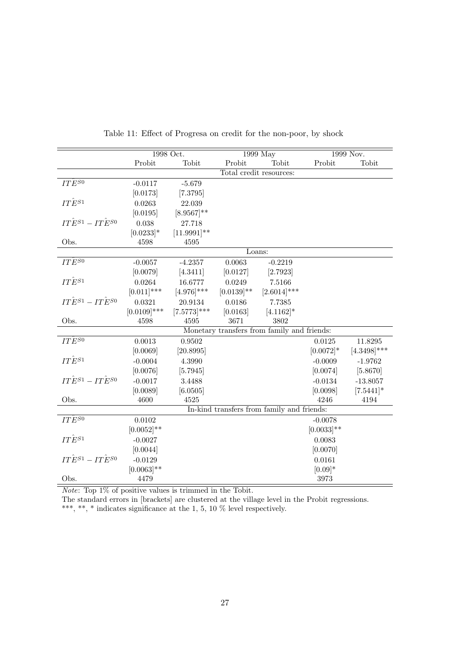|                                 |                | 1998 Oct.        | 1999 May      |                                             | 1999 Nov.     |                |
|---------------------------------|----------------|------------------|---------------|---------------------------------------------|---------------|----------------|
|                                 | Probit         | Tobit            | Probit        | Tobit                                       | Probit        | Tobit          |
|                                 |                |                  |               | Total credit resources:                     |               |                |
| $IT\widetilde{E}^{S0}$          | $-0.0117$      | $-5.679$         |               |                                             |               |                |
|                                 | [0.0173]       | $[7.3795]$       |               |                                             |               |                |
| $IT\hat{E}^{S1}$                | 0.0263         | 22.039           |               |                                             |               |                |
|                                 | [0.0195]       | $[8.9567]^{**}$  |               |                                             |               |                |
| $IT\hat{E}^{S1}-IT\hat{E}^{S0}$ | 0.038          | 27.718           |               |                                             |               |                |
|                                 | $[0.0233]*$    | $[11.9991]^{**}$ |               |                                             |               |                |
| Obs.                            | 4598           | 4595             |               |                                             |               |                |
|                                 |                |                  |               | Loans:                                      |               |                |
| $IT\hat{E}^{S0}$                | $-0.0057$      | $-4.2357$        | 0.0063        | $-0.2219$                                   |               |                |
|                                 | [0.0079]       | [4.3411]         | [0.0127]      | [2.7923]                                    |               |                |
| $IT\hat{E}^{S1}$                | 0.0264         | 16.6777          | 0.0249        | 7.5166                                      |               |                |
|                                 | $[0.011]$ ***  | $[4.976]$ ***    | $[0.0139]$ ** | $[2.6014]$ ***                              |               |                |
| $IT\hat E^{S1}-IT\hat E^{S0}$   | 0.0321         | 20.9134          | 0.0186        | 7.7385                                      |               |                |
|                                 | $[0.0109]$ *** | $[7.5773]***$    | [0.0163]      | $[4.1162]$ *                                |               |                |
| Obs.                            | 4598           | 4595             | 3671          | 3802                                        |               |                |
|                                 |                |                  |               | Monetary transfers from family and friends: |               |                |
| $IT\hat{E}^{S0}$                | 0.0013         | 0.9502           |               |                                             | 0.0125        | 11.8295        |
|                                 | [0.0069]       | [20.8995]        |               |                                             | $[0.0072]$ *  | $[4.3498]$ *** |
| $IT\hat{E}^{S1}$                | $-0.0004$      | 4.3990           |               |                                             | $-0.0009$     | $-1.9762$      |
|                                 | [0.0076]       | [5.7945]         |               |                                             | [0.0074]      | [5.8670]       |
| $IT\hat{E}^{S1}-IT\hat{E}^{S0}$ | $-0.0017$      | 3.4488           |               |                                             | $-0.0134$     | $-13.8057$     |
|                                 | [0.0089]       | [6.0505]         |               |                                             | [0.0098]      | $[7.5441]$ *   |
| Obs.                            | 4600           | 4525             |               |                                             | 4246          | 4194           |
|                                 |                |                  |               | In-kind transfers from family and friends:  |               |                |
| $IT\hat{E}^{S0}$                | 0.0102         |                  |               |                                             | $-0.0078$     |                |
|                                 | $[0.0052]$ **  |                  |               |                                             | $[0.0033]$ ** |                |
| $IT\hat{E}^{S1}$                | $-0.0027$      |                  |               |                                             | 0.0083        |                |
|                                 | [0.0044]       |                  |               |                                             | [0.0070]      |                |
| $IT\hat{E}^{S1}-IT\hat{E}^{S0}$ | $-0.0129$      |                  |               |                                             | 0.0161        |                |
|                                 | $[0.0063]$ **  |                  |               |                                             | $[0.09]*$     |                |
| Obs.                            | 4479           |                  |               |                                             | 3973          |                |

Table 11: Effect of Progresa on credit for the non-poor, by shock

*Note:* Top  $1\%$  of positive values is trimmed in the Tobit.

The standard errors in [brackets] are clustered at the village level in the Probit regressions.

\*\*\*, \*\*, \* indicates significance at the 1, 5, 10  $\%$  level respectively.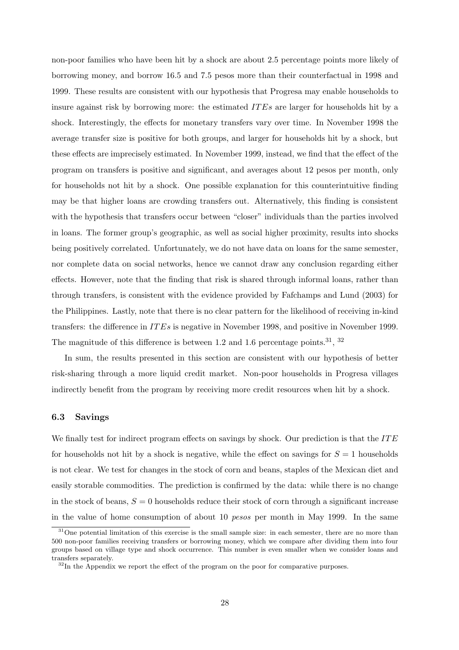non-poor families who have been hit by a shock are about 2.5 percentage points more likely of borrowing money, and borrow 16.5 and 7.5 pesos more than their counterfactual in 1998 and 1999. These results are consistent with our hypothesis that Progresa may enable households to insure against risk by borrowing more: the estimated ITEs are larger for households hit by a shock. Interestingly, the effects for monetary transfers vary over time. In November 1998 the average transfer size is positive for both groups, and larger for households hit by a shock, but these effects are imprecisely estimated. In November 1999, instead, we find that the effect of the program on transfers is positive and significant, and averages about 12 pesos per month, only for households not hit by a shock. One possible explanation for this counterintuitive finding may be that higher loans are crowding transfers out. Alternatively, this finding is consistent with the hypothesis that transfers occur between "closer" individuals than the parties involved in loans. The former group's geographic, as well as social higher proximity, results into shocks being positively correlated. Unfortunately, we do not have data on loans for the same semester, nor complete data on social networks, hence we cannot draw any conclusion regarding either effects. However, note that the finding that risk is shared through informal loans, rather than through transfers, is consistent with the evidence provided by Fafchamps and Lund (2003) for the Philippines. Lastly, note that there is no clear pattern for the likelihood of receiving in-kind transfers: the difference in IT Es is negative in November 1998, and positive in November 1999. The magnitude of this difference is between 1.2 and 1.6 percentage points.<sup>31</sup>, <sup>32</sup>

In sum, the results presented in this section are consistent with our hypothesis of better risk-sharing through a more liquid credit market. Non-poor households in Progresa villages indirectly benefit from the program by receiving more credit resources when hit by a shock.

### 6.3 Savings

We finally test for indirect program effects on savings by shock. Our prediction is that the  $ITE$ for households not hit by a shock is negative, while the effect on savings for  $S = 1$  households is not clear. We test for changes in the stock of corn and beans, staples of the Mexican diet and easily storable commodities. The prediction is confirmed by the data: while there is no change in the stock of beans,  $S = 0$  households reduce their stock of corn through a significant increase in the value of home consumption of about 10 pesos per month in May 1999. In the same

<sup>&</sup>lt;sup>31</sup>One potential limitation of this exercise is the small sample size: in each semester, there are no more than 500 non-poor families receiving transfers or borrowing money, which we compare after dividing them into four groups based on village type and shock occurrence. This number is even smaller when we consider loans and transfers separately.

<sup>&</sup>lt;sup>32</sup>In the Appendix we report the effect of the program on the poor for comparative purposes.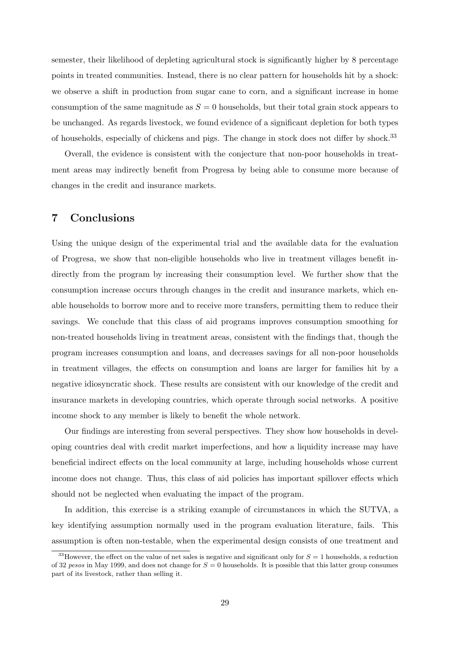semester, their likelihood of depleting agricultural stock is significantly higher by 8 percentage points in treated communities. Instead, there is no clear pattern for households hit by a shock: we observe a shift in production from sugar cane to corn, and a significant increase in home consumption of the same magnitude as  $S = 0$  households, but their total grain stock appears to be unchanged. As regards livestock, we found evidence of a significant depletion for both types of households, especially of chickens and pigs. The change in stock does not differ by shock.<sup>33</sup>

Overall, the evidence is consistent with the conjecture that non-poor households in treatment areas may indirectly benefit from Progresa by being able to consume more because of changes in the credit and insurance markets.

## 7 Conclusions

Using the unique design of the experimental trial and the available data for the evaluation of Progresa, we show that non-eligible households who live in treatment villages benefit indirectly from the program by increasing their consumption level. We further show that the consumption increase occurs through changes in the credit and insurance markets, which enable households to borrow more and to receive more transfers, permitting them to reduce their savings. We conclude that this class of aid programs improves consumption smoothing for non-treated households living in treatment areas, consistent with the findings that, though the program increases consumption and loans, and decreases savings for all non-poor households in treatment villages, the effects on consumption and loans are larger for families hit by a negative idiosyncratic shock. These results are consistent with our knowledge of the credit and insurance markets in developing countries, which operate through social networks. A positive income shock to any member is likely to benefit the whole network.

Our findings are interesting from several perspectives. They show how households in developing countries deal with credit market imperfections, and how a liquidity increase may have beneficial indirect effects on the local community at large, including households whose current income does not change. Thus, this class of aid policies has important spillover effects which should not be neglected when evaluating the impact of the program.

In addition, this exercise is a striking example of circumstances in which the SUTVA, a key identifying assumption normally used in the program evaluation literature, fails. This assumption is often non-testable, when the experimental design consists of one treatment and

<sup>&</sup>lt;sup>33</sup>However, the effect on the value of net sales is negative and significant only for  $S = 1$  households, a reduction of 32 pesos in May 1999, and does not change for  $S = 0$  households. It is possible that this latter group consumes part of its livestock, rather than selling it.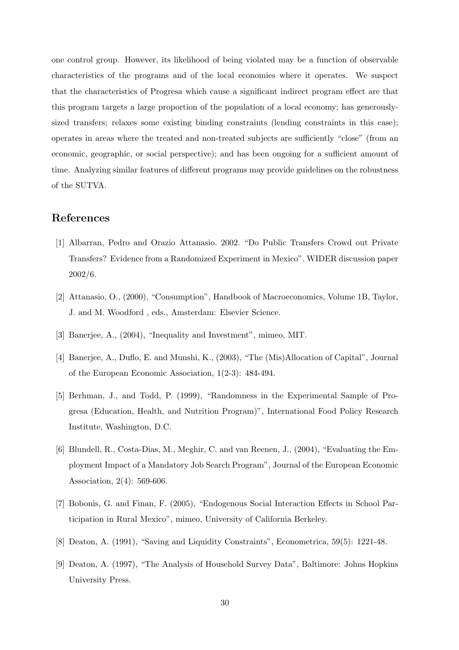one control group. However, its likelihood of being violated may be a function of observable characteristics of the programs and of the local economies where it operates. We suspect that the characteristics of Progresa which cause a significant indirect program effect are that this program targets a large proportion of the population of a local economy; has generouslysized transfers; relaxes some existing binding constraints (lending constraints in this case); operates in areas where the treated and non-treated subjects are sufficiently "close" (from an economic, geographic, or social perspective); and has been ongoing for a sufficient amount of time. Analyzing similar features of different programs may provide guidelines on the robustness of the SUTVA.

## References

- [1] Albarran, Pedro and Orazio Attanasio. 2002. "Do Public Transfers Crowd out Private Transfers? Evidence from a Randomized Experiment in Mexico". WIDER discussion paper 2002/6.
- [2] Attanasio, O., (2000), "Consumption", Handbook of Macroeconomics, Volume 1B, Taylor, J. and M. Woodford , eds., Amsterdam: Elsevier Science.
- [3] Banerjee, A., (2004), "Inequality and Investment", mimeo, MIT.
- [4] Banerjee, A., Duflo, E. and Munshi, K., (2003), "The (Mis)Allocation of Capital", Journal of the European Economic Association, 1(2-3): 484-494.
- [5] Berhman, J., and Todd, P. (1999), "Randomness in the Experimental Sample of Progresa (Education, Health, and Nutrition Program)", International Food Policy Research Institute, Washington, D.C.
- [6] Blundell, R., Costa-Dias, M., Meghir, C. and van Reenen, J., (2004), "Evaluating the Employment Impact of a Mandatory Job Search Program", Journal of the European Economic Association, 2(4): 569-606.
- [7] Bobonis, G. and Finan, F. (2005), "Endogenous Social Interaction Effects in School Participation in Rural Mexico", mimeo, University of California Berkeley.
- [8] Deaton, A. (1991), "Saving and Liquidity Constraints", Econometrica, 59(5): 1221-48.
- [9] Deaton, A. (1997), "The Analysis of Household Survey Data", Baltimore: Johns Hopkins University Press.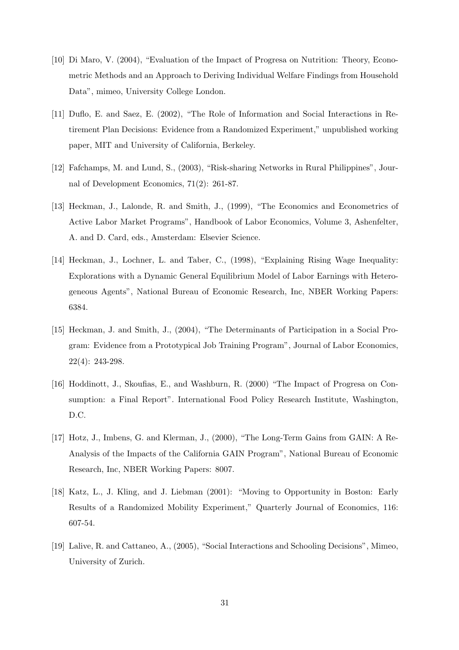- [10] Di Maro, V. (2004), "Evaluation of the Impact of Progresa on Nutrition: Theory, Econometric Methods and an Approach to Deriving Individual Welfare Findings from Household Data", mimeo, University College London.
- [11] Duflo, E. and Saez, E. (2002), "The Role of Information and Social Interactions in Retirement Plan Decisions: Evidence from a Randomized Experiment," unpublished working paper, MIT and University of California, Berkeley.
- [12] Fafchamps, M. and Lund, S., (2003), "Risk-sharing Networks in Rural Philippines", Journal of Development Economics, 71(2): 261-87.
- [13] Heckman, J., Lalonde, R. and Smith, J., (1999), "The Economics and Econometrics of Active Labor Market Programs", Handbook of Labor Economics, Volume 3, Ashenfelter, A. and D. Card, eds., Amsterdam: Elsevier Science.
- [14] Heckman, J., Lochner, L. and Taber, C., (1998), "Explaining Rising Wage Inequality: Explorations with a Dynamic General Equilibrium Model of Labor Earnings with Heterogeneous Agents", National Bureau of Economic Research, Inc, NBER Working Papers: 6384.
- [15] Heckman, J. and Smith, J., (2004), "The Determinants of Participation in a Social Program: Evidence from a Prototypical Job Training Program", Journal of Labor Economics, 22(4): 243-298.
- [16] Hoddinott, J., Skoufias, E., and Washburn, R. (2000) "The Impact of Progresa on Consumption: a Final Report". International Food Policy Research Institute, Washington, D.C.
- [17] Hotz, J., Imbens, G. and Klerman, J., (2000), "The Long-Term Gains from GAIN: A Re-Analysis of the Impacts of the California GAIN Program", National Bureau of Economic Research, Inc, NBER Working Papers: 8007.
- [18] Katz, L., J. Kling, and J. Liebman (2001): "Moving to Opportunity in Boston: Early Results of a Randomized Mobility Experiment," Quarterly Journal of Economics, 116: 607-54.
- [19] Lalive, R. and Cattaneo, A., (2005), "Social Interactions and Schooling Decisions", Mimeo, University of Zurich.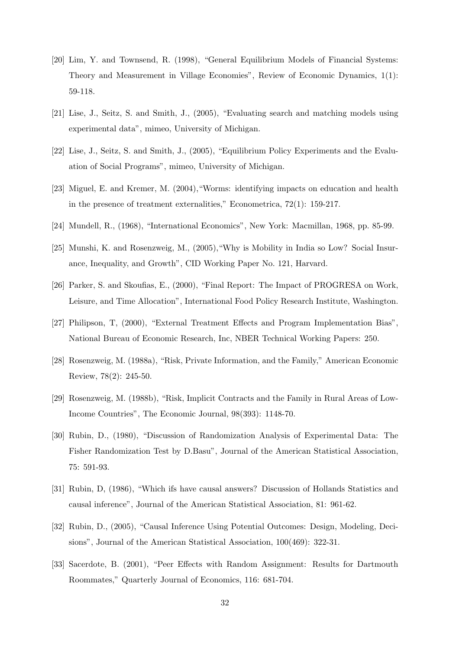- [20] Lim, Y. and Townsend, R. (1998), "General Equilibrium Models of Financial Systems: Theory and Measurement in Village Economies", Review of Economic Dynamics, 1(1): 59-118.
- [21] Lise, J., Seitz, S. and Smith, J., (2005), "Evaluating search and matching models using experimental data", mimeo, University of Michigan.
- [22] Lise, J., Seitz, S. and Smith, J., (2005), "Equilibrium Policy Experiments and the Evaluation of Social Programs", mimeo, University of Michigan.
- [23] Miguel, E. and Kremer, M. (2004),"Worms: identifying impacts on education and health in the presence of treatment externalities," Econometrica, 72(1): 159-217.
- [24] Mundell, R., (1968), "International Economics", New York: Macmillan, 1968, pp. 85-99.
- [25] Munshi, K. and Rosenzweig, M., (2005),"Why is Mobility in India so Low? Social Insurance, Inequality, and Growth", CID Working Paper No. 121, Harvard.
- [26] Parker, S. and Skoufias, E., (2000), "Final Report: The Impact of PROGRESA on Work, Leisure, and Time Allocation", International Food Policy Research Institute, Washington.
- [27] Philipson, T, (2000), "External Treatment Effects and Program Implementation Bias", National Bureau of Economic Research, Inc, NBER Technical Working Papers: 250.
- [28] Rosenzweig, M. (1988a), "Risk, Private Information, and the Family," American Economic Review, 78(2): 245-50.
- [29] Rosenzweig, M. (1988b), "Risk, Implicit Contracts and the Family in Rural Areas of Low-Income Countries", The Economic Journal, 98(393): 1148-70.
- [30] Rubin, D., (1980), "Discussion of Randomization Analysis of Experimental Data: The Fisher Randomization Test by D.Basu", Journal of the American Statistical Association, 75: 591-93.
- [31] Rubin, D, (1986), "Which ifs have causal answers? Discussion of Hollands Statistics and causal inference", Journal of the American Statistical Association, 81: 961-62.
- [32] Rubin, D., (2005), "Causal Inference Using Potential Outcomes: Design, Modeling, Decisions", Journal of the American Statistical Association, 100(469): 322-31.
- [33] Sacerdote, B. (2001), "Peer Effects with Random Assignment: Results for Dartmouth Roommates," Quarterly Journal of Economics, 116: 681-704.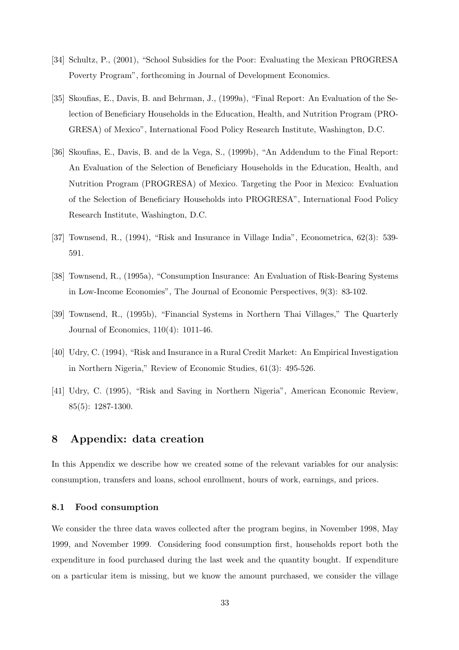- [34] Schultz, P., (2001), "School Subsidies for the Poor: Evaluating the Mexican PROGRESA Poverty Program", forthcoming in Journal of Development Economics.
- [35] Skoufias, E., Davis, B. and Behrman, J., (1999a), "Final Report: An Evaluation of the Selection of Beneficiary Households in the Education, Health, and Nutrition Program (PRO-GRESA) of Mexico", International Food Policy Research Institute, Washington, D.C.
- [36] Skoufias, E., Davis, B. and de la Vega, S., (1999b), "An Addendum to the Final Report: An Evaluation of the Selection of Beneficiary Households in the Education, Health, and Nutrition Program (PROGRESA) of Mexico. Targeting the Poor in Mexico: Evaluation of the Selection of Beneficiary Households into PROGRESA", International Food Policy Research Institute, Washington, D.C.
- [37] Townsend, R., (1994), "Risk and Insurance in Village India", Econometrica, 62(3): 539- 591.
- [38] Townsend, R., (1995a), "Consumption Insurance: An Evaluation of Risk-Bearing Systems in Low-Income Economies", The Journal of Economic Perspectives, 9(3): 83-102.
- [39] Townsend, R., (1995b), "Financial Systems in Northern Thai Villages," The Quarterly Journal of Economics, 110(4): 1011-46.
- [40] Udry, C. (1994), "Risk and Insurance in a Rural Credit Market: An Empirical Investigation in Northern Nigeria," Review of Economic Studies, 61(3): 495-526.
- [41] Udry, C. (1995), "Risk and Saving in Northern Nigeria", American Economic Review, 85(5): 1287-1300.

## 8 Appendix: data creation

In this Appendix we describe how we created some of the relevant variables for our analysis: consumption, transfers and loans, school enrollment, hours of work, earnings, and prices.

### 8.1 Food consumption

We consider the three data waves collected after the program begins, in November 1998, May 1999, and November 1999. Considering food consumption first, households report both the expenditure in food purchased during the last week and the quantity bought. If expenditure on a particular item is missing, but we know the amount purchased, we consider the village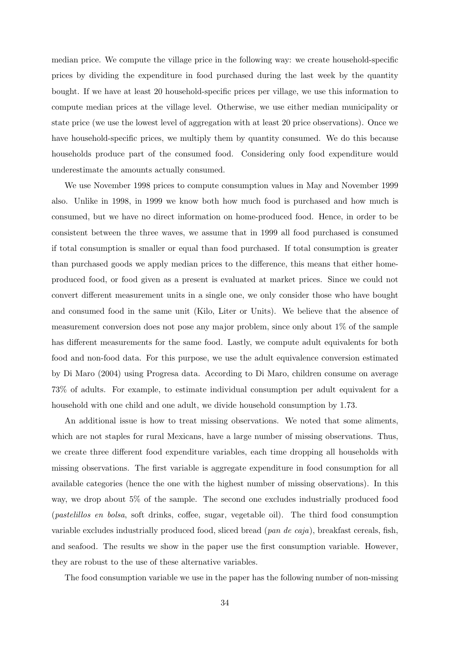median price. We compute the village price in the following way: we create household-specific prices by dividing the expenditure in food purchased during the last week by the quantity bought. If we have at least 20 household-specific prices per village, we use this information to compute median prices at the village level. Otherwise, we use either median municipality or state price (we use the lowest level of aggregation with at least 20 price observations). Once we have household-specific prices, we multiply them by quantity consumed. We do this because households produce part of the consumed food. Considering only food expenditure would underestimate the amounts actually consumed.

We use November 1998 prices to compute consumption values in May and November 1999 also. Unlike in 1998, in 1999 we know both how much food is purchased and how much is consumed, but we have no direct information on home-produced food. Hence, in order to be consistent between the three waves, we assume that in 1999 all food purchased is consumed if total consumption is smaller or equal than food purchased. If total consumption is greater than purchased goods we apply median prices to the difference, this means that either homeproduced food, or food given as a present is evaluated at market prices. Since we could not convert different measurement units in a single one, we only consider those who have bought and consumed food in the same unit (Kilo, Liter or Units). We believe that the absence of measurement conversion does not pose any major problem, since only about  $1\%$  of the sample has different measurements for the same food. Lastly, we compute adult equivalents for both food and non-food data. For this purpose, we use the adult equivalence conversion estimated by Di Maro (2004) using Progresa data. According to Di Maro, children consume on average 73% of adults. For example, to estimate individual consumption per adult equivalent for a household with one child and one adult, we divide household consumption by 1.73.

An additional issue is how to treat missing observations. We noted that some aliments, which are not staples for rural Mexicans, have a large number of missing observations. Thus, we create three different food expenditure variables, each time dropping all households with missing observations. The first variable is aggregate expenditure in food consumption for all available categories (hence the one with the highest number of missing observations). In this way, we drop about 5% of the sample. The second one excludes industrially produced food (pastelillos en bolsa, soft drinks, coffee, sugar, vegetable oil). The third food consumption variable excludes industrially produced food, sliced bread (pan de caja), breakfast cereals, fish, and seafood. The results we show in the paper use the first consumption variable. However, they are robust to the use of these alternative variables.

The food consumption variable we use in the paper has the following number of non-missing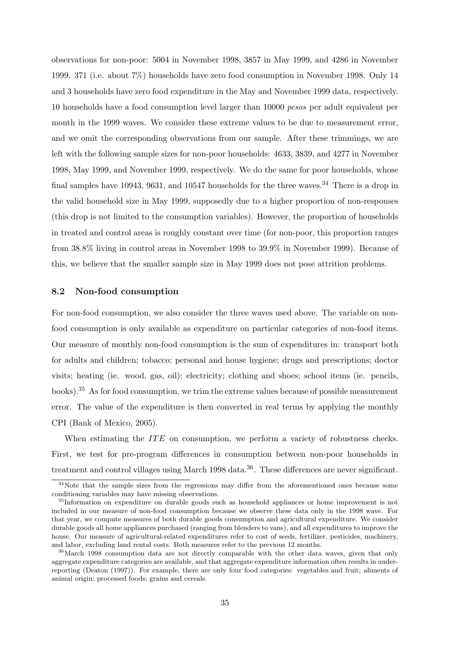observations for non-poor: 5004 in November 1998, 3857 in May 1999, and 4286 in November 1999. 371 (i.e. about 7%) households have zero food consumption in November 1998. Only 14 and 3 households have zero food expenditure in the May and November 1999 data, respectively. 10 households have a food consumption level larger than 10000 pesos per adult equivalent per month in the 1999 waves. We consider these extreme values to be due to measurement error, and we omit the corresponding observations from our sample. After these trimmings, we are left with the following sample sizes for non-poor households: 4633, 3839, and 4277 in November 1998, May 1999, and November 1999, respectively. We do the same for poor households, whose final samples have 10943, 9631, and 10547 households for the three waves.<sup>34</sup> There is a drop in the valid household size in May 1999, supposedly due to a higher proportion of non-responses (this drop is not limited to the consumption variables). However, the proportion of households in treated and control areas is roughly constant over time (for non-poor, this proportion ranges from 38.8% living in control areas in November 1998 to 39.9% in November 1999). Because of this, we believe that the smaller sample size in May 1999 does not pose attrition problems.

### 8.2 Non-food consumption

For non-food consumption, we also consider the three waves used above. The variable on nonfood consumption is only available as expenditure on particular categories of non-food items. Our measure of monthly non-food consumption is the sum of expenditures in: transport both for adults and children; tobacco; personal and house hygiene; drugs and prescriptions; doctor visits; heating (ie. wood, gas, oil); electricity; clothing and shoes; school items (ie. pencils, books).<sup>35</sup> As for food consumption, we trim the extreme values because of possible measurement error. The value of the expenditure is then converted in real terms by applying the monthly CPI (Bank of Mexico, 2005).

When estimating the  $ITE$  on consumption, we perform a variety of robustness checks. First, we test for pre-program differences in consumption between non-poor households in treatment and control villages using March 1998 data.<sup>36</sup>. These differences are never significant.

<sup>&</sup>lt;sup>34</sup>Note that the sample sizes from the regressions may differ from the aforementioned ones because some conditioning variables may have missing observations.

<sup>35</sup>Information on expenditure on durable goods such as household appliances or home improvement is not included in our measure of non-food consumption because we observe these data only in the 1998 wave. For that year, we compute measures of both durable goods consumption and agricultural expenditure. We consider durable goods all home appliances purchased (ranging from blenders to vans), and all expenditures to improve the house. Our measure of agricultural-related expenditures refer to cost of seeds, fertilizer, pesticides, machinery, and labor, excluding land rental costs. Both measures refer to the previous 12 months.

<sup>&</sup>lt;sup>36</sup>March 1998 consumption data are not directly comparable with the other data waves, given that only aggregate expenditure categories are available, and that aggregate expenditure information often results in underreporting (Deaton (1997)). For example, there are only four food categories: vegetables and fruit; aliments of animal origin; processed foods; grains and cereals.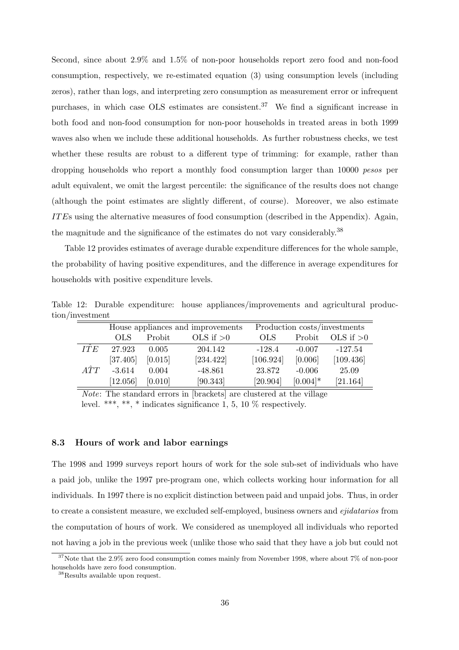Second, since about 2.9% and 1.5% of non-poor households report zero food and non-food consumption, respectively, we re-estimated equation (3) using consumption levels (including zeros), rather than logs, and interpreting zero consumption as measurement error or infrequent purchases, in which case OLS estimates are consistent.<sup>37</sup> We find a significant increase in both food and non-food consumption for non-poor households in treated areas in both 1999 waves also when we include these additional households. As further robustness checks, we test whether these results are robust to a different type of trimming: for example, rather than dropping households who report a monthly food consumption larger than 10000 *pesos* per adult equivalent, we omit the largest percentile: the significance of the results does not change (although the point estimates are slightly different, of course). Moreover, we also estimate IT Es using the alternative measures of food consumption (described in the Appendix). Again, the magnitude and the significance of the estimates do not vary considerably.<sup>38</sup>

Table 12 provides estimates of average durable expenditure differences for the whole sample, the probability of having positive expenditures, and the difference in average expenditures for households with positive expenditure levels.

Table 12: Durable expenditure: house appliances/improvements and agricultural production/investment

|             |          |         | House appliances and improvements | Production costs/investments |             |             |  |
|-------------|----------|---------|-----------------------------------|------------------------------|-------------|-------------|--|
|             | OLS.     | Probit  | OLS if $>0$                       | <b>OLS</b>                   | Probit      | OLS if $>0$ |  |
| <b>ITE</b>  | 27.923   | 0.005   | 204.142                           | $-128.4$                     | $-0.007$    | $-127.54$   |  |
|             | [37.405] | [0.015] | [234.422]                         | [106.924]                    | [0.006]     | [109.436]   |  |
| $\hat{ATT}$ | $-3.614$ | 0.004   | $-48.861$                         | 23.872                       | $-0.006$    | 25.09       |  |
|             | [12.056] | [0.010] | [90.343]                          | [20.904]                     | $[0.004]$ * | [21.164]    |  |

Note: The standard errors in [brackets] are clustered at the village level. \*\*\*, \*\*, \* indicates significance 1, 5, 10  $\%$  respectively.

### 8.3 Hours of work and labor earnings

The 1998 and 1999 surveys report hours of work for the sole sub-set of individuals who have a paid job, unlike the 1997 pre-program one, which collects working hour information for all individuals. In 1997 there is no explicit distinction between paid and unpaid jobs. Thus, in order to create a consistent measure, we excluded self-employed, business owners and *ejidatarios* from the computation of hours of work. We considered as unemployed all individuals who reported not having a job in the previous week (unlike those who said that they have a job but could not

<sup>&</sup>lt;sup>37</sup>Note that the 2.9% zero food consumption comes mainly from November 1998, where about 7% of non-poor households have zero food consumption.

<sup>38</sup>Results available upon request.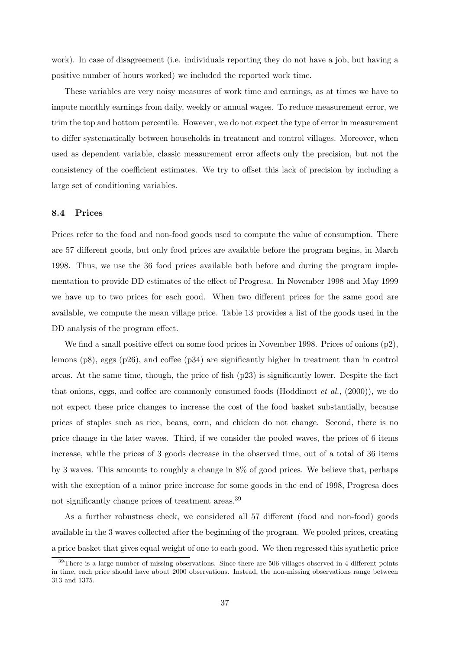work). In case of disagreement (i.e. individuals reporting they do not have a job, but having a positive number of hours worked) we included the reported work time.

These variables are very noisy measures of work time and earnings, as at times we have to impute monthly earnings from daily, weekly or annual wages. To reduce measurement error, we trim the top and bottom percentile. However, we do not expect the type of error in measurement to differ systematically between households in treatment and control villages. Moreover, when used as dependent variable, classic measurement error affects only the precision, but not the consistency of the coefficient estimates. We try to offset this lack of precision by including a large set of conditioning variables.

### 8.4 Prices

Prices refer to the food and non-food goods used to compute the value of consumption. There are 57 different goods, but only food prices are available before the program begins, in March 1998. Thus, we use the 36 food prices available both before and during the program implementation to provide DD estimates of the effect of Progresa. In November 1998 and May 1999 we have up to two prices for each good. When two different prices for the same good are available, we compute the mean village price. Table 13 provides a list of the goods used in the DD analysis of the program effect.

We find a small positive effect on some food prices in November 1998. Prices of onions (p2), lemons (p8), eggs (p26), and coffee (p34) are significantly higher in treatment than in control areas. At the same time, though, the price of fish (p23) is significantly lower. Despite the fact that onions, eggs, and coffee are commonly consumed foods (Hoddinott  $et al., (2000)$ ), we do not expect these price changes to increase the cost of the food basket substantially, because prices of staples such as rice, beans, corn, and chicken do not change. Second, there is no price change in the later waves. Third, if we consider the pooled waves, the prices of 6 items increase, while the prices of 3 goods decrease in the observed time, out of a total of 36 items by 3 waves. This amounts to roughly a change in 8% of good prices. We believe that, perhaps with the exception of a minor price increase for some goods in the end of 1998, Progresa does not significantly change prices of treatment areas.<sup>39</sup>

As a further robustness check, we considered all 57 different (food and non-food) goods available in the 3 waves collected after the beginning of the program. We pooled prices, creating a price basket that gives equal weight of one to each good. We then regressed this synthetic price

<sup>&</sup>lt;sup>39</sup>There is a large number of missing observations. Since there are 506 villages observed in 4 different points in time, each price should have about 2000 observations. Instead, the non-missing observations range between 313 and 1375.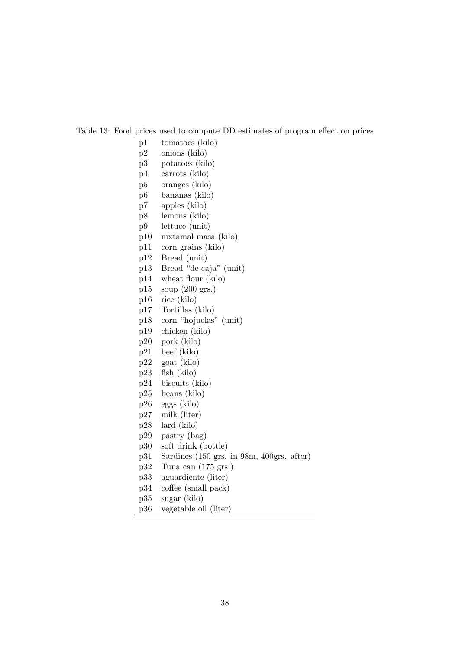Table 13: Food prices used to compute DD estimates of program effect on prices

- p1 tomatoes (kilo)
- p2 onions (kilo)
- p3 potatoes (kilo)
- p4 carrots (kilo)
- p5 oranges (kilo)
- p6 bananas (kilo)
- p7 apples (kilo)
- p8 lemons (kilo)
- p9 lettuce (unit)
- p10 nixtamal masa (kilo)
- p11 corn grains (kilo)
- p12 Bread (unit)
- p13 Bread "de caja" (unit)
- p14 wheat flour (kilo)
- p15 soup (200 grs.)
- p16 rice (kilo)
- p17 Tortillas (kilo)
- p18 corn "hojuelas" (unit)
- p19 chicken (kilo)
- p20 pork (kilo)
- p21 beef (kilo)
- p22 goat (kilo)
- p23 fish (kilo)
- p24 biscuits (kilo)
- p25 beans (kilo)
- p26 eggs (kilo)
- p27 milk (liter)
- p28 lard (kilo)
- p29 pastry (bag)
- p30 soft drink (bottle)
- p31 Sardines (150 grs. in 98m, 400grs. after)
- p32 Tuna can (175 grs.)
- p33 aguardiente (liter)
- p34 coffee (small pack)
- p35 sugar (kilo)
- p36 vegetable oil (liter)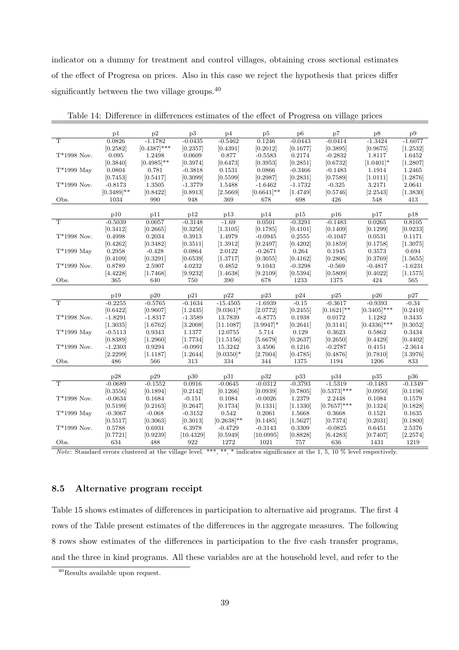indicator on a dummy for treatment and control villages, obtaining cross sectional estimates of the effect of Progresa on prices. Also in this case we reject the hypothesis that prices differ significantly between the two village groups.<sup>40</sup>

|                       | p1            | p2             | p3        | p4                | p5            | p6                    | p7                    | p8                 | p9        |
|-----------------------|---------------|----------------|-----------|-------------------|---------------|-----------------------|-----------------------|--------------------|-----------|
| $\overline{\text{T}}$ | 0.0826        | $-1.1782$      | $-0.0435$ | $-0.5462$         | 0.1246        | $-0.0443$             | $-0.0414$             | $-1.3424$          | $-1.6077$ |
|                       | [0.2582]      | $[0.4387]$ *** | [0.2357]  |                   | [0.2012]      |                       | [0.3895]              |                    | [1.2532]  |
| $T*1998$ Nov.         | 0.095         | 1.2498         | 0.0609    | [0.4391]<br>0.877 | $-0.5583$     | [0.1677]<br>0.2174    |                       | [0.9675]<br>1.8117 | 1.6452    |
|                       | [0.3840]      | $[0.4985]$ **  | [0.3974]  | [0.6473]          | [0.3953]      |                       | $-0.2832$<br>[0.6732] | $[1.0401]$ *       | [1.2807]  |
| $T*1999$ May          | 0.0804        | 0.781          | $-0.3818$ | 0.1531            | 0.0866        | [0.2851]<br>$-0.3466$ | $-0.1483$             |                    | 1.2465    |
|                       |               |                |           |                   |               |                       |                       | 1.1914             |           |
|                       | [0.7453]      | [0.5417]       | [0.3099]  | [0.5599]          | [0.2987]      | [0.2831]              | [0.7589]              | [1.0111]           | [1.2876]  |
| $T*1999$ Nov.         | $-0.8173$     | 1.3505         | $-1.3779$ | 1.5488            | $-1.6462$     | $-1.1732$             | $-0.325$              | 3.2171             | 2.0641    |
|                       | $[0.3489]$ ** | [0.8422]       | [0.8913]  | [2.5669]          | $[0.6641]$ ** | [1.4749]              | [0.5746]              | [2.2543]           | [1.3830]  |
| Obs.                  | 1034          | 990            | 948       | 369               | 678           | 698                   | 426                   | 548                | 413       |
|                       | p10           | p11            | p12       | p13               | p14           | p15                   | p16                   | p17                | p18       |
| $\overline{\text{T}}$ | $-0.5039$     | 0.0057         | $-0.3148$ | $-1.69$           | 0.0501        | $-0.3291$             | $-0.1483$             | 0.0265             | 0.8105    |
|                       |               |                |           |                   |               |                       |                       |                    |           |
|                       | [0.3412]      | [0.2665]       | [0.3250]  | [1.3105]          | [0.1785]      | [0.4101]              | [0.1409]              | [0.1299]           | [0.9233]  |
| $T*1998$ Nov.         | 0.4998        | 0.2034         | 0.3913    | 1.4979            | $-0.0945$     | 0.2555                | $-0.1047$             | 0.0531             | 0.1171    |
|                       | [0.4262]      | [0.3482]       | [0.3511]  | [1.3912]          | [0.2497]      | [0.4202]              | [0.1859]              | [0.1758]           | [1.3075]  |
| $T*1999$ May          | 0.2958        | $-0.428$       | 0.0864    | 2.0122            | $-0.2671$     | 0.264                 | 0.1945                | 0.3573             | 0.694     |
|                       | [0.4109]      | [0.3291]       | [0.6539]  | [1.3717]          | [0.3055]      | [0.4162]              | [0.2806]              | [0.3769]           | [1.5655]  |
| $T*1999$ Nov.         | 0.8789        | 2.5907         | 4.0232    | 0.4852            | 9.1043        | $-0.3298$             | $-0.569$              | $-0.4817$          | $-1.6231$ |
|                       | [4.4228]      | [1.7468]       | [9.9232]  | [1.4638]          | [9.2109]      | [0.5394]              | [0.5809]              | [0.4022]           | [1.1575]  |
| Obs.                  | 365           | 640            | 750       | 390               | 678           | 1233                  | 1375                  | 424                | 565       |
|                       | p19           | p20            | p21       | p22               | p23           | p24                   | p25                   | p26                | p27       |
| $\overline{\text{T}}$ | $-0.2255$     | $-0.5765$      | $-0.1634$ | $-15.4505$        | $-1.6939$     | $-0.15$               | $-0.3617$             | $-0.9393$          | $-0.34$   |
|                       | [0.6422]      | [0.9607]       | [1.2435]  | $[9.0361]$ *      | [2.0772]      | [0.2455]              | $[0.1621]$ **         | $[0.3405]$ ***     | [0.2410]  |
|                       |               |                |           |                   |               |                       |                       |                    |           |
| $T*1998$ Nov.         | $-1.8291$     | $-1.8317$      | $-1.3589$ | 13.7839           | $-6.8775$     | 0.1938                | 0.0172                | 1.1282             | 0.3435    |
|                       | [1.3035]      | [1.6762]       | [3.2008]  | [11.1087]         | $[3.9947]$ *  | [0.2641]              | [0.3141]              | $[0.4336]$ ***     | [0.3052]  |
| $T*1999$ May          | $-0.5113$     | 0.9343         | 1.1377    | 12.0755           | 5.714         | 0.129                 | 0.3623                | 0.5862             | 0.3434    |
|                       | [0.8389]      | [1.2960]       | [1.7734]  | [11.5156]         | [5.6679]      | [0.2637]              | [0.2650]              | [0.4429]           | [0.4402]  |
| $T*1999$ Nov.         | $-1.2303$     | 0.9294         | $-0.0991$ | 15.3242           | 3.4506        | 0.1216                | $-0.2787$             | 0.4151             | $-2.3614$ |
|                       | [2.2299]      | [1.1187]       | [1.2644]  | $[9.0350]$ *      | [2.7004]      | [0.4785]              | [0.4876]              | [0.7810]           | [3.3976]  |
| Obs.                  | 486           | 566            | 313       | 334               | 344           | 1375                  | 1194                  | 1206               | 833       |
|                       | p28           | p29            | p30       | p31               | p32           | p33                   | p34                   | p35                | p36       |
| T                     | $-0.0689$     | $-0.1552$      | 0.0916    | $-0.0645$         | $-0.0312$     | $-0.3793$             | $-1.5319$             | $-0.1483$          | $-0.1349$ |
|                       | [0.3556]      | [0.1894]       | [0.2142]  | [0.1266]          | [0.0939]      | [0.7805]              | $[0.5373]$ ***        | [0.0950]           | [0.1196]  |
| $\rm T^*1998$ Nov.    | $-0.0634$     | 0.1684         | $-0.151$  | 0.1084            | $-0.0026$     | 1.2379                | 2.2448                | 0.1084             | 0.1579    |
|                       |               |                |           |                   |               |                       |                       |                    |           |
|                       | [0.5199]      | [0.2163]       | [0.2647]  | [0.1734]          | [0.1331]      | [1.1330]              | $[0.7657]$ ***        | [0.1324]           | [0.1828]  |
| $T*1999$ May          | $-0.3067$     | $-0.068$       | $-0.3152$ | 0.542             | 0.2061        | 1.5668                | 0.3668                | 0.1521             | 0.1635    |
|                       | [0.5517]      | [0.3063]       | [0.3013]  | $[0.2638]^{**}$   | [0.1485]      | [1.5627]              | [0.7374]              | [0.2031]           | [0.1800]  |
| $T*1999$ Nov.         | 0.5788        | 0.6931         | 6.3978    | $-0.4729$         | $-0.3143$     | 0.3309                | $-0.0825$             | 0.6451             | 2.5376    |
|                       | [0.7721]      | [0.9239]       | [10.4329] | [0.5949]          | [10.0995]     | [0.8828]              | [6.4283]              | [0.7407]           | [2.2574]  |
| Obs.                  | 634           | 488            | 922       | 1272              | 1021          | 757                   | 636                   | 1431               | 1219      |

Table 14: Difference in differences estimates of the effect of Progresa on village prices

Note: Standard errors clustered at the village level. \*\*\*, \*\*, \* indicates significance at the 1, 5, 10  $\%$  level respectively.

## 8.5 Alternative program receipt

Table 15 shows estimates of differences in participation to alternative aid programs. The first 4 rows of the Table present estimates of the differences in the aggregate measures. The following 8 rows show estimates of the differences in participation to the five cash transfer programs, and the three in kind programs. All these variables are at the household level, and refer to the

<sup>40</sup>Results available upon request.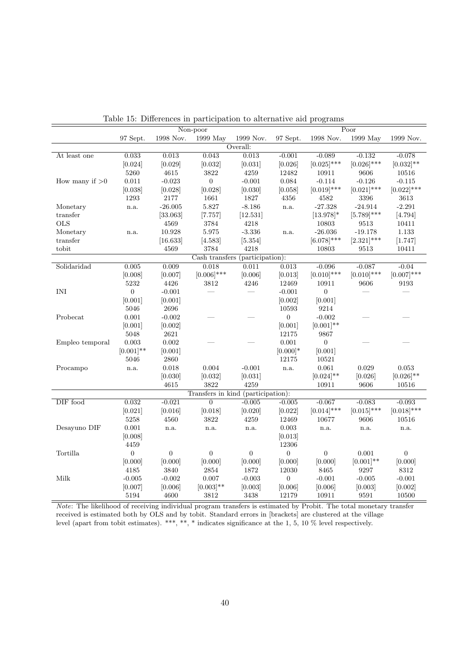|                                  |                |                  | Non-poor                           |                  |                  |                  | $\overline{Poor}$ |                |
|----------------------------------|----------------|------------------|------------------------------------|------------------|------------------|------------------|-------------------|----------------|
|                                  | 97 Sept.       | 1998 Nov.        | 1999 May                           | 1999 Nov.        | 97 Sept.         | 1998 Nov.        | 1999 May          | 1999 Nov.      |
|                                  |                |                  |                                    | Overall:         |                  |                  |                   |                |
| At least one                     | 0.033          | 0.013            | 0.043                              | 0.013            | $-0.001$         | $-0.089$         | $-0.132$          | $-0.078$       |
|                                  | [0.024]        | [0.029]          | [0.032]                            | [0.031]          | [0.026]          | $[0.025]$ ***    | $[0.026]$ ***     | $[0.032]$ **   |
|                                  | 5260           | $4615\,$         | $3822\,$                           | $4259\,$         | 12482            | 10911            | 9606              | $10516\,$      |
| How many if $>0$                 | 0.011          | $-0.023$         | $\boldsymbol{0}$                   | $-0.001$         | 0.084            | $-0.114$         | $-0.126$          | $-0.115$       |
|                                  | [0.038]        | [0.028]          | [0.028]                            | [0.030]          | [0.058]          | $[0.019]$ ***    | $[0.021]$ ***     | $[0.022]$ ***  |
|                                  | 1293           | 2177             | 1661                               | 1827             | 4356             | 4582             | 3396              | $3613\,$       |
| Monetary                         | n.a.           | $-26.005$        | 5.827                              | $-8.186$         | n.a.             | $-27.328$        | $-24.914$         | $-2.291$       |
| transfer                         |                | [33.063]         | [7.757]                            | [12.531]         |                  | $[13.978]$ *     | $[5.789]$ ***     | [4.794]        |
| <b>OLS</b>                       |                | 4569             | 3784                               | 4218             |                  | 10803            | 9513              | 10411          |
| Monetary                         | n.a.           | 10.928           | $5.975\,$                          | $-3.336$         | n.a.             | $-26.036$        | $-19.178$         | $1.133\,$      |
| transfer                         |                | [16.633]         | [4.583]                            | [5.354]          |                  | $[6.078]$ ***    | $[2.321]$ ***     | [1.747]        |
| tobit                            |                | 4569             | 3784                               | 4218             |                  | 10803            | 9513              | 10411          |
|                                  |                |                  | Cash transfers (participation):    |                  |                  |                  |                   |                |
| Solidaridad                      | 0.005          | 0.009            | 0.018                              | 0.011            | 0.013            | $-0.096$         | $-0.087$          | $-0.04$        |
|                                  | [0.008]        | [0.007]          | $[0.006]$ ***                      | [0.006]          | [0.013]          | $[0.010]$ ***    | $[0.010]$ ***     | $[0.007]$ ***  |
|                                  | $5232\,$       | 4426             | 3812                               | 4246             | 12469            | 10911            | 9606              | 9193           |
| $\ensuremath{\text{INI}}\xspace$ | $\overline{0}$ | $-0.001$         |                                    |                  | $-0.001$         | $\overline{0}$   |                   |                |
|                                  | [0.001]        | [0.001]          |                                    |                  | [0.002]          | [0.001]          |                   |                |
|                                  | 5046           | 2696             |                                    |                  | 10593            | 9214             |                   |                |
| Probecat                         | 0.001          | $-0.002$         |                                    |                  | $\boldsymbol{0}$ | $-0.002$         |                   |                |
|                                  | [0.001]        | [0.002]          |                                    |                  | [0.001]          | $[0.001]$ **     |                   |                |
|                                  | 5048           | $2621\,$         |                                    |                  | 12175            | 9867             |                   |                |
| Empleo temporal                  | $0.003\,$      | 0.002            |                                    |                  | 0.001            | $\boldsymbol{0}$ |                   |                |
|                                  | $[0.001]$ **   | [0.001]          |                                    |                  | $[0.000]*$       | [0.001]          |                   |                |
|                                  | 5046           | $2860\,$         |                                    |                  | 12175            | 10521            |                   |                |
| Procampo                         | n.a.           | 0.018            | 0.004                              | $-0.001$         | n.a.             | 0.061            | 0.029             | 0.053          |
|                                  |                | [0.030]          | [0.032]                            | [0.031]          |                  | $[0.024]$ **     | [0.026]           | $[0.026]$ **   |
|                                  |                | 4615             | $3822\,$                           | $4259\,$         |                  | 10911            | 9606              | 10516          |
|                                  |                |                  | Transfers in kind (participation): |                  |                  |                  |                   |                |
| DIF food                         | 0.032          | $-0.021$         | $\overline{0}$                     | $-0.005$         | $-0.005$         | $-0.067$         | $-0.083$          | $-0.093$       |
|                                  | [0.021]        | [0.016]          | [0.018]                            | [0.020]          | [0.022]          | $[0.014]$ ***    | $[0.015]$ ***     | $[0.018]$ ***  |
|                                  | 5258           | 4560             | 3822                               | 4259             | 12469            | 10677            | 9606              | 10516          |
| Desayuno DIF                     | 0.001          | n.a.             | n.a.                               | n.a.             | 0.003            | n.a.             | n.a.              | n.a.           |
|                                  | [0.008]        |                  |                                    |                  | [0.013]          |                  |                   |                |
|                                  | 4459           |                  |                                    |                  | 12306            |                  |                   |                |
| Tortilla                         | $\overline{0}$ | $\boldsymbol{0}$ | $\boldsymbol{0}$                   | $\boldsymbol{0}$ | $\boldsymbol{0}$ | $\overline{0}$   | 0.001             | $\overline{0}$ |
|                                  | [0.000]        | [0.000]          | [0.000]                            | [0.000]          | [0.000]          | [0.000]          | $[0.001]$ **      | [0.000]        |
|                                  | $4185\,$       | 3840             | $\bf 2854$                         | 1872             | 12030            | 8465             | 9297              | $8312\,$       |
| Milk                             | $-0.005$       | $-0.002$         | 0.007                              | $-0.003$         | $\overline{0}$   | $-0.001$         | $-0.005$          | $-0.001$       |
|                                  | [0.007]        | [0.006]          | $[0.003]$ **                       | [0.003]          | [0.006]          | [0.006]          | [0.003]           | [0.002]        |
|                                  | $5194\,$       | 4600             | 3812                               | 3438             | 12179            | 10911            | 9591              | 10500          |

Table 15: Differences in participation to alternative aid programs

Note: The likelihood of receiving individual program transfers is estimated by Probit. The total monetary transfer received is estimated both by OLS and by tobit. Standard errors in [brackets] are clustered at the village level (apart from tobit estimates). \*\*\*, \*\*, \* indicates significance at the 1, 5, 10 % level respectively.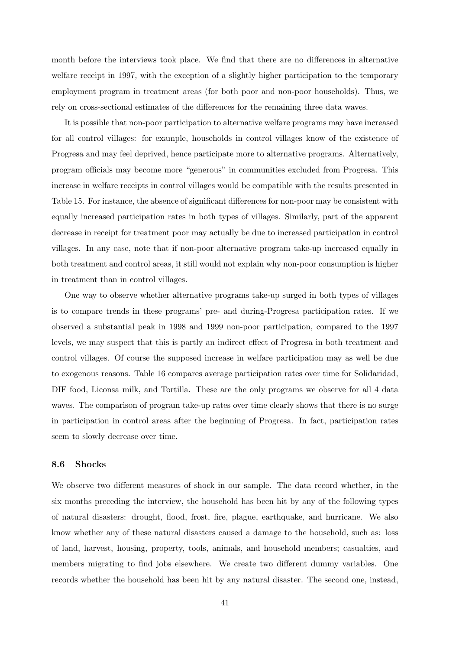month before the interviews took place. We find that there are no differences in alternative welfare receipt in 1997, with the exception of a slightly higher participation to the temporary employment program in treatment areas (for both poor and non-poor households). Thus, we rely on cross-sectional estimates of the differences for the remaining three data waves.

It is possible that non-poor participation to alternative welfare programs may have increased for all control villages: for example, households in control villages know of the existence of Progresa and may feel deprived, hence participate more to alternative programs. Alternatively, program officials may become more "generous" in communities excluded from Progresa. This increase in welfare receipts in control villages would be compatible with the results presented in Table 15. For instance, the absence of significant differences for non-poor may be consistent with equally increased participation rates in both types of villages. Similarly, part of the apparent decrease in receipt for treatment poor may actually be due to increased participation in control villages. In any case, note that if non-poor alternative program take-up increased equally in both treatment and control areas, it still would not explain why non-poor consumption is higher in treatment than in control villages.

One way to observe whether alternative programs take-up surged in both types of villages is to compare trends in these programs' pre- and during-Progresa participation rates. If we observed a substantial peak in 1998 and 1999 non-poor participation, compared to the 1997 levels, we may suspect that this is partly an indirect effect of Progresa in both treatment and control villages. Of course the supposed increase in welfare participation may as well be due to exogenous reasons. Table 16 compares average participation rates over time for Solidaridad, DIF food, Liconsa milk, and Tortilla. These are the only programs we observe for all 4 data waves. The comparison of program take-up rates over time clearly shows that there is no surge in participation in control areas after the beginning of Progresa. In fact, participation rates seem to slowly decrease over time.

### 8.6 Shocks

We observe two different measures of shock in our sample. The data record whether, in the six months preceding the interview, the household has been hit by any of the following types of natural disasters: drought, flood, frost, fire, plague, earthquake, and hurricane. We also know whether any of these natural disasters caused a damage to the household, such as: loss of land, harvest, housing, property, tools, animals, and household members; casualties, and members migrating to find jobs elsewhere. We create two different dummy variables. One records whether the household has been hit by any natural disaster. The second one, instead,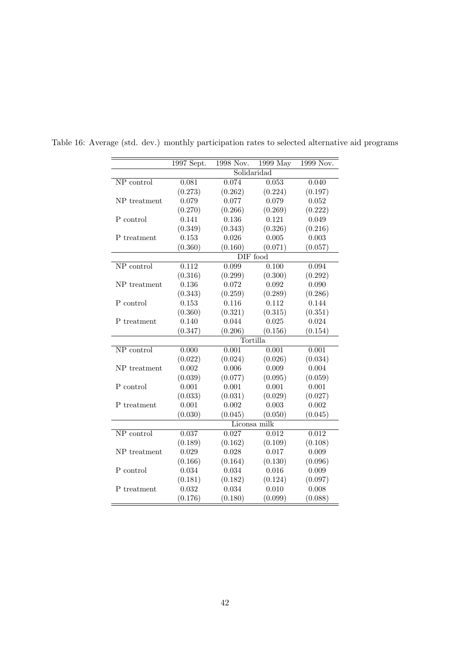|              | 1997 Sept. | 1998 Nov.   | 1999 May     | 1999 Nov. |
|--------------|------------|-------------|--------------|-----------|
|              |            | Solidaridad |              |           |
| NP control   | 0.081      | 0.074       | 0.053        | 0.040     |
|              | (0.273)    | (0.262)     | (0.224)      | (0.197)   |
| NP treatment | 0.079      | 0.077       | 0.079        | 0.052     |
|              | (0.270)    | (0.266)     | (0.269)      | (0.222)   |
| P control    | 0.141      | 0.136       | 0.121        | 0.049     |
|              | (0.349)    | (0.343)     | (0.326)      | (0.216)   |
| P treatment  | 0.153      | 0.026       | 0.005        | 0.003     |
|              | (0.360)    | (0.160)     | (0.071)      | (0.057)   |
|              |            |             | DIF food     |           |
| NP control   | 0.112      | 0.099       | 0.100        | 0.094     |
|              | (0.316)    | (0.299)     | (0.300)      | (0.292)   |
| NP treatment | 0.136      | 0.072       | 0.092        | 0.090     |
|              | (0.343)    | (0.259)     | (0.289)      | (0.286)   |
| P control    | 0.153      | 0.116       | 0.112        | 0.144     |
|              | (0.360)    | (0.321)     | (0.315)      | (0.351)   |
| P treatment  | 0.140      | 0.044       | 0.025        | 0.024     |
|              | (0.347)    | (0.206)     | (0.156)      | (0.154)   |
|              |            |             | Tortilla     |           |
| NP control   | 0.000      | 0.001       | 0.001        | 0.001     |
|              | (0.022)    | (0.024)     | (0.026)      | (0.034)   |
| NP treatment | 0.002      | 0.006       | 0.009        | 0.004     |
|              | (0.039)    | (0.077)     | (0.095)      | (0.059)   |
| P control    | 0.001      | 0.001       | 0.001        | 0.001     |
|              | (0.033)    | (0.031)     | (0.029)      | (0.027)   |
| P treatment  | 0.001      | 0.002       | 0.003        | 0.002     |
|              | (0.030)    | (0.045)     | (0.050)      | (0.045)   |
|              |            |             | Liconsa milk |           |
| NP control   | 0.037      | 0.027       | 0.012        | 0.012     |
|              | (0.189)    | (0.162)     | (0.109)      | (0.108)   |
| NP treatment | 0.029      | 0.028       | 0.017        | 0.009     |
|              | (0.166)    | (0.164)     | (0.130)      | (0.096)   |
| P control    | 0.034      | 0.034       | $0.016\,$    | 0.009     |
|              | (0.181)    | (0.182)     | (0.124)      | (0.097)   |
| P treatment  | 0.032      | 0.034       | 0.010        | 0.008     |
|              | (0.176)    | (0.180)     | (0.099)      | (0.088)   |
|              |            |             |              |           |

Table 16: Average (std. dev.) monthly participation rates to selected alternative aid programs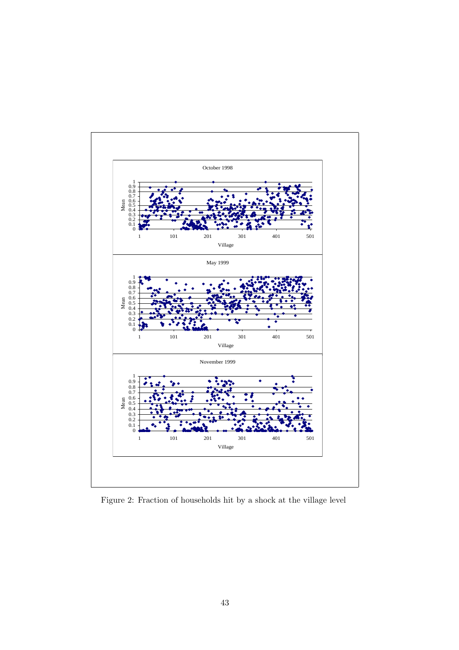

Figure 2: Fraction of households hit by a shock at the village level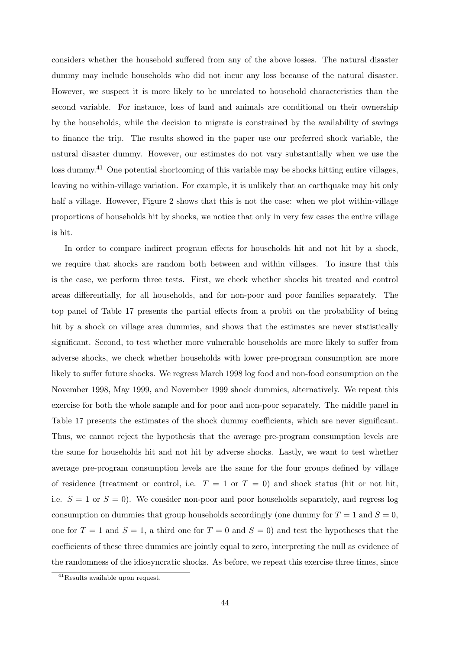considers whether the household suffered from any of the above losses. The natural disaster dummy may include households who did not incur any loss because of the natural disaster. However, we suspect it is more likely to be unrelated to household characteristics than the second variable. For instance, loss of land and animals are conditional on their ownership by the households, while the decision to migrate is constrained by the availability of savings to finance the trip. The results showed in the paper use our preferred shock variable, the natural disaster dummy. However, our estimates do not vary substantially when we use the loss dummy.<sup>41</sup> One potential shortcoming of this variable may be shocks hitting entire villages, leaving no within-village variation. For example, it is unlikely that an earthquake may hit only half a village. However, Figure 2 shows that this is not the case: when we plot within-village proportions of households hit by shocks, we notice that only in very few cases the entire village is hit.

In order to compare indirect program effects for households hit and not hit by a shock, we require that shocks are random both between and within villages. To insure that this is the case, we perform three tests. First, we check whether shocks hit treated and control areas differentially, for all households, and for non-poor and poor families separately. The top panel of Table 17 presents the partial effects from a probit on the probability of being hit by a shock on village area dummies, and shows that the estimates are never statistically significant. Second, to test whether more vulnerable households are more likely to suffer from adverse shocks, we check whether households with lower pre-program consumption are more likely to suffer future shocks. We regress March 1998 log food and non-food consumption on the November 1998, May 1999, and November 1999 shock dummies, alternatively. We repeat this exercise for both the whole sample and for poor and non-poor separately. The middle panel in Table 17 presents the estimates of the shock dummy coefficients, which are never significant. Thus, we cannot reject the hypothesis that the average pre-program consumption levels are the same for households hit and not hit by adverse shocks. Lastly, we want to test whether average pre-program consumption levels are the same for the four groups defined by village of residence (treatment or control, i.e.  $T = 1$  or  $T = 0$ ) and shock status (hit or not hit, i.e.  $S = 1$  or  $S = 0$ ). We consider non-poor and poor households separately, and regress log consumption on dummies that group households accordingly (one dummy for  $T = 1$  and  $S = 0$ , one for  $T = 1$  and  $S = 1$ , a third one for  $T = 0$  and  $S = 0$ ) and test the hypotheses that the coefficients of these three dummies are jointly equal to zero, interpreting the null as evidence of the randomness of the idiosyncratic shocks. As before, we repeat this exercise three times, since

<sup>41</sup>Results available upon request.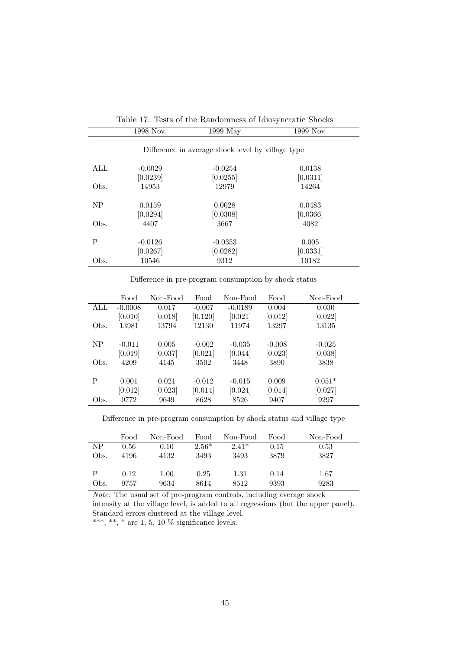|      |                       | Table 17: Tests of the Kandomness of Idiosyncratic Shocks |                    |
|------|-----------------------|-----------------------------------------------------------|--------------------|
|      | 1998 Nov.             | $1999$ May                                                | 1999 Nov.          |
|      |                       | Difference in average shock level by village type         |                    |
| ALL  | $-0.0029$             | $-0.0254$                                                 | 0.0138             |
|      | [0.0239]              | [0.0255]                                                  | [0.0311]           |
| Obs. | 14953                 | 12979                                                     | 14264              |
| NP   | 0.0159<br>[0.0294]    | 0.0028<br>[0.0308]                                        | 0.0483<br>[0.0366] |
| Obs. | 4407                  | 3667                                                      | 4082               |
| P    | $-0.0126$<br>[0.0267] | $-0.0353$<br>[0.0282]                                     | 0.005<br>[0.0331]  |
| Obs. | 10546                 | 9312                                                      | 10182              |

|                   | Table 17: Tests of the Randomness of Idiosyncratic Shocks |                  |
|-------------------|-----------------------------------------------------------|------------------|
|                   |                                                           |                  |
| 1000 $\mathbf{M}$ | $1000 \text{ M}$                                          | 1000 $\lambda$ T |

Difference in pre-program consumption by shock status

|      | Food      | Non-Food | Food     | Non-Food  | Food     | Non-Food |
|------|-----------|----------|----------|-----------|----------|----------|
| ALL  | $-0.0008$ | 0.017    | $-0.007$ | $-0.0189$ | 0.004    | 0.030    |
|      | [0.010]   | [0.018]  | [0.120]  | [0.021]   | [0.012]  | [0.022]  |
| Obs. | 13981     | 13794    | 12130    | 11974     | 13297    | 13135    |
|      |           |          |          |           |          |          |
| NP   | $-0.011$  | 0.005    | $-0.002$ | $-0.035$  | $-0.008$ | $-0.025$ |
|      | [0.019]   | [0.037]  | [0.021]  | [0.044]   | [0.023]  | [0.038]  |
| Obs. | 4209      | 4145     | 3502     | 3448      | 3890     | 3838     |
|      |           |          |          |           |          |          |
| P    | 0.001     | 0.021    | $-0.012$ | $-0.015$  | 0.009    | $0.051*$ |
|      | [0.012]   | [0.023]  | [0.014]  | [0.024]   | [0.014]  | [0.027]  |
| Obs. | 9772      | 9649     | 8628     | 8526      | 9407     | 9297     |

Difference in pre-program consumption by shock status and village type

|      | Food | Non-Food | Food    | Non-Food | Food | Non-Food |
|------|------|----------|---------|----------|------|----------|
| NΡ   | 0.56 | 0.10     | $2.56*$ | $2.41*$  | 0.15 | 0.53     |
| Obs. | 4196 | 4132     | 3493    | 3493     | 3879 | 3827     |
|      |      |          |         |          |      |          |
| Р    | 0.12 | 1.00     | 0.25    | 1.31     | 0.14 | 1.67     |
| Obs. | 9757 | 9634     | 8614    | 8512     | 9393 | 9283     |

Note: The usual set of pre-program controls, including average shock intensity at the village level, is added to all regressions (but the upper panel). Standard errors clustered at the village level. \*\*\*, \*\*, \* are 1, 5, 10  $\%$  significance levels.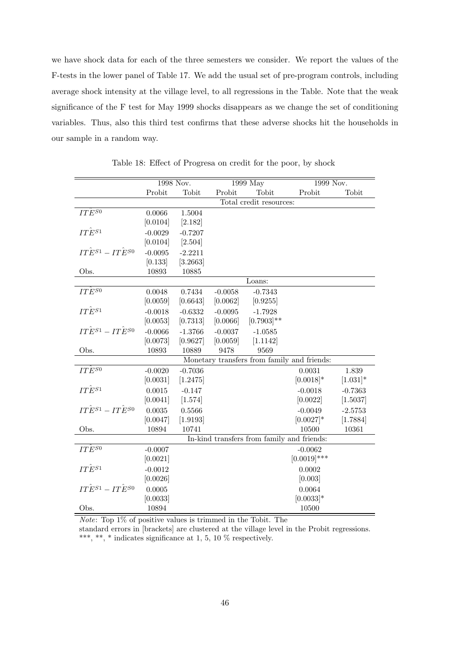we have shock data for each of the three semesters we consider. We report the values of the F-tests in the lower panel of Table 17. We add the usual set of pre-program controls, including average shock intensity at the village level, to all regressions in the Table. Note that the weak significance of the F test for May 1999 shocks disappears as we change the set of conditioning variables. Thus, also this third test confirms that these adverse shocks hit the households in our sample in a random way.

|                                   | 1998 Nov. |           |           | 1999 May                                   | 1999 Nov.                                   |             |
|-----------------------------------|-----------|-----------|-----------|--------------------------------------------|---------------------------------------------|-------------|
|                                   | Probit    | Tobit     | Probit    | Tobit                                      | Probit                                      | Tobit       |
|                                   |           |           |           | Total credit resources:                    |                                             |             |
| $IT\widetilde{E}^{S0}$            | 0.0066    | 1.5004    |           |                                            |                                             |             |
|                                   | [0.0104]  | [2.182]   |           |                                            |                                             |             |
| $IT\hat{E}^{S1}$                  | $-0.0029$ | $-0.7207$ |           |                                            |                                             |             |
|                                   | [0.0104]  | [2.504]   |           |                                            |                                             |             |
| $IT\hat{E}^{S1}-IT\hat{E}^{S0}$   | $-0.0095$ | $-2.2211$ |           |                                            |                                             |             |
|                                   | [0.133]   | [3.2663]  |           |                                            |                                             |             |
| Obs.                              | 10893     | 10885     |           |                                            |                                             |             |
|                                   |           |           |           | Loans:                                     |                                             |             |
| $ITE^{S0}$                        | 0.0048    | 0.7434    | $-0.0058$ | $-0.7343$                                  |                                             |             |
|                                   | [0.0059]  | [0.6643]  | [0.0062]  | [0.9255]                                   |                                             |             |
| $IT\hat{E}^{S1}$                  | $-0.0018$ | $-0.6332$ | $-0.0095$ | $-1.7928$                                  |                                             |             |
|                                   | [0.0053]  | [0.7313]  | [0.0066]  | $[0.7903]$ **                              |                                             |             |
| $IT\hat{E}^{S1} - IT\hat{E}^{S0}$ | $-0.0066$ | $-1.3766$ | $-0.0037$ | $-1.0585$                                  |                                             |             |
|                                   | [0.0073]  | [0.9627]  | [0.0059]  | [1.1142]                                   |                                             |             |
| Obs.                              | 10893     | 10889     | 9478      | 9569                                       |                                             |             |
|                                   |           |           |           |                                            | Monetary transfers from family and friends: |             |
| $ITE^{S0}$                        | $-0.0020$ | $-0.7036$ |           |                                            | 0.0031                                      | 1.839       |
|                                   | [0.0031]  | [1.2475]  |           |                                            | $[0.0018]*$                                 | $[1.031]$ * |
| $IT\hat{E}^{S1}$                  | 0.0015    | $-0.147$  |           |                                            | $-0.0018$                                   | $-0.7363$   |
|                                   | [0.0041]  | [1.574]   |           |                                            | [0.0022]                                    | [1.5037]    |
| $IT\hat{E}^{S1} - IT\hat{E}^{S0}$ | 0.0035    | 0.5566    |           |                                            | $-0.0049$                                   | $-2.5753$   |
|                                   | [0.0047]  | [1.9193]  |           |                                            | $[0.0027]$ *                                | [1.7884]    |
| Obs.                              | 10894     | 10741     |           |                                            | 10500                                       | 10361       |
|                                   |           |           |           | In-kind transfers from family and friends: |                                             |             |
| $IT\hat{E}^{S0}$                  | $-0.0007$ |           |           |                                            | $-0.0062$                                   |             |
|                                   | [0.0021]  |           |           |                                            | $[0.0019]$ ***                              |             |
| $IT\hat{E}^{S1}$                  | $-0.0012$ |           |           |                                            | 0.0002                                      |             |
|                                   | [0.0026]  |           |           |                                            | [0.003]                                     |             |
| $IT\hat{E}^{S1} - IT\hat{E}^{S0}$ | 0.0005    |           |           |                                            | 0.0064                                      |             |
|                                   | [0.0033]  |           |           |                                            | $[0.0033]$ *                                |             |
| Obs.                              | 10894     |           |           |                                            | 10500                                       |             |

Table 18: Effect of Progresa on credit for the poor, by shock

Note: Top 1% of positive values is trimmed in the Tobit. The

standard errors in [brackets] are clustered at the village level in the Probit regressions. \*\*\*, \*\*, \* indicates significance at 1, 5, 10  $\%$  respectively.